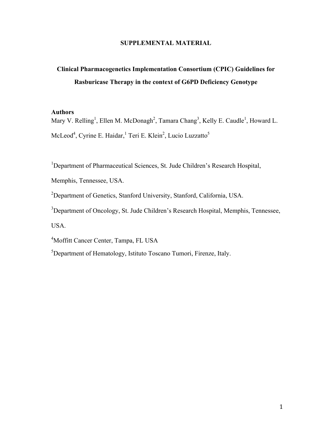#### **SUPPLEMENTAL MATERIAL**

# **Clinical Pharmacogenetics Implementation Consortium (CPIC) Guidelines for Rasburicase Therapy in the context of G6PD Deficiency Genotype**

#### **Authors**

Mary V. Relling<sup>1</sup>, Ellen M. McDonagh<sup>2</sup>, Tamara Chang<sup>3</sup>, Kelly E. Caudle<sup>1</sup>, Howard L. McLeod<sup>4</sup>, Cyrine E. Haidar, <sup>1</sup> Teri E. Klein<sup>2</sup>, Lucio Luzzatto<sup>5</sup>

<sup>1</sup>Department of Pharmaceutical Sciences, St. Jude Children's Research Hospital,

Memphis, Tennessee, USA.

<sup>2</sup>Department of Genetics, Stanford University, Stanford, California, USA.

<sup>3</sup>Department of Oncology, St. Jude Children's Research Hospital, Memphis, Tennessee,

USA.

4 Moffitt Cancer Center, Tampa, FL USA

<sup>5</sup>Department of Hematology, Istituto Toscano Tumori, Firenze, Italy.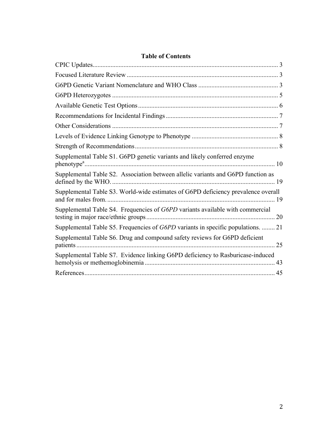| <b>Table of Contents</b> |  |
|--------------------------|--|
|--------------------------|--|

| Supplemental Table S1. G6PD genetic variants and likely conferred enzyme                |  |
|-----------------------------------------------------------------------------------------|--|
| Supplemental Table S2. Association between allelic variants and G6PD function as        |  |
| Supplemental Table S3. World-wide estimates of G6PD deficiency prevalence overall       |  |
| Supplemental Table S4. Frequencies of G6PD variants available with commercial           |  |
| Supplemental Table S5. Frequencies of <i>G6PD</i> variants in specific populations.  21 |  |
| Supplemental Table S6. Drug and compound safety reviews for G6PD deficient              |  |
| Supplemental Table S7. Evidence linking G6PD deficiency to Rasburicase-induced          |  |
|                                                                                         |  |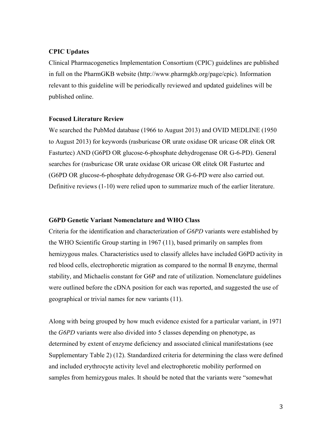#### **CPIC Updates**

Clinical Pharmacogenetics Implementation Consortium (CPIC) guidelines are published in full on the PharmGKB website (http://www.pharmgkb.org/page/cpic). Information relevant to this guideline will be periodically reviewed and updated guidelines will be published online.

#### **Focused Literature Review**

We searched the PubMed database (1966 to August 2013) and OVID MEDLINE (1950 to August 2013) for keywords (rasburicase OR urate oxidase OR uricase OR elitek OR Fasturtec) AND (G6PD OR glucose-6-phosphate dehydrogenase OR G-6-PD). General searches for (rasburicase OR urate oxidase OR uricase OR elitek OR Fasturtec and (G6PD OR glucose-6-phosphate dehydrogenase OR G-6-PD were also carried out. Definitive reviews (1-10) were relied upon to summarize much of the earlier literature.

#### **G6PD Genetic Variant Nomenclature and WHO Class**

Criteria for the identification and characterization of *G6PD* variants were established by the WHO Scientific Group starting in 1967 (11), based primarily on samples from hemizygous males. Characteristics used to classify alleles have included G6PD activity in red blood cells, electrophoretic migration as compared to the normal B enzyme, thermal stability, and Michaelis constant for G6P and rate of utilization. Nomenclature guidelines were outlined before the cDNA position for each was reported, and suggested the use of geographical or trivial names for new variants (11).

Along with being grouped by how much evidence existed for a particular variant, in 1971 the *G6PD* variants were also divided into 5 classes depending on phenotype, as determined by extent of enzyme deficiency and associated clinical manifestations (see Supplementary Table 2) (12). Standardized criteria for determining the class were defined and included erythrocyte activity level and electrophoretic mobility performed on samples from hemizygous males. It should be noted that the variants were "somewhat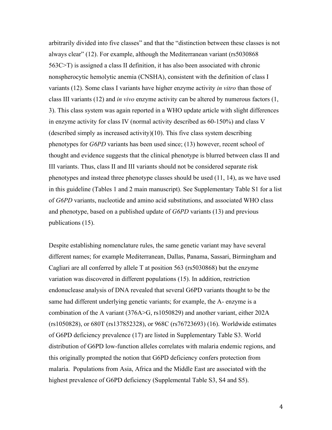arbitrarily divided into five classes" and that the "distinction between these classes is not always clear" (12). For example, although the Mediterranean variant (rs5030868 563C>T) is assigned a class II definition, it has also been associated with chronic nonspherocytic hemolytic anemia (CNSHA), consistent with the definition of class I variants (12). Some class I variants have higher enzyme activity *in vitro* than those of class III variants (12) and *in vivo* enzyme activity can be altered by numerous factors (1, 3). This class system was again reported in a WHO update article with slight differences in enzyme activity for class IV (normal activity described as 60-150%) and class V (described simply as increased activity)(10). This five class system describing phenotypes for *G6PD* variants has been used since; (13) however, recent school of thought and evidence suggests that the clinical phenotype is blurred between class II and III variants. Thus, class II and III variants should not be considered separate risk phenotypes and instead three phenotype classes should be used (11, 14), as we have used in this guideline (Tables 1 and 2 main manuscript). See Supplementary Table S1 for a list of *G6PD* variants, nucleotide and amino acid substitutions, and associated WHO class and phenotype, based on a published update of *G6PD* variants (13) and previous publications (15).

Despite establishing nomenclature rules, the same genetic variant may have several different names; for example Mediterranean, Dallas, Panama, Sassari, Birmingham and Cagliari are all conferred by allele T at position 563 (rs5030868) but the enzyme variation was discovered in different populations (15). In addition, restriction endonuclease analysis of DNA revealed that several G6PD variants thought to be the same had different underlying genetic variants; for example, the A- enzyme is a combination of the A variant (376A>G, rs1050829) and another variant, either 202A (rs1050828), or 680T (rs137852328), or 968C (rs76723693) (16). Worldwide estimates of G6PD deficiency prevalence (17) are listed in Supplementary Table S3. World distribution of G6PD low-function alleles correlates with malaria endemic regions, and this originally prompted the notion that G6PD deficiency confers protection from malaria. Populations from Asia, Africa and the Middle East are associated with the highest prevalence of G6PD deficiency (Supplemental Table S3, S4 and S5).

4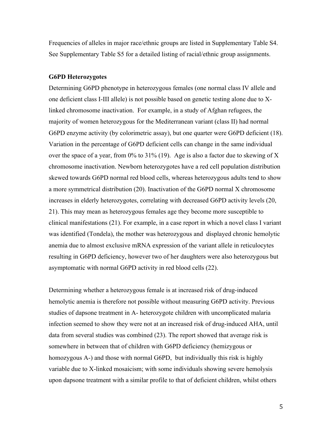Frequencies of alleles in major race/ethnic groups are listed in Supplementary Table S4. See Supplementary Table S5 for a detailed listing of racial/ethnic group assignments.

#### **G6PD Heterozygotes**

Determining G6PD phenotype in heterozygous females (one normal class IV allele and one deficient class I-III allele) is not possible based on genetic testing alone due to Xlinked chromosome inactivation. For example, in a study of Afghan refugees, the majority of women heterozygous for the Mediterranean variant (class II) had normal G6PD enzyme activity (by colorimetric assay), but one quarter were G6PD deficient (18). Variation in the percentage of G6PD deficient cells can change in the same individual over the space of a year, from  $0\%$  to  $31\%$  (19). Age is also a factor due to skewing of X chromosome inactivation. Newborn heterozygotes have a red cell population distribution skewed towards G6PD normal red blood cells, whereas heterozygous adults tend to show a more symmetrical distribution (20). Inactivation of the G6PD normal X chromosome increases in elderly heterozygotes, correlating with decreased G6PD activity levels (20, 21). This may mean as heterozygous females age they become more susceptible to clinical manifestations (21). For example, in a case report in which a novel class I variant was identified (Tondela), the mother was heterozygous and displayed chronic hemolytic anemia due to almost exclusive mRNA expression of the variant allele in reticulocytes resulting in G6PD deficiency, however two of her daughters were also heterozygous but asymptomatic with normal G6PD activity in red blood cells (22).

Determining whether a heterozygous female is at increased risk of drug-induced hemolytic anemia is therefore not possible without measuring G6PD activity. Previous studies of dapsone treatment in A- heterozygote children with uncomplicated malaria infection seemed to show they were not at an increased risk of drug-induced AHA, until data from several studies was combined (23). The report showed that average risk is somewhere in between that of children with G6PD deficiency (hemizygous or homozygous A-) and those with normal G6PD, but individually this risk is highly variable due to X-linked mosaicism; with some individuals showing severe hemolysis upon dapsone treatment with a similar profile to that of deficient children, whilst others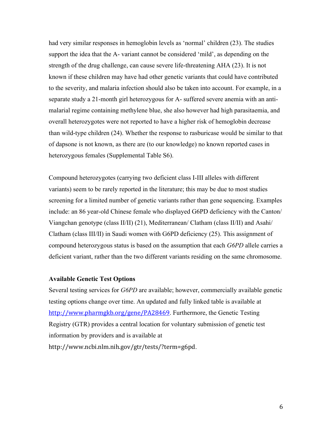had very similar responses in hemoglobin levels as 'normal' children (23). The studies support the idea that the A- variant cannot be considered 'mild', as depending on the strength of the drug challenge, can cause severe life-threatening AHA (23). It is not known if these children may have had other genetic variants that could have contributed to the severity, and malaria infection should also be taken into account. For example, in a separate study a 21-month girl heterozygous for A- suffered severe anemia with an antimalarial regime containing methylene blue, she also however had high parasitaemia, and overall heterozygotes were not reported to have a higher risk of hemoglobin decrease than wild-type children (24). Whether the response to rasburicase would be similar to that of dapsone is not known, as there are (to our knowledge) no known reported cases in heterozygous females (Supplemental Table S6).

Compound heterozygotes (carrying two deficient class I-III alleles with different variants) seem to be rarely reported in the literature; this may be due to most studies screening for a limited number of genetic variants rather than gene sequencing. Examples include: an 86 year-old Chinese female who displayed G6PD deficiency with the Canton/ Viangchan genotype (class II/II) (21), Mediterranean/ Clatham (class II/II) and Asahi/ Clatham (class III/II) in Saudi women with G6PD deficiency (25). This assignment of compound heterozygous status is based on the assumption that each *G6PD* allele carries a deficient variant, rather than the two different variants residing on the same chromosome.

#### **Available Genetic Test Options**

Several testing services for *G6PD* are available; however, commercially available genetic testing options change over time. An updated and fully linked table is available at http://www.pharmgkb.org/gene/PA28469. Furthermore, the Genetic Testing Registry (GTR) provides a central location for voluntary submission of genetic test information by providers and is available at http://www.ncbi.nlm.nih.gov/gtr/tests/?term=g6pd.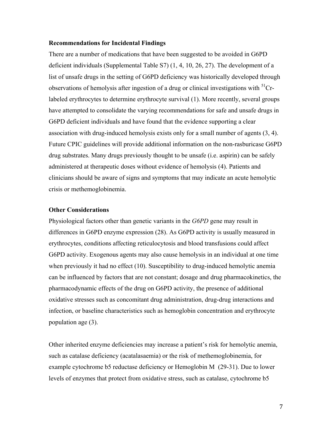#### **Recommendations for Incidental Findings**

There are a number of medications that have been suggested to be avoided in G6PD deficient individuals (Supplemental Table S7) (1, 4, 10, 26, 27). The development of a list of unsafe drugs in the setting of G6PD deficiency was historically developed through observations of hemolysis after ingestion of a drug or clinical investigations with  ${}^{51}Cr$ labeled erythrocytes to determine erythrocyte survival (1). More recently, several groups have attempted to consolidate the varying recommendations for safe and unsafe drugs in G6PD deficient individuals and have found that the evidence supporting a clear association with drug-induced hemolysis exists only for a small number of agents (3, 4). Future CPIC guidelines will provide additional information on the non-rasburicase G6PD drug substrates. Many drugs previously thought to be unsafe (i.e. aspirin) can be safely administered at therapeutic doses without evidence of hemolysis (4). Patients and clinicians should be aware of signs and symptoms that may indicate an acute hemolytic crisis or methemoglobinemia.

#### **Other Considerations**

Physiological factors other than genetic variants in the *G6PD* gene may result in differences in G6PD enzyme expression (28). As G6PD activity is usually measured in erythrocytes, conditions affecting reticulocytosis and blood transfusions could affect G6PD activity. Exogenous agents may also cause hemolysis in an individual at one time when previously it had no effect (10). Susceptibility to drug-induced hemolytic anemia can be influenced by factors that are not constant; dosage and drug pharmacokinetics, the pharmacodynamic effects of the drug on G6PD activity, the presence of additional oxidative stresses such as concomitant drug administration, drug-drug interactions and infection, or baseline characteristics such as hemoglobin concentration and erythrocyte population age (3).

Other inherited enzyme deficiencies may increase a patient's risk for hemolytic anemia, such as catalase deficiency (acatalasaemia) or the risk of methemoglobinemia, for example cytochrome b5 reductase deficiency or Hemoglobin M (29-31). Due to lower levels of enzymes that protect from oxidative stress, such as catalase, cytochrome b5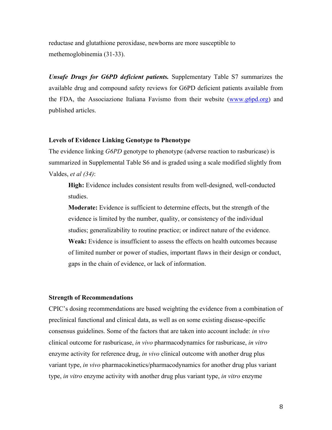reductase and glutathione peroxidase, newborns are more susceptible to methemoglobinemia (31-33).

*Unsafe Drugs for G6PD deficient patients.* Supplementary Table S7 summarizes the available drug and compound safety reviews for G6PD deficient patients available from the FDA, the Associazione Italiana Favismo from their website (www.g6pd.org) and published articles.

#### **Levels of Evidence Linking Genotype to Phenotype**

The evidence linking *G6PD* genotype to phenotype (adverse reaction to rasburicase) is summarized in Supplemental Table S6 and is graded using a scale modified slightly from Valdes, *et al (34)*:

**High:** Evidence includes consistent results from well-designed, well-conducted studies.

**Moderate:** Evidence is sufficient to determine effects, but the strength of the evidence is limited by the number, quality, or consistency of the individual studies; generalizability to routine practice; or indirect nature of the evidence. **Weak:** Evidence is insufficient to assess the effects on health outcomes because of limited number or power of studies, important flaws in their design or conduct, gaps in the chain of evidence, or lack of information.

#### **Strength of Recommendations**

CPIC's dosing recommendations are based weighting the evidence from a combination of preclinical functional and clinical data, as well as on some existing disease-specific consensus guidelines. Some of the factors that are taken into account include: *in vivo* clinical outcome for rasburicase, *in vivo* pharmacodynamics for rasburicase, *in vitro* enzyme activity for reference drug, *in vivo* clinical outcome with another drug plus variant type, *in vivo* pharmacokinetics/pharmacodynamics for another drug plus variant type, *in vitro* enzyme activity with another drug plus variant type, *in vitro* enzyme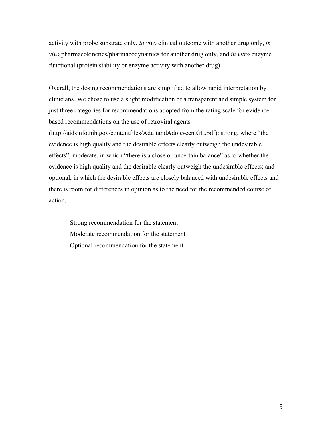activity with probe substrate only, *in vivo* clinical outcome with another drug only, *in vivo* pharmacokinetics/pharmacodynamics for another drug only, and *in vitro* enzyme functional (protein stability or enzyme activity with another drug).

Overall, the dosing recommendations are simplified to allow rapid interpretation by clinicians. We chose to use a slight modification of a transparent and simple system for just three categories for recommendations adopted from the rating scale for evidencebased recommendations on the use of retroviral agents (http://aidsinfo.nih.gov/contentfiles/AdultandAdolescentGL.pdf): strong, where "the evidence is high quality and the desirable effects clearly outweigh the undesirable effects"; moderate, in which "there is a close or uncertain balance" as to whether the evidence is high quality and the desirable clearly outweigh the undesirable effects; and optional, in which the desirable effects are closely balanced with undesirable effects and there is room for differences in opinion as to the need for the recommended course of action.

Strong recommendation for the statement Moderate recommendation for the statement Optional recommendation for the statement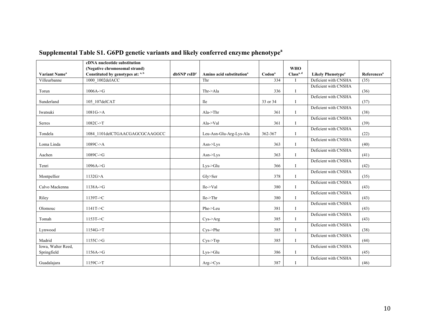|                                   | cDNA nucleotide substitution      |                           |                                      |                    |                       |                                     |                         |
|-----------------------------------|-----------------------------------|---------------------------|--------------------------------------|--------------------|-----------------------|-------------------------------------|-------------------------|
|                                   | (Negative chromosomal strand)     |                           |                                      |                    | <b>WHO</b>            |                                     |                         |
| <b>Variant Name<sup>a</sup></b>   | Constituted by genotypes at: a, b | $dbSNP$ rsID <sup>c</sup> | Amino acid substitution <sup>a</sup> | Codon <sup>a</sup> | Class <sup>a, d</sup> | <b>Likely Phenotype<sup>e</sup></b> | References <sup>a</sup> |
| Villeurbanne                      | 1000 1002delACC                   |                           | Thr                                  | 334                |                       | Deficient with CNSHA                | (35)                    |
| Torun                             | $1006A - G$                       |                           | Thr->Ala                             | 336                | I                     | Deficient with CNSHA                | (36)                    |
| Sunderland                        | 105 107delCAT                     |                           | <b>Ile</b>                           | 33 or 34           | $\mathbf I$           | Deficient with CNSHA                | (37)                    |
| Iwatsuki                          | 1081G > A                         |                           | $Ala$ - $Thr$                        | 361                | I                     | Deficient with CNSHA                | (38)                    |
| Serres                            | $1082C \rightarrow T$             |                           | Ala->Val                             | 361                | I                     | Deficient with CNSHA                | (39)                    |
| Tondela                           | 1084 1101delCTGAACGAGCGCAAGGCC    |                           | Leu-Asn-Glu-Arg-Lys-Ala              | 362-367            | $\mathbf I$           | Deficient with CNSHA                | (22)                    |
| Loma Linda                        | 1089C > A                         |                           | $Asn$ - $\geq$ Lys                   | 363                | $\mathbf I$           | Deficient with CNSHA                | (40)                    |
| Aachen                            | $1089C \rightarrow G$             |                           | $Asn$ - $\geq$ Lys                   | 363                | $\mathbf I$           | Deficient with CNSHA                | (41)                    |
| Tenri                             | $1096A - G$                       |                           | $Lys$ -> $Glu$                       | 366                | $\mathbf I$           | Deficient with CNSHA                | (42)                    |
| Montpellier                       | 1132G > A                         |                           | Gly>Ser                              | 378                | $\mathbf I$           | Deficient with CNSHA                | (35)                    |
| Calvo Mackenna                    | 1138A > G                         |                           | Ile->Val                             | 380                | $\mathbf{I}$          | Deficient with CNSHA                | (43)                    |
| Riley                             | 1139T > C                         |                           | Ile > Thr                            | 380                | I                     | Deficient with CNSHA                | (43)                    |
| Olomouc                           | 1141T > C                         |                           | Phe->Leu                             | 381                | $\mathbf I$           | Deficient with CNSHA                | (43)                    |
| Tomah                             | 1153T > C                         |                           | $Cys$ ->Arg                          | 385                | $\mathbf I$           | Deficient with CNSHA                | (43)                    |
| Lynwood                           | $1154G - T$                       |                           | $Cys$ ->Phe                          | 385                |                       | Deficient with CNSHA                | (38)                    |
| Madrid                            | 1155C > G                         |                           | $Cys-Trp$                            | 385                |                       | Deficient with CNSHA                | (44)                    |
| Iowa, Walter Reed,<br>Springfield | 1156A > G                         |                           | $Lys$ -> $Glu$                       | 386                | $\mathbf I$           | Deficient with CNSHA                | (45)                    |
| Guadalajara                       | $1159C-FT$                        |                           | $Arg$ -> $Cys$                       | 387                | I                     | Deficient with CNSHA                | (46)                    |

# **Supplemental Table S1. G6PD genetic variants and likely conferred enzyme phenotype<sup>a</sup>**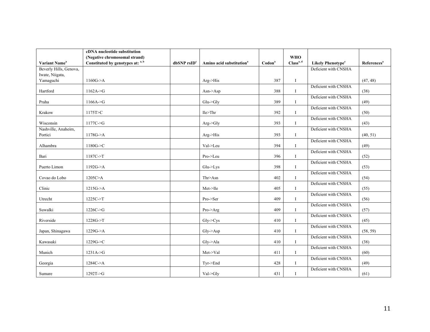|                                | cDNA nucleotide substitution      |                  |                                      |                    |                       |                                     |                         |
|--------------------------------|-----------------------------------|------------------|--------------------------------------|--------------------|-----------------------|-------------------------------------|-------------------------|
|                                | (Negative chromosomal strand)     |                  |                                      |                    | <b>WHO</b>            |                                     |                         |
| Variant Name <sup>a</sup>      | Constituted by genotypes at: a, b | $dbSNP$ rs $IDc$ | Amino acid substitution <sup>a</sup> | Codon <sup>ª</sup> | Class <sup>a, d</sup> | <b>Likely Phenotype<sup>e</sup></b> | References <sup>a</sup> |
| Beverly Hills, Genova,         |                                   |                  |                                      |                    |                       | Deficient with CNSHA                |                         |
| Iwate, Niigata,                |                                   |                  |                                      |                    |                       |                                     |                         |
| Yamaguchi                      | 1160G > A                         |                  | Arg > His                            | 387                | $\mathbf{I}$          |                                     | (47, 48)                |
| Hartford                       | 1162A > G                         |                  | $Asn$ ->Asp                          | 388                | $\mathbf{I}$          | Deficient with CNSHA                | (38)                    |
| Praha                          | 1166A > G                         |                  | $Glu$ -> $Glv$                       | 389                | $\mathbf{I}$          | Deficient with CNSHA                | (49)                    |
| Krakow                         | 1175T>C                           |                  | Ile>Thr                              | 392                | $\mathbf{I}$          | Deficient with CNSHA                | (50)                    |
| Wisconsin                      | 1177C > G                         |                  | Arg > Gly                            | 393                | $\mathbf{I}$          | Deficient with CNSHA                | (43)                    |
| Nashville, Anaheim,<br>Portici | 1178G > A                         |                  | Arg->His                             | 393                | $\mathbf I$           | Deficient with CNSHA                | (40, 51)                |
| Alhambra                       | 1180G > C                         |                  | Val->Leu                             | 394                | $\mathbf{I}$          | Deficient with CNSHA                | (49)                    |
| Bari                           | $1187C \rightarrow T$             |                  | Pro->Leu                             | 396                | Ι                     | Deficient with CNSHA                | (52)                    |
| Puerto Limon                   | 1192G > A                         |                  | $Glu$ - $\geq$ Lys                   | 398                | $\mathbf{I}$          | Deficient with CNSHA                | (53)                    |
| Covao do Lobo                  | 1205C > A                         |                  | Thr>Asn                              | 402                | I                     | Deficient with CNSHA                | (54)                    |
| Clinic                         | 1215G > A                         |                  | Met->Ile                             | 405                | $\mathbf{I}$          | Deficient with CNSHA                | (55)                    |
| Utrecht                        | $1225C-FT$                        |                  | Pro->Ser                             | 409                | I                     | Deficient with CNSHA                | (56)                    |
| Suwalki                        | $1226C \rightarrow G$             |                  | $Pro\geq Arg$                        | 409                | $\bf{I}$              | Deficient with CNSHA                | (57)                    |
| Riverside                      | $1228G - T$                       |                  | $Gly$ - $>Cys$                       | 410                | I                     | Deficient with CNSHA                | (45)                    |
| Japan, Shinagawa               | 1229G > A                         |                  | $Gly$ ->Asp                          | 410                | I                     | Deficient with CNSHA                | (58, 59)                |
| Kawasaki                       | $1229G - C$                       |                  | Gly > Ala                            | 410                | $\bf{I}$              | Deficient with CNSHA                | (38)                    |
| Munich                         | 1231A > G                         |                  | Met->Val                             | 411                | $\mathbf{I}$          | Deficient with CNSHA                | (60)                    |
| Georgia                        | $1284C \rightarrow A$             |                  | Tyr->End                             | 428                | $\bf{I}$              | Deficient with CNSHA                | (49)                    |
| Sumare                         | 1292T > G                         |                  | Val->Gly                             | 431                | I                     | Deficient with CNSHA                | (61)                    |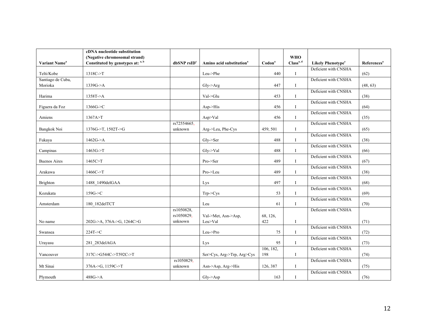| (Negative chromosomal strand)<br><b>WHO</b><br>Class <sup>a, d</sup><br>Constituted by genotypes at: a, b<br>Variant Name <sup>a</sup><br>$dbSNP$ rs $IDc$<br>Amino acid substitution <sup>a</sup><br>$\mathbf{Codon}^a$<br><b>Likely Phenotype<sup>e</sup></b><br>References <sup>a</sup><br>Deficient with CNSHA<br>1318C->T<br>Telti/Kobe<br>Leu->Phe<br>440<br>$\bf{I}$<br>(62)<br>Deficient with CNSHA<br>Santiago de Cuba,<br>Morioka<br>1339G > A<br>(48, 63)<br>447<br>$Gly$ ->Arg<br>$\mathbf I$<br>Deficient with CNSHA<br>1358T > A<br>Val->Glu<br>453<br>(38)<br>Harima<br>$\mathbf{I}$<br>Deficient with CNSHA<br>1366G > C<br>Figuera da Foz<br>$Asp-His$<br>456<br>$\mathbf{I}$<br>(64)<br>Deficient with CNSHA<br>1367A > T<br>Asp>Val<br>Amiens<br>456<br>$\mathbf I$<br>(35)<br>rs72554665,<br>Deficient with CNSHA<br>Bangkok Noi<br>1376G->T, 1502T->G<br>unknown<br>Arg->Leu, Phe-Cys<br>459, 501<br>(65)<br>I<br>Deficient with CNSHA<br>1462G > A<br>$Gly$ ->Ser<br>488<br>Fukaya<br>(38)<br>$\mathbf{I}$<br>Deficient with CNSHA<br>$1463G \rightarrow T$<br>$Gly$ - $\geq$ Val<br>488<br>(66)<br>Campinas<br>$\mathbf I$ |
|---------------------------------------------------------------------------------------------------------------------------------------------------------------------------------------------------------------------------------------------------------------------------------------------------------------------------------------------------------------------------------------------------------------------------------------------------------------------------------------------------------------------------------------------------------------------------------------------------------------------------------------------------------------------------------------------------------------------------------------------------------------------------------------------------------------------------------------------------------------------------------------------------------------------------------------------------------------------------------------------------------------------------------------------------------------------------------------------------------------------------------------------------|
|                                                                                                                                                                                                                                                                                                                                                                                                                                                                                                                                                                                                                                                                                                                                                                                                                                                                                                                                                                                                                                                                                                                                                   |
|                                                                                                                                                                                                                                                                                                                                                                                                                                                                                                                                                                                                                                                                                                                                                                                                                                                                                                                                                                                                                                                                                                                                                   |
|                                                                                                                                                                                                                                                                                                                                                                                                                                                                                                                                                                                                                                                                                                                                                                                                                                                                                                                                                                                                                                                                                                                                                   |
|                                                                                                                                                                                                                                                                                                                                                                                                                                                                                                                                                                                                                                                                                                                                                                                                                                                                                                                                                                                                                                                                                                                                                   |
|                                                                                                                                                                                                                                                                                                                                                                                                                                                                                                                                                                                                                                                                                                                                                                                                                                                                                                                                                                                                                                                                                                                                                   |
|                                                                                                                                                                                                                                                                                                                                                                                                                                                                                                                                                                                                                                                                                                                                                                                                                                                                                                                                                                                                                                                                                                                                                   |
|                                                                                                                                                                                                                                                                                                                                                                                                                                                                                                                                                                                                                                                                                                                                                                                                                                                                                                                                                                                                                                                                                                                                                   |
|                                                                                                                                                                                                                                                                                                                                                                                                                                                                                                                                                                                                                                                                                                                                                                                                                                                                                                                                                                                                                                                                                                                                                   |
|                                                                                                                                                                                                                                                                                                                                                                                                                                                                                                                                                                                                                                                                                                                                                                                                                                                                                                                                                                                                                                                                                                                                                   |
|                                                                                                                                                                                                                                                                                                                                                                                                                                                                                                                                                                                                                                                                                                                                                                                                                                                                                                                                                                                                                                                                                                                                                   |
|                                                                                                                                                                                                                                                                                                                                                                                                                                                                                                                                                                                                                                                                                                                                                                                                                                                                                                                                                                                                                                                                                                                                                   |
|                                                                                                                                                                                                                                                                                                                                                                                                                                                                                                                                                                                                                                                                                                                                                                                                                                                                                                                                                                                                                                                                                                                                                   |
|                                                                                                                                                                                                                                                                                                                                                                                                                                                                                                                                                                                                                                                                                                                                                                                                                                                                                                                                                                                                                                                                                                                                                   |
|                                                                                                                                                                                                                                                                                                                                                                                                                                                                                                                                                                                                                                                                                                                                                                                                                                                                                                                                                                                                                                                                                                                                                   |
|                                                                                                                                                                                                                                                                                                                                                                                                                                                                                                                                                                                                                                                                                                                                                                                                                                                                                                                                                                                                                                                                                                                                                   |
|                                                                                                                                                                                                                                                                                                                                                                                                                                                                                                                                                                                                                                                                                                                                                                                                                                                                                                                                                                                                                                                                                                                                                   |
|                                                                                                                                                                                                                                                                                                                                                                                                                                                                                                                                                                                                                                                                                                                                                                                                                                                                                                                                                                                                                                                                                                                                                   |
| Deficient with CNSHA                                                                                                                                                                                                                                                                                                                                                                                                                                                                                                                                                                                                                                                                                                                                                                                                                                                                                                                                                                                                                                                                                                                              |
| 1465C>T<br>489<br><b>Buenos Aires</b><br>Pro->Ser<br>(67)<br>$\mathbf I$                                                                                                                                                                                                                                                                                                                                                                                                                                                                                                                                                                                                                                                                                                                                                                                                                                                                                                                                                                                                                                                                          |
| Deficient with CNSHA                                                                                                                                                                                                                                                                                                                                                                                                                                                                                                                                                                                                                                                                                                                                                                                                                                                                                                                                                                                                                                                                                                                              |
| $1466C \rightarrow T$<br>Pro->Leu<br>489<br>(38)<br>Arakawa<br>$\mathbf{I}$                                                                                                                                                                                                                                                                                                                                                                                                                                                                                                                                                                                                                                                                                                                                                                                                                                                                                                                                                                                                                                                                       |
| Deficient with CNSHA                                                                                                                                                                                                                                                                                                                                                                                                                                                                                                                                                                                                                                                                                                                                                                                                                                                                                                                                                                                                                                                                                                                              |
| 1488_1490delGAA<br>497<br>(68)<br>Brighton<br>$\mathbf I$<br>Lys                                                                                                                                                                                                                                                                                                                                                                                                                                                                                                                                                                                                                                                                                                                                                                                                                                                                                                                                                                                                                                                                                  |
| Deficient with CNSHA                                                                                                                                                                                                                                                                                                                                                                                                                                                                                                                                                                                                                                                                                                                                                                                                                                                                                                                                                                                                                                                                                                                              |
| $159G \rightarrow C$<br>53<br>Kozukata<br>$Trp$ - $>Cys$<br>$\mathbf{I}$<br>(69)                                                                                                                                                                                                                                                                                                                                                                                                                                                                                                                                                                                                                                                                                                                                                                                                                                                                                                                                                                                                                                                                  |
| Deficient with CNSHA<br>180 182delTCT                                                                                                                                                                                                                                                                                                                                                                                                                                                                                                                                                                                                                                                                                                                                                                                                                                                                                                                                                                                                                                                                                                             |
| (70)<br>Amsterdam<br>Leu<br>61<br>I                                                                                                                                                                                                                                                                                                                                                                                                                                                                                                                                                                                                                                                                                                                                                                                                                                                                                                                                                                                                                                                                                                               |
| rs1050828,<br>Deficient with CNSHA                                                                                                                                                                                                                                                                                                                                                                                                                                                                                                                                                                                                                                                                                                                                                                                                                                                                                                                                                                                                                                                                                                                |
| rs1050829,<br>Val->Met, Asn->Asp,<br>68, 126,                                                                                                                                                                                                                                                                                                                                                                                                                                                                                                                                                                                                                                                                                                                                                                                                                                                                                                                                                                                                                                                                                                     |
| Leu>Val<br>422<br>(71)<br>202G->A, 376A->G, 1264C>G<br>unknown<br>$\mathbf I$<br>No name                                                                                                                                                                                                                                                                                                                                                                                                                                                                                                                                                                                                                                                                                                                                                                                                                                                                                                                                                                                                                                                          |
| Deficient with CNSHA<br>224T > C<br>Leu->Pro<br>75<br>(72)<br><b>I</b><br>Swansea                                                                                                                                                                                                                                                                                                                                                                                                                                                                                                                                                                                                                                                                                                                                                                                                                                                                                                                                                                                                                                                                 |
| Deficient with CNSHA                                                                                                                                                                                                                                                                                                                                                                                                                                                                                                                                                                                                                                                                                                                                                                                                                                                                                                                                                                                                                                                                                                                              |
| 95<br>281 283delAGA<br>$\mathbf{I}$<br>(73)<br>Urayasu<br>Lys                                                                                                                                                                                                                                                                                                                                                                                                                                                                                                                                                                                                                                                                                                                                                                                                                                                                                                                                                                                                                                                                                     |
| Deficient with CNSHA<br>106, 182,                                                                                                                                                                                                                                                                                                                                                                                                                                                                                                                                                                                                                                                                                                                                                                                                                                                                                                                                                                                                                                                                                                                 |
| 317C->G544C->T592C->T<br>198<br>(74)<br>Vancouver<br>Ser>Cys, Arg->Trp, Arg>Cys<br>$\mathbf{I}$                                                                                                                                                                                                                                                                                                                                                                                                                                                                                                                                                                                                                                                                                                                                                                                                                                                                                                                                                                                                                                                   |
| rs1050829,<br>Deficient with CNSHA                                                                                                                                                                                                                                                                                                                                                                                                                                                                                                                                                                                                                                                                                                                                                                                                                                                                                                                                                                                                                                                                                                                |
| Mt Sinai<br>376A->G, 1159C->T<br>unknown<br>126, 387<br>(75)<br>I                                                                                                                                                                                                                                                                                                                                                                                                                                                                                                                                                                                                                                                                                                                                                                                                                                                                                                                                                                                                                                                                                 |
| Asn->Asp, Arg->His<br>Deficient with CNSHA                                                                                                                                                                                                                                                                                                                                                                                                                                                                                                                                                                                                                                                                                                                                                                                                                                                                                                                                                                                                                                                                                                        |
| 488G > A<br>Plymouth<br>$Gly$ ->Asp<br>163<br>(76)<br><b>I</b>                                                                                                                                                                                                                                                                                                                                                                                                                                                                                                                                                                                                                                                                                                                                                                                                                                                                                                                                                                                                                                                                                    |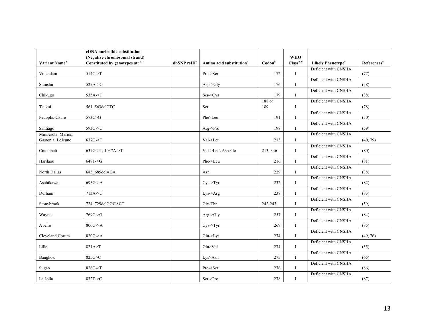|                                         | cDNA nucleotide substitution      |                         |                                      |                    |                       |                                     |                         |
|-----------------------------------------|-----------------------------------|-------------------------|--------------------------------------|--------------------|-----------------------|-------------------------------------|-------------------------|
|                                         | (Negative chromosomal strand)     |                         |                                      |                    | <b>WHO</b>            |                                     |                         |
| Variant Name <sup>a</sup>               | Constituted by genotypes at: a, b | dbSNP rsID <sup>c</sup> | Amino acid substitution <sup>a</sup> | Codon <sup>a</sup> | Class <sup>a, d</sup> | <b>Likely Phenotype<sup>e</sup></b> | References <sup>a</sup> |
| Volendam                                | $514C \rightarrow T$              |                         | Pro->Ser                             | 172                | $\bf{I}$              | Deficient with CNSHA                | (77)                    |
| Shinshu                                 | $527A \rightarrow G$              |                         | Asp > Gly                            | 176                | $\mathbf{I}$          | Deficient with CNSHA                | (58)                    |
| Chikugo                                 | $535A-ST$                         |                         | Ser > Cys                            | 179                | $\mathbf I$           | Deficient with CNSHA                | (38)                    |
| Tsukui                                  | 561 563delCTC                     |                         | Ser                                  | 188 or<br>189      | <b>I</b>              | Deficient with CNSHA                | (78)                    |
| Pedoplis-Ckaro                          | 573C>G                            |                         | Phe>Leu                              | 191                | $\bf{I}$              | Deficient with CNSHA                | (50)                    |
| Santiago                                | 593G->C                           |                         | Arg > Pro                            | 198                | $\mathbf{I}$          | Deficient with CNSHA                | (59)                    |
| Minnesota, Marion,<br>Gastonia, LeJeune | $637G \rightarrow T$              |                         | Val->Leu                             | 213                | $\bf{I}$              | Deficient with CNSHA                | (40, 79)                |
| Cincinnati                              | 637G->T, 1037A->T                 |                         | Val->Leu\ Asn>Ile                    | 213, 346           | $\mathbf{I}$          | Deficient with CNSHA                | (80)                    |
| Harilaou                                | 648T > G                          |                         | Phe->Leu                             | 216                | $\mathbf{I}$          | Deficient with CNSHA                | (81)                    |
| North Dallas                            | 683 685delACA                     |                         | Asn                                  | 229                | $\mathbf{I}$          | Deficient with CNSHA                | (38)                    |
| Asahikawa                               | 695G > A                          |                         | Cys > Tyr                            | 232                | $\mathbf{I}$          | Deficient with CNSHA                | (82)                    |
| Durham                                  | $713A - G$                        |                         | Lys->Arg                             | 238                | $\mathbf{I}$          | Deficient with CNSHA                | (83)                    |
| Stonybrook                              | 724 729delGGCACT                  |                         | Gly-Thr                              | 242-243            | $\mathbf{I}$          | Deficient with CNSHA                | (59)                    |
| Wayne                                   | $769C \rightarrow G$              |                         | Arg > Gly                            | 257                | $\bf{I}$              | Deficient with CNSHA                | (84)                    |
| Aveiro                                  | 806G > A                          |                         | Cys > Tyr                            | 269                | $\mathbf{I}$          | Deficient with CNSHA                | (85)                    |
| Cleveland Corum                         | 820G > A                          |                         | $Glu$ - $\geq$ Lys                   | 274                | I                     | Deficient with CNSHA                | (49, 76)                |
| Lille                                   | 821A>T                            |                         | Glu>Val                              | 274                | $\mathbf I$           | Deficient with CNSHA                | (35)                    |
| Bangkok                                 | 825G>C                            |                         | Lys>Asn                              | 275                | $\mathbf{I}$          | Deficient with CNSHA                | (65)                    |
| Sugao                                   | 826C->T                           |                         | Pro->Ser                             | 276                | $\mathbf{I}$          | Deficient with CNSHA                | (86)                    |
| La Jolla                                | 832T->C                           |                         | Ser->Pro                             | 278                | <b>I</b>              | Deficient with CNSHA                | (87)                    |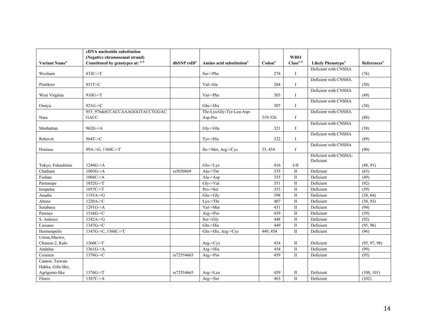|                           | cDNA nucleotide substitution      |                           |                                      |                    |                       |                                     |                         |
|---------------------------|-----------------------------------|---------------------------|--------------------------------------|--------------------|-----------------------|-------------------------------------|-------------------------|
|                           | (Negative chromosomal strand)     |                           |                                      |                    | <b>WHO</b>            |                                     |                         |
| Variant Name <sup>a</sup> | Constituted by genotypes at: a, b | $dbSNP$ rsID <sup>c</sup> | Amino acid substitution <sup>a</sup> | Codon <sup>a</sup> | Class <sup>a, d</sup> | <b>Likely Phenotype<sup>e</sup></b> | References <sup>a</sup> |
| Wexham                    | 833C->T                           |                           | Ser->Phe                             | 278                | I                     | Deficient with CNSHA                | (76)                    |
| Piotrkow                  | 851T>C                            |                           | Val>Ala                              | 284                | I                     | Deficient with CNSHA                | (50)                    |
| West Virginia             | $910G - T$                        |                           | Val->Phe                             | 303                | I                     | Deficient with CNSHA                | (49)                    |
| Omiya                     | 921G > C                          |                           | $Gln \rightarrow His$                | 307                | I                     | Deficient with CNSHA                | (38)                    |
|                           | 953_976delCCACCAAAGGGTACCTGGAC    |                           | Thr-Lys-Gly-Tyr-Leu-Asp-             |                    |                       | Deficient with CNSHA                |                         |
| Nara                      | GACC                              |                           | Asp-Pro                              | 319-326            | I                     |                                     | (88)                    |
| Manhattan                 | 962G > A                          |                           | $Gly$ -> $Glu$                       | 321                | I                     | Deficient with CNSHA                | (38)                    |
| Rehevot                   | 964T > C                          |                           | $Tvr$ - $His$                        | 322                | I                     | Deficient with CNSHA                | (89)                    |
| Honiara                   | 99A->G, 1360C->T                  |                           | Ile->Met, Arg->Cys                   | 33, 454            | $\bf{I}$              | Deficient with CNSHA                | (90)                    |
|                           |                                   |                           |                                      |                    |                       | Deficient with CNSHA-<br>Deficient  |                         |
| Tokyo, Fukushima          | 1246G > A                         |                           | Glu->Lys                             | 416                | $I-II$                |                                     | (48, 91)                |
| Chatham                   | 1003G > A                         | rs5030869                 | $Ala$ ->Thr                          | 335                | $\mathbf{I}$          | Deficient                           | (63)                    |
| Fushan                    | 1004C > A                         |                           | Ala- $>Asp$                          | 335                | $\mathbf{I}$          | Deficient                           | (49)                    |
| Partenope                 | $1052G - T$                       |                           | Gly->Val                             | 351                | $\mathbf{I}$          | Deficient                           | (92)                    |
| Ierapetra                 | $1057C \rightarrow T$             |                           | Pro->Ser                             | 353                | $\mathbf{I}$          | Deficient                           | (59)                    |
| Anadia                    | 1193A > G                         |                           | $Glu$ -> $Glv$                       | 398                | $\mathbf{I}$          | Deficient                           | (38, 64)                |
| Abeno                     | $1220A - C$                       |                           | $Lys-7hr$                            | 407                | $\mathbf{I}$          | Deficient                           | (38, 93)                |
| Surabaya                  | 1291G > A                         |                           | Val->Met                             | 431                | $\mathbf{I}$          | Deficient                           | (94)                    |
| Pawnee                    | $1316G - C$                       |                           | Arg->Pro                             | 439                | $\mathbf{I}$          | Deficient                           | (59)                    |
| S. Antioco                | 1342A > G                         |                           | Ser->Gly                             | 448                | $\mathbf{I}$          | Deficient                           | (92)                    |
| Cassano                   | 1347G > C                         |                           | $Gln$ ->His                          | 449                | $\mathbf{I}$          | Deficient                           | (95, 96)                |
| Hermoupolis               | 1347G->C, 1360C->T                |                           | Gln->His, Arg->Cys                   | 449, 454           | $\mathbf{I}$          | Deficient                           | (96)                    |
| Union, Maewo,             |                                   |                           |                                      |                    |                       |                                     |                         |
| Chinese-2, Kalo           | $1360C \rightarrow T$             |                           | $Arg$ -> $Cys$                       | 454                | $\mathbf{I}$          | Deficient                           | (95, 97, 98)            |
| Andalus                   | 1361G > A                         |                           | Arg->His                             | 454                | $\mathbf{I}$          | Deficient                           | (99)                    |
| Cosenza                   | 1376G > C                         | rs72554665                | Arg->Pro                             | 459                | $\mathbf{I}$          | Deficient                           | (95)                    |
| Canton, Taiwan-           |                                   |                           |                                      |                    |                       |                                     |                         |
| Hakka, Gifu-like,         |                                   |                           |                                      |                    |                       |                                     |                         |
| Agrigento-like            | $1376G \rightarrow T$             | rs72554665                | Arg->Leu                             | 459                | П                     | Deficient                           | (100, 101)              |
| Flores                    | $1387C \rightarrow A$             |                           | Arg->Ser                             | 463                | $\mathbf{I}$          | Deficient                           | (102)                   |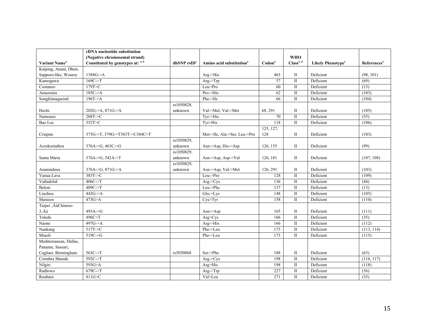|                           | cDNA nucleotide substitution                |                  |                                      |                    |                       |                               |                         |
|---------------------------|---------------------------------------------|------------------|--------------------------------------|--------------------|-----------------------|-------------------------------|-------------------------|
|                           | (Negative chromosomal strand)               |                  |                                      |                    | <b>WHO</b>            |                               |                         |
| Variant Name <sup>a</sup> | Constituted by genotypes at: a, b           | $dbSNP$ rs $IDc$ | Amino acid substitution <sup>a</sup> | Codon <sup>a</sup> | Class <sup>a, d</sup> | Likely Phenotype <sup>e</sup> | References <sup>a</sup> |
| Kaiping, Anant, Dhon,     |                                             |                  |                                      |                    |                       |                               |                         |
| Sapporo-like, Wosera      | 1388G > A                                   |                  | Arg->His                             | 463                | П                     | Deficient                     | (98, 101)               |
| Kamogawa                  | $169C \rightarrow T$                        |                  | $Arg$ ->Trp                          | 57                 | $\mathbf{I}$          | Deficient                     | (69)                    |
| Costanzo                  | 179T>C                                      |                  | Leu>Pro                              | 60                 | $\mathbf{I}$          | Deficient                     | (13)                    |
| Amazonia                  | 185C > A                                    |                  | Pro->His                             | 62                 | $\mathbf{I}$          | Deficient                     | (103)                   |
| Songklanagarind           | 196T > A                                    |                  | Phe->Ile                             | 66                 | $\mathbf{I}$          | Deficient                     | (104)                   |
|                           |                                             | rs1050828,       |                                      |                    |                       |                               |                         |
| Hechi                     | 202G->A, 871G->A                            | unknown          | Val->Met, Val->Met                   | 68, 291            | $\mathbf{I}$          | Deficient                     | (105)                   |
| Namouru                   | $208T \rightarrow C$                        |                  | $Tyr$ -> $His$                       | 70                 | $\mathbf{I}$          | Deficient                     | (55)                    |
| Bao Loc                   | 352T>C                                      |                  | Tyr>His                              | 118                | $\mathbf{I}$          | Deficient                     | (106)                   |
|                           |                                             |                  |                                      | 125, 127,          |                       |                               |                         |
| Crispim                   | 375G->T, 379G->T383T->C384C>T               |                  | Met->Ile, Ala->Ser, Leu->Pro         | 128                | П                     | Deficient                     | (103)                   |
|                           |                                             | rs1050829,       |                                      |                    |                       |                               |                         |
| Acrokorinthos             | $376A > G$ , 463C->G                        | unknown          | Asn->Asp, His->Asp                   | 126, 155           | П                     | Deficient                     | (99)                    |
|                           |                                             | rs1050829,       |                                      |                    |                       |                               |                         |
| Santa Maria               | $376A \rightarrow G$ , 542A $\rightarrow$ T | unknown          | Asn->Asp, Asp->Val                   | 126, 181           | $\mathbf{I}$          | Deficient                     | (107, 108)              |
|                           |                                             | rs1050829,       |                                      |                    |                       |                               |                         |
| Ananindeua                | $376A > G$ , $871G > A$                     | unknown          | Asn->Asp, Val->Met                   | 126, 291           | $\mathbf{I}$          | Deficient                     | (103)                   |
| Vanua Lava                | $383T \rightarrow C$                        |                  | Leu->Pro                             | 128                | $\mathbf{I}$          | Deficient                     | (109)                   |
| Valladolid                | $406C \rightarrow T$                        |                  | Arg->Cys                             | 136                | $\mathbf{I}$          | Deficient                     | (44)                    |
| Belem                     | $409C-FT$                                   |                  | Leu->Phe                             | 137                | $\mathbf{I}$          | Deficient                     | (13)                    |
| Liuzhou                   | 442G > A                                    |                  | $Glu$ - $\geq$ Lys                   | 148                | $\mathbf{I}$          | Deficient                     | (105)                   |
| Shenzen                   | 473G > A                                    |                  | Cys > Tyr                            | 158                | $\mathbf{I}$          | Deficient                     | (110)                   |
| Taipei ,ÄúChinese-        |                                             |                  |                                      |                    |                       |                               |                         |
| $3, \ddot{A} \dot{u}$     | 493A > G                                    |                  | Asn->Asp                             | 165                | $\mathbf{I}$          | Deficient                     | (111)                   |
| Toledo                    | 496C>T                                      |                  | Arg>Cys                              | 166                | $\mathbf{I}$          | Deficient                     | (35)                    |
| Naone                     | 497G > A                                    |                  | Arg->His                             | 166                | $\mathbf{I}$          | Deficient                     | (112)                   |
| Nankang                   | 517T > C                                    |                  | Phe->Leu                             | 173                | $\mathbf{I}$          | Deficient                     | (113, 114)              |
| Miaoli                    | $519C \rightarrow G$                        |                  | Phe->Leu                             | 173                | $\mathbf{I}$          | Deficient                     | (115)                   |
| Mediterranean, Dallas,    |                                             |                  |                                      |                    |                       |                               |                         |
| Panama, Sassari,          |                                             |                  |                                      |                    |                       |                               |                         |
| Cagliari, Birmingham      | $563C \rightarrow T$                        | rs5030868        | Ser->Phe                             | 188                | П                     | Deficient                     | (63)                    |
| Coimbra Shunde            | $592C \rightarrow T$                        |                  | $Arg$ -> $Cys$                       | 198                | $\mathbf{I}$          | Deficient                     | (116, 117)              |
| Nilgiri                   | 593G>A                                      |                  | Arg>His                              | 198                | $\mathbf{I}$          | Deficient                     | (118)                   |
| Radlowo                   | $679C \rightarrow T$                        |                  | Arg->Trp                             | 227                | $\mathbf{I}$          | Deficient                     | (36)                    |
| Roubaix                   | 811G>C                                      |                  | Val>Leu                              | 271                | $\mathbf{I}$          | Deficient                     | (35)                    |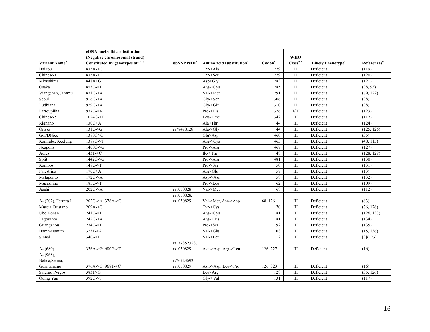|                           | cDNA nucleotide substitution      |                  |                                      |                    |                       |                                     |                         |
|---------------------------|-----------------------------------|------------------|--------------------------------------|--------------------|-----------------------|-------------------------------------|-------------------------|
|                           | (Negative chromosomal strand)     |                  |                                      |                    | <b>WHO</b>            |                                     |                         |
| Variant Name <sup>a</sup> | Constituted by genotypes at: a, b | $dbSNP$ rs $IDc$ | Amino acid substitution <sup>a</sup> | Codon <sup>a</sup> | Class <sup>a, d</sup> | <b>Likely Phenotype<sup>e</sup></b> | References <sup>a</sup> |
| Haikou                    | 835A > G                          |                  | Thr->Ala                             | 279                | $\mathbf{I}$          | Deficient                           | (119)                   |
| Chinese-1                 | 835A->T                           |                  | Thr->Ser                             | 279                | $\rm II$              | Deficient                           | (120)                   |
| Mizushima                 | 848A > G                          |                  | Asp>Glv                              | 283                | $\mathbf{I}$          | Deficient                           | (121)                   |
| Osaka                     | 853C->T                           |                  | $Arg$ -> $C$ ys                      | 285                | $\mathbf{I}$          | Deficient                           | (38, 93)                |
| Viangchan, Jammu          | 871G > A                          |                  | Val->Met                             | 291                | $\mathbf{I}$          | Deficient                           | (79, 122)               |
| Seoul                     | 916G > A                          |                  | Gly->Ser                             | 306                | $\mathbf{I}$          | Deficient                           | (38)                    |
| Ludhiana                  | 929G > A                          |                  | $Gly$ -> $Glu$                       | 310                | $\mathbf{I}$          | Deficient                           | (38)                    |
| Farroupilha               | 977C->A                           |                  | Pro->His                             | 326                | II/III                | Deficient                           | (123)                   |
| Chinese-5                 | 1024C > T                         |                  | Leu->Phe                             | 342                | $\mathop{\rm III}$    | Deficient                           | (117)                   |
| Rignano                   | 130G > A                          |                  | Ala>Thr                              | 44                 | III                   | Deficient                           | (124)                   |
| Orissa                    | $131C \rightarrow G$              | rs78478128       | $Ala-Sdly$                           | 44                 | III                   | Deficient                           | (125, 126)              |
| G6PDNice                  | 1380G>C                           |                  | Glu>Asp                              | 460                | III                   | Deficient                           | (35)                    |
| Kamiube, Keelung          | $1387C \rightarrow T$             |                  | $Arg$ -> $Cys$                       | 463                | $\rm III$             | Deficient                           | (48, 115)               |
| Neapolis                  | $1400C \rightarrow G$             |                  | Pro->Arg                             | 467                | III                   | Deficient                           | (127)                   |
| Aures                     | 143T > C                          |                  | Ile > Thr                            | 48                 | III                   | Deficient                           | (128, 129)              |
| Split                     | 1442C > G                         |                  | Pro->Arg                             | 481                | III                   | Deficient                           | (130)                   |
| Kambos                    | 148C > T                          |                  | Pro->Ser                             | 50                 | III                   | Deficient                           | (131)                   |
| Palestrina                | 170G > A                          |                  | Arg>Glu                              | 57                 | III                   | Deficient                           | (13)                    |
| Metaponto                 | 172G > A                          |                  | Asp > Asn                            | 58                 | III                   | Deficient                           | (132)                   |
| Musashino                 | $185C \rightarrow T$              |                  | Pro->Leu                             | 62                 | $\mathop{\rm III}$    | Deficient                           | (109)                   |
| Asahi                     | 202G > A                          | rs1050828        | Val->Met                             | 68                 | III                   | Deficient                           | (112)                   |
|                           |                                   | rs1050828,       |                                      |                    |                       |                                     |                         |
| A- (202), Ferrara I       | 202G->A, 376A->G                  | rs1050829        | Val->Met, Asn->Asp                   | 68, 126            | Ш                     | Deficient                           | (63)                    |
| Murcia Oristano           | 209A > G                          |                  | $Tvr$ $>Cvs$                         | $\overline{70}$    | III                   | Deficient                           | (76, 126)               |
| Ube Konan                 | 241C > T                          |                  | Arg->Cys                             | 81                 | $\mathop{\rm III}$    | Deficient                           | (126, 133)              |
| Lagosanto                 | 242G > A                          |                  | Arg->His                             | 81                 | $\overline{III}$      | Deficient                           | (134)                   |
| Guangzhou                 | 274C->T                           |                  | Pro->Ser                             | 92                 | III                   | Deficient                           | (135)                   |
| Hammersmith               | 323T > A                          |                  | Val->Glu                             | 108                | $\mathop{\rm III}$    | Deficient                           | (15, 136)               |
| Sinnai                    | $34G \rightarrow T$               |                  | Val->Leu                             | 12                 | III                   | Deficient                           | [3](123)                |
|                           |                                   | rs137852328.     |                                      |                    |                       |                                     |                         |
| $A - (680)$               | $376A > G$ , $680G > T$           | rs1050829        | Asn->Asp, Arg->Leu                   | 126, 227           | $\mathop{\rm III}$    | Deficient                           | (16)                    |
| $A - (968)$ ,             |                                   |                  |                                      |                    |                       |                                     |                         |
| Betica, Selma,            |                                   | rs76723693,      |                                      |                    |                       |                                     |                         |
| Guantanamo                | 376A->G, 968T->C                  | rs1050829        | Asn->Asp, Leu->Pro                   | 126, 323           | $\mathop{\rm III}$    | Deficient                           | (16)                    |
| Salerno Pyrgos            | 383T>G                            |                  | Leu>Arg                              | 128                | $\mathop{\rm III}$    | Deficient                           | (35, 126)               |
| Quing Yan                 | $392G \rightarrow T$              |                  | Gly->Val                             | 131                | $\mathop{\rm III}$    | Deficient                           | (117)                   |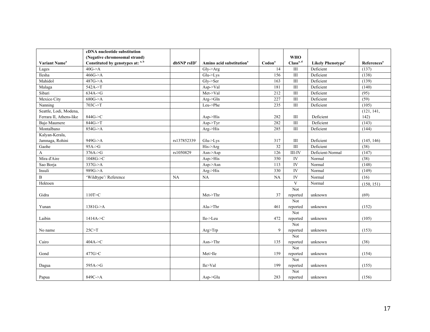|                           | cDNA nucleotide substitution      |                           |                                      |                    |                         |                                     |                         |
|---------------------------|-----------------------------------|---------------------------|--------------------------------------|--------------------|-------------------------|-------------------------------------|-------------------------|
|                           | (Negative chromosomal strand)     |                           |                                      |                    | <b>WHO</b>              |                                     |                         |
| Variant Name <sup>a</sup> | Constituted by genotypes at: a, b | $dbSNP$ rsID <sup>c</sup> | Amino acid substitution <sup>a</sup> | $\mathrm{Codon}^a$ | Class <sup>a, d</sup>   | <b>Likely Phenotype<sup>e</sup></b> | References <sup>a</sup> |
| Lages                     | 40G > A                           |                           | Gly->Arg                             | $\overline{14}$    | $\overline{III}$        | Deficient                           | (137)                   |
| Ilesha                    | 466G > A                          |                           | $Glu$ -> $Lys$                       | 156                | III                     | Deficient                           | (138)                   |
| Mahidol                   | 487G > A                          |                           | $Gly$ ->Ser                          | 163                | $\overline{III}$        | Deficient                           | (139)                   |
| Malaga                    | $542A \rightarrow T$              |                           | Asp->Val                             | 181                | $\rm III$               | Deficient                           | (140)                   |
| Sibari                    | 634A > G                          |                           | Met->Val                             | 212                | $\overline{III}$        | Deficient                           | (95)                    |
| Mexico City               | 680G > A                          |                           | $Arg$ -> $Gln$                       | 227                | $\rm III$               | Deficient                           | (59)                    |
| Nanning                   | $703C \rightarrow T$              |                           | Leu->Phe                             | 235                | $\mathop{\rm III}$      | Deficient                           | (105)                   |
| Seattle, Lodi, Modena,    |                                   |                           |                                      |                    |                         |                                     | (121, 141,              |
| Ferrara II, Athens-like   | 844G->C                           |                           | $Asp-His$                            | 282                | $\rm III$               | Deficient                           | 142)                    |
| Bajo Maumere              | 844G->T                           |                           | Asp > Tyr                            | 282                | $\mathop{\rm III}$      | Deficient                           | (143)                   |
| Montalbano                | 854G > A                          |                           | Arg->His                             | 285                | $\overline{III}$        | Deficient                           | (144)                   |
| Kalyan-Kerala,            |                                   |                           |                                      |                    |                         |                                     |                         |
| Jamnaga, Rohini           | 949G->A                           | rs137852339               | $Glu$ - $\geq$ Lys                   | 317                | $\rm III$               | Deficient                           | (145, 146)              |
| Gaohe                     | $95A-5G$                          |                           | His->Arg                             | 32                 | $\overline{III}$        | Deficient                           | (38)                    |
| A                         | $376A \rightarrow G$              | rs1050829                 | $Asn$ ->Asp                          | $\frac{126}{2}$    | $III$ -IV               | Deficient-Normal                    | (147)                   |
| Mira d'Aire               | 1048G > C                         |                           | Asp->His                             | 350                | ${\rm IV}$              | Normal                              | (38)                    |
| Sao Borja                 | 337G > A                          |                           | Asp > Asn                            | 113                | IV                      | Normal                              | (148)                   |
| Insuli                    | 989G->A                           |                           | Arg->His                             | 330                | IV                      | Normal                              | (149)                   |
| B                         | 'Wildtype'/ Reference             | NA                        | NA                                   | <b>NA</b>          | $\bar{N}$               | Normal                              | (16)                    |
| Hektoen                   |                                   |                           |                                      |                    | V                       | Normal                              | (150, 151)              |
|                           |                                   |                           |                                      |                    | Not                     |                                     |                         |
| Gidra                     | 110T>C                            |                           | Met->Thr                             | 37                 | reported                | unknown                             | (69)                    |
|                           |                                   |                           |                                      |                    | Not                     |                                     |                         |
| Yunan                     | 1381G > A                         |                           | $Ala$ - $Thr$                        | 461                | reported                | unknown                             | (152)                   |
|                           |                                   |                           |                                      |                    | Not                     |                                     |                         |
| Laibin                    | 1414A > C                         |                           | Ile->Leu                             | 472                | reported                | unknown                             | (105)                   |
|                           |                                   |                           |                                      |                    | Not                     |                                     |                         |
| No name                   | 25C > T                           |                           | Arg>Trp                              | 9                  | reported                | unknown                             | (153)                   |
|                           |                                   |                           |                                      |                    | $\overline{\text{Not}}$ |                                     |                         |
| Cairo                     | $404A \rightarrow C$              |                           | $Asn$ ->Thr                          | 135                | reported                | unknown                             | (38)                    |
|                           |                                   |                           |                                      |                    | $\overline{\text{Not}}$ |                                     |                         |
| Gond                      | 477G>C                            |                           | Met>Ile                              | 159                | reported                | unknown                             | (154)                   |
|                           |                                   |                           |                                      |                    | Not                     |                                     |                         |
| Dagua                     | 595A->G                           |                           | Ile>Val                              | 199                | reported                | unknown                             | (155)                   |
|                           |                                   |                           |                                      |                    | Not                     |                                     |                         |
| Papua                     | 849C->A                           |                           | Asp > Glu                            | 283                | reported                | unknown                             | (156)                   |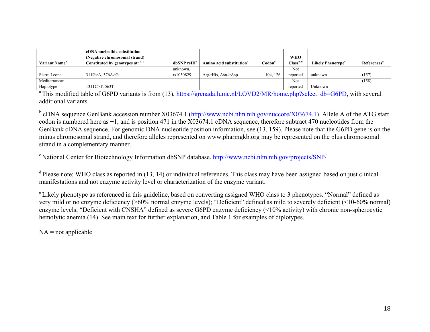|                           | cDNA nucleotide substitution<br>(Negative chromosomal strand) |                  |                                      |                    | <b>WHO</b>            |                               |                                |
|---------------------------|---------------------------------------------------------------|------------------|--------------------------------------|--------------------|-----------------------|-------------------------------|--------------------------------|
| Variant Name <sup>a</sup> | Constituted by genotypes at: <sup>a, b</sup>                  | $dbSNP$ rs $IDc$ | Amino acid substitution <sup>a</sup> | Codon <sup>®</sup> | Class <sup>a, c</sup> | Likely Phenotype <sup>e</sup> | <b>References</b> <sup>a</sup> |
|                           |                                                               | unknown,         |                                      |                    | Not                   |                               |                                |
| Sierra Leone              | $311G > A$ , $376A > G$                                       | rs1050829        | $Arg > His$ , Asn- $\geq$ Asp        | 104.126            | reported              | unknown                       | (157)                          |
| Mediterranean             |                                                               |                  |                                      |                    | Not                   |                               | (158)                          |
| Haplotype                 | 1311C>T, 563T                                                 |                  |                                      |                    | reported              | Unknown                       |                                |

<sup>a</sup> This modified table of G6PD variants is from (13), https://grenada.lumc.nl/LOVD2/MR/home.php?select\_db=G6PD, with several additional variants.

 $b$  cDNA sequence GenBank accession number X03674.1 (http://www.ncbi.nlm.nih.gov/nuccore/X03674.1). Allele A of the ATG start codon is numbered here as +1, and is position 471 in the X03674.1 cDNA sequence, therefore subtract 470 nucleotides from the GenBank cDNA sequence. For genomic DNA nucleotide position information, see (13, 159). Please note that the G6PD gene is on the minus chromosomal strand, and therefore alleles represented on www.pharmgkb.org may be represented on the plus chromosomal strand in a complementary manner.

c National Center for Biotechnology Information dbSNP database. http://www.ncbi.nlm.nih.gov/projects/SNP/

<sup>d</sup> Please note; WHO class as reported in (13, 14) or individual references. This class may have been assigned based on just clinical manifestations and not enzyme activity level or characterization of the enzyme variant.

e Likely phenotype as referenced in this guideline, based on converting assigned WHO class to 3 phenotypes. "Normal" defined as very mild or no enzyme deficiency (>60% normal enzyme levels); "Deficient" defined as mild to severely deficient (<10-60% normal) enzyme levels; "Deficient with CNSHA" defined as severe G6PD enzyme deficiency (<10% activity) with chronic non-spherocytic hemolytic anemia (14). See main text for further explanation, and Table 1 for examples of diplotypes.

 $NA = not applicable$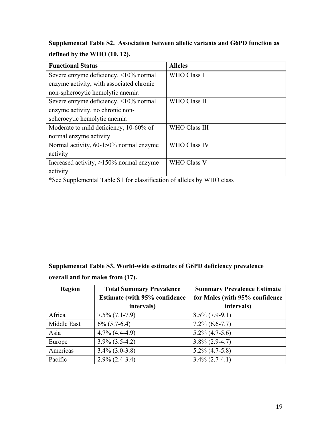**Supplemental Table S2. Association between allelic variants and G6PD function as defined by the WHO (10, 12).**

| <b>Functional Status</b>                   | <b>Alleles</b>       |
|--------------------------------------------|----------------------|
| Severe enzyme deficiency, <10% normal      | <b>WHO Class I</b>   |
| enzyme activity, with associated chronic   |                      |
| non-spherocytic hemolytic anemia           |                      |
| Severe enzyme deficiency, <10% normal      | WHO Class II         |
| enzyme activity, no chronic non-           |                      |
| spherocytic hemolytic anemia               |                      |
| Moderate to mild deficiency, 10-60% of     | <b>WHO Class III</b> |
| normal enzyme activity                     |                      |
| Normal activity, 60-150% normal enzyme     | <b>WHO Class IV</b>  |
| activity                                   |                      |
| Increased activity, $>150\%$ normal enzyme | <b>WHO Class V</b>   |
| activity                                   |                      |

\*See Supplemental Table S1 for classification of alleles by WHO class

**Supplemental Table S3. World-wide estimates of G6PD deficiency prevalence overall and for males from (17).**

| <b>Region</b> | <b>Total Summary Prevalence</b>       | <b>Summary Prevalence Estimate</b> |
|---------------|---------------------------------------|------------------------------------|
|               | <b>Estimate (with 95% confidence)</b> | for Males (with 95% confidence     |
|               | intervals)                            | intervals)                         |
| Africa        | $7.5\% (7.1-7.9)$                     | $8.5\%$ (7.9-9.1)                  |
| Middle East   | $6\%$ (5.7-6.4)                       | $7.2\%$ (6.6-7.7)                  |
| Asia          | $4.7\%$ $(4.4-4.9)$                   | $5.2\% (4.7-5.6)$                  |
| Europe        | $3.9\%$ $(3.5-4.2)$                   | $3.8\%$ (2.9-4.7)                  |
| Americas      | $3.4\%$ (3.0-3.8)                     | $5.2\%$ (4.7-5.8)                  |
| Pacific       | $2.9\%$ (2.4-3.4)                     | $3.4\%$ (2.7-4.1)                  |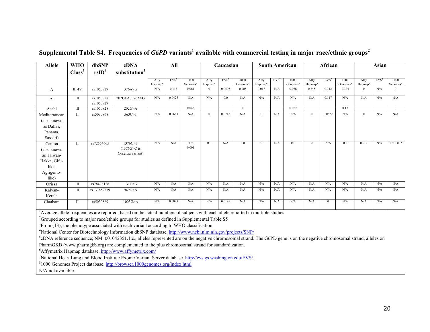| <b>Allele</b>                                                                                    | <b>WHO</b>                                                                                                            | dbSNP                  | cDNA                                                                                                                                                                           |                     | All              |                      |                                 | Caucasian        |                      |                     |         | <b>South American</b> |                     |                  | African<br>Asian     |                     |                  |                      |
|--------------------------------------------------------------------------------------------------|-----------------------------------------------------------------------------------------------------------------------|------------------------|--------------------------------------------------------------------------------------------------------------------------------------------------------------------------------|---------------------|------------------|----------------------|---------------------------------|------------------|----------------------|---------------------|---------|-----------------------|---------------------|------------------|----------------------|---------------------|------------------|----------------------|
|                                                                                                  | Class <sup>3</sup>                                                                                                    | rsID <sup>4</sup>      | substitution <sup>5</sup>                                                                                                                                                      |                     |                  |                      |                                 |                  |                      |                     |         |                       |                     |                  |                      |                     |                  |                      |
|                                                                                                  |                                                                                                                       |                        |                                                                                                                                                                                | Affy                | EVS <sup>7</sup> | 1000                 | Affy                            | EVS <sup>7</sup> | 1000                 | Affy                | $EVS^7$ | 1000                  | Affy                | EVS <sup>7</sup> | 1000                 | Affy                | EVS <sup>7</sup> | 1000                 |
|                                                                                                  |                                                                                                                       |                        |                                                                                                                                                                                | Hapmap <sup>6</sup> |                  | Genomes <sup>8</sup> | Hapmap <sup>6</sup><br>$\Omega$ |                  | Genomes <sup>8</sup> | Hapmap <sup>6</sup> |         | Genomes <sup>8</sup>  | Hapmap <sup>6</sup> | 0.312            | Genomes <sup>8</sup> | Hapmap <sup>6</sup> |                  | Genomes <sup>8</sup> |
| A                                                                                                | III-IV                                                                                                                | rs1050829              | 376A > G                                                                                                                                                                       | N/A                 | 0.113            | 0.081                |                                 | 0.0595           | 0.005                | 0.017               | N/A     | 0.036                 | 0.345               |                  | 0.324                | $\Omega$            | N/A              |                      |
| $A-$                                                                                             | $\rm III$                                                                                                             | rs1050828<br>rs1050829 | 202G>A, 376A>G                                                                                                                                                                 | N/A                 | 0.0425           | N/A                  | N/A                             | 0.0              | N/A                  | N/A                 | N/A     | N/A                   | N/A                 | 0.117            | N/A                  | N/A                 | N/A              | N/A                  |
| Asahi                                                                                            | $\overline{III}$                                                                                                      | rs1050828              | 202G > A                                                                                                                                                                       |                     |                  | 0.043                |                                 |                  | $\mathbf{0}$         |                     |         | 0.022                 |                     |                  | 0.17                 |                     |                  | $\mathbf{0}$         |
| Mediterranean                                                                                    | $\rm II$                                                                                                              | rs5030868              | 563C>T                                                                                                                                                                         | N/A                 | 0.0663           | N/A                  | $\mathbf{0}$                    | 0.0743           | N/A                  | $\mathbf{0}$        | N/A     | N/A                   | $\overline{0}$      | 0.0522           | N/A                  | $\mathbf{0}$        | N/A              | N/A                  |
| (also known                                                                                      |                                                                                                                       |                        |                                                                                                                                                                                |                     |                  |                      |                                 |                  |                      |                     |         |                       |                     |                  |                      |                     |                  |                      |
| as Dallas,                                                                                       |                                                                                                                       |                        |                                                                                                                                                                                |                     |                  |                      |                                 |                  |                      |                     |         |                       |                     |                  |                      |                     |                  |                      |
| Panama,                                                                                          |                                                                                                                       |                        |                                                                                                                                                                                |                     |                  |                      |                                 |                  |                      |                     |         |                       |                     |                  |                      |                     |                  |                      |
| Sassari)                                                                                         |                                                                                                                       |                        |                                                                                                                                                                                |                     |                  |                      |                                 |                  |                      |                     |         |                       |                     |                  |                      |                     |                  |                      |
| Canton                                                                                           | $\mathbf{I}$                                                                                                          | rs72554665             | 1376G > T                                                                                                                                                                      | N/A                 | N/A              | $T =$                | 0.0                             | N/A              | 0.0                  | $\Omega$            | N/A     | 0.0                   | $\mathbf{0}$        | N/A              | 0.0                  | 0.017               | N/A              | $T = 0.002$          |
| (also known                                                                                      |                                                                                                                       |                        | $(1376G > C)$ is                                                                                                                                                               |                     |                  | 0.001                |                                 |                  |                      |                     |         |                       |                     |                  |                      |                     |                  |                      |
| as Taiwan-                                                                                       |                                                                                                                       |                        | Cosenza variant)                                                                                                                                                               |                     |                  |                      |                                 |                  |                      |                     |         |                       |                     |                  |                      |                     |                  |                      |
| Hakka, Gifu-                                                                                     |                                                                                                                       |                        |                                                                                                                                                                                |                     |                  |                      |                                 |                  |                      |                     |         |                       |                     |                  |                      |                     |                  |                      |
| like,                                                                                            |                                                                                                                       |                        |                                                                                                                                                                                |                     |                  |                      |                                 |                  |                      |                     |         |                       |                     |                  |                      |                     |                  |                      |
| Agrigento-                                                                                       |                                                                                                                       |                        |                                                                                                                                                                                |                     |                  |                      |                                 |                  |                      |                     |         |                       |                     |                  |                      |                     |                  |                      |
| like)                                                                                            |                                                                                                                       |                        |                                                                                                                                                                                |                     |                  |                      |                                 |                  |                      |                     |         |                       |                     |                  |                      |                     |                  |                      |
| Orissa                                                                                           | Ш                                                                                                                     | rs78478128             | 131C>G                                                                                                                                                                         | N/A                 | N/A              | N/A                  | N/A                             | N/A              | N/A                  | N/A                 | N/A     | N/A                   | N/A                 | N/A              | N/A                  | N/A                 | N/A              | N/A                  |
| Kalyan-                                                                                          | Ш                                                                                                                     | rs137852339            | 949G>A                                                                                                                                                                         | N/A                 | N/A              | N/A                  | N/A                             | N/A              | N/A                  | N/A                 | N/A     | N/A                   | N/A                 | N/A              | N/A                  | N/A                 | N/A              | N/A                  |
| Kerala                                                                                           |                                                                                                                       |                        |                                                                                                                                                                                |                     |                  |                      |                                 |                  |                      |                     |         |                       |                     |                  |                      |                     |                  |                      |
| Chatham                                                                                          | $\mathbf{I}$                                                                                                          | rs5030869              | 1003G > A                                                                                                                                                                      | N/A                 | 0.0095           | N/A                  | N/A                             | 0.0149           | N/A                  | N/A                 | N/A     | N/A                   | N/A                 | $\mathbf{0}$     | N/A                  | N/A                 | N/A              | N/A                  |
|                                                                                                  |                                                                                                                       |                        | $\rm A$ Average allele frequencies are reported, based on the actual numbers of subjects with each allele reported in multiple studies                                         |                     |                  |                      |                                 |                  |                      |                     |         |                       |                     |                  |                      |                     |                  |                      |
|                                                                                                  |                                                                                                                       |                        |                                                                                                                                                                                |                     |                  |                      |                                 |                  |                      |                     |         |                       |                     |                  |                      |                     |                  |                      |
|                                                                                                  |                                                                                                                       |                        | $^{2}$ Grouped according to major race/ethnic groups for studies as defined in Supplemental Table S5                                                                           |                     |                  |                      |                                 |                  |                      |                     |         |                       |                     |                  |                      |                     |                  |                      |
|                                                                                                  |                                                                                                                       |                        | ${}^{3}$ From (13); the phenotype associated with each variant according to WHO classification                                                                                 |                     |                  |                      |                                 |                  |                      |                     |         |                       |                     |                  |                      |                     |                  |                      |
|                                                                                                  |                                                                                                                       |                        | <sup>4</sup> National Center for Biotechnology Information dbSNP database. http://www.ncbi.nlm.nih.gov/projects/SNP/                                                           |                     |                  |                      |                                 |                  |                      |                     |         |                       |                     |                  |                      |                     |                  |                      |
|                                                                                                  |                                                                                                                       |                        | ${}^5$ cDNA reference sequence; NM 001042351.1:c., alleles represented are on the negative chromosomal strand. The G6PD gene is on the negative chromosomal strand, alleles on |                     |                  |                      |                                 |                  |                      |                     |         |                       |                     |                  |                      |                     |                  |                      |
| PharmGKB (www.pharmgkb.org) are complemented to the plus chromosomal strand for standardization. |                                                                                                                       |                        |                                                                                                                                                                                |                     |                  |                      |                                 |                  |                      |                     |         |                       |                     |                  |                      |                     |                  |                      |
| <sup>6</sup> Affymetrix Hapmap database. http://www.affymetrix.com/                              |                                                                                                                       |                        |                                                                                                                                                                                |                     |                  |                      |                                 |                  |                      |                     |         |                       |                     |                  |                      |                     |                  |                      |
|                                                                                                  | <sup>7</sup> National Heart Lung and Blood Institute Exome Variant Server database. http://evs.gs.washington.edu/EVS/ |                        |                                                                                                                                                                                |                     |                  |                      |                                 |                  |                      |                     |         |                       |                     |                  |                      |                     |                  |                      |
|                                                                                                  |                                                                                                                       |                        | <sup>8</sup> 1000 Genomes Project database. http://browser.1000genomes.org/index.html                                                                                          |                     |                  |                      |                                 |                  |                      |                     |         |                       |                     |                  |                      |                     |                  |                      |
| N/A not available.                                                                               |                                                                                                                       |                        |                                                                                                                                                                                |                     |                  |                      |                                 |                  |                      |                     |         |                       |                     |                  |                      |                     |                  |                      |

# **Supplemental Table S4. Frequencies of** *G6PD* **variants<sup>1</sup> available with commercial testing in major race/ethnic groups<sup>2</sup>**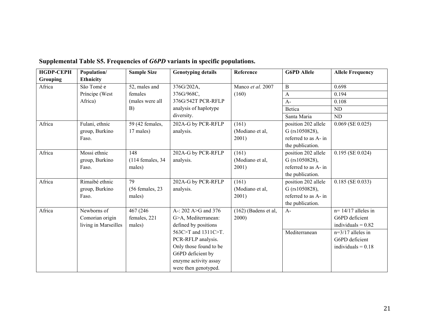| <b>HGDP-CEPH</b> | Population/          | <b>Sample Size</b> | <b>Genotyping details</b> | Reference              | <b>G6PD Allele</b>   | <b>Allele Frequency</b> |
|------------------|----------------------|--------------------|---------------------------|------------------------|----------------------|-------------------------|
| <b>Grouping</b>  | <b>Ethnicity</b>     |                    |                           |                        |                      |                         |
| Africa           | São Tomé e           | 52, males and      | 376G/202A,                | Manco et al. 2007      | $\mathbf B$          | 0.698                   |
|                  | Príncipe (West       | females            | 376G/968C,                | (160)                  | $\mathbf{A}$         | 0.194                   |
|                  | Africa)              | (males were all    | 376G/542T PCR-RFLP        |                        | $A-$                 | 0.108                   |
|                  |                      | B)                 | analysis of haplotype     |                        | Betica               | <b>ND</b>               |
|                  |                      |                    | diversity.                |                        | Santa Maria          | <b>ND</b>               |
| Africa           | Fulani, ethnic       | 59 (42 females,    | 202A-G by PCR-RFLP        | (161)                  | position 202 allele  | $0.069$ (SE 0.025)      |
|                  | group, Burkino       | 17 males)          | analysis.                 | (Modiano et al,        | $G$ (rs1050828),     |                         |
|                  | Faso.                |                    |                           | 2001)                  | referred to as A- in |                         |
|                  |                      |                    |                           |                        | the publication.     |                         |
| Africa           | Mossi ethnic         | 148                | 202A-G by PCR-RFLP        | (161)                  | position 202 allele  | $0.195$ (SE 0.024)      |
|                  | group, Burkino       | $(114$ females, 34 | analysis.                 | (Modiano et al,        | G (rs1050828),       |                         |
|                  | Faso.                | males)             |                           | 2001)                  | referred to as A- in |                         |
|                  |                      |                    |                           |                        | the publication.     |                         |
| Africa           | Rimaibé ethnic       | 79                 | 202A-G by PCR-RFLP        | (161)                  | position 202 allele  | $0.185$ (SE 0.033)      |
|                  | group, Burkino       | $(56$ females, 23  | analysis.                 | (Modiano et al,        | G (rs1050828),       |                         |
|                  | Faso.                | males)             |                           | 2001)                  | referred to as A- in |                         |
|                  |                      |                    |                           |                        | the publication.     |                         |
| Africa           | Newborns of          | 467 (246)          | A-: 202 A>G and 376       | $(162)$ (Badens et al. | $A-$                 | $n=14/17$ alleles in    |
|                  | Comorian origin      | females, 221       | G>A, Mediterranean:       | 2000                   |                      | G6PD deficient          |
|                  | living in Marseilles | males)             | defined by positions      |                        |                      | individuals = $0.82$    |
|                  |                      |                    | 563C>T and 1311C>T.       |                        | Mediterranean        | $n=3/17$ alleles in     |
|                  |                      |                    | PCR-RFLP analysis.        |                        |                      | G6PD deficient          |
|                  |                      |                    | Only those found to be    |                        |                      | individuals = $0.18$    |
|                  |                      |                    | G6PD deficient by         |                        |                      |                         |
|                  |                      |                    | enzyme activity assay     |                        |                      |                         |
|                  |                      |                    | were then genotyped.      |                        |                      |                         |

# **Supplemental Table S5. Frequencies of** *G6PD* **variants in specific populations.**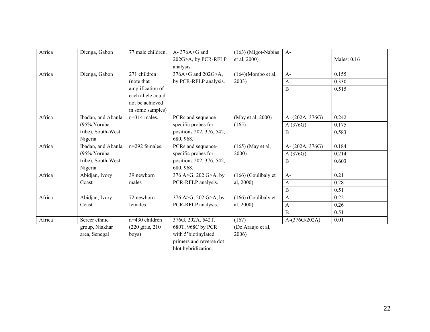| Africa | Dienga, Gabon      | 77 male children.          | A- $376A > G$ and<br>202G>A, by PCR-RFLP | (163) (Migot-Nabias<br>et al, 2000) | $A-$            | Males: 0.16 |
|--------|--------------------|----------------------------|------------------------------------------|-------------------------------------|-----------------|-------------|
|        |                    |                            | analysis.                                |                                     |                 |             |
| Africa | Dienga, Gabon      | 271 children               | 376A>G and 202G>A,                       | $(164)$ (Mombo et al,               | $A-$            | 0.155       |
|        |                    | (note that)                | by PCR-RFLP analysis.                    | 2003)                               | A               | 0.330       |
|        |                    | amplification of           |                                          |                                     | B               | 0.515       |
|        |                    | each allele could          |                                          |                                     |                 |             |
|        |                    | not be achieved            |                                          |                                     |                 |             |
|        |                    | in some samples)           |                                          |                                     |                 |             |
| Africa | Ibadan, and Abanla | $n=314$ males.             | PCRs and sequence-                       | (May et al, 2000)                   | A-(202A, 376G)  | 0.242       |
|        | (95% Yoruba        |                            | specific probes for                      | (165)                               | A(376G)         | 0.175       |
|        | tribe), South-West |                            | positions 202, 376, 542,                 |                                     | B               | 0.583       |
|        | Nigeria            |                            | 680, 968.                                |                                     |                 |             |
| Africa | Ibadan, and Abanla | n=292 females.             | PCRs and sequence-                       | $(165)$ (May et al,                 | A-(202A, 376G)  | 0.184       |
|        | (95% Yoruba        |                            | specific probes for                      | 2000)                               | A (376G)        | 0.214       |
|        | tribe), South-West |                            | positions 202, 376, 542,                 |                                     | B               | 0.603       |
|        | Nigeria            |                            | 680, 968.                                |                                     |                 |             |
| Africa | Abidjan, Ivory     | 39 newborn                 | 376 A>G, 202 G>A, by                     | $(166)$ (Coulibaly et               | $A-$            | 0.21        |
|        | Coast              | males                      | PCR-RFLP analysis.                       | al, 2000)                           | A               | 0.28        |
|        |                    |                            |                                          |                                     | $\, {\bf B}$    | 0.51        |
| Africa | Abidjan, Ivory     | 72 newborn                 | 376 A>G, 202 G>A, by                     | (166) (Coulibaly et                 | $A-$            | 0.22        |
|        | Coast              | females                    | PCR-RFLP analysis.                       | al, 2000)                           | $\mathbf{A}$    | 0.26        |
|        |                    |                            |                                          |                                     | <sub>B</sub>    | 0.51        |
| Africa | Sereer ethnic      | n=430 children             | 376G, 202A, 542T,                        | (167)                               | $A-(376G/202A)$ | 0.01        |
|        | group, Niakhar     | $(220 \text{ girls}, 210)$ | 680T, 968C by PCR                        | (De Araujo et al,                   |                 |             |
|        | area, Senegal      | boys)                      | with 5'biotinylated                      | 2006)                               |                 |             |

primers and reverse dot blot hybridization.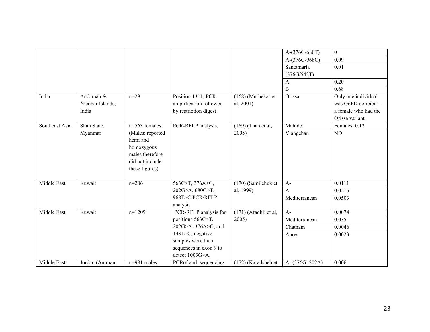|                |                  |                   |                        |                       | A-(376G/680T)  | $\mathbf{0}$         |
|----------------|------------------|-------------------|------------------------|-----------------------|----------------|----------------------|
|                |                  |                   |                        |                       | A-(376G/968C)  | 0.09                 |
|                |                  |                   |                        |                       | Santamaria     | 0.01                 |
|                |                  |                   |                        |                       | (376G/542T)    |                      |
|                |                  |                   |                        |                       | A              | 0.20                 |
|                |                  |                   |                        |                       | $\, {\bf B}$   | 0.68                 |
| India          | Andaman &        | $n=29$            | Position 1311, PCR     | (168) (Murhekar et    | Orissa         | Only one individual  |
|                | Nicobar Islands, |                   | amplification followed | al, 2001)             |                | was G6PD deficient-  |
|                | India            |                   | by restriction digest  |                       |                | a female who had the |
|                |                  |                   |                        |                       |                | Orissa variant.      |
| Southeast Asia | Shan State,      | n=563 females     | PCR-RFLP analysis.     | $(169)$ (Than et al,  | Mahidol        | Females: 0.12        |
|                | Myanmar          | (Males: reported) |                        | 2005)                 | Viangchan      | <b>ND</b>            |
|                |                  | hemi and          |                        |                       |                |                      |
|                |                  | homozygous        |                        |                       |                |                      |
|                |                  | males therefore   |                        |                       |                |                      |
|                |                  | did not include   |                        |                       |                |                      |
|                |                  | these figures)    |                        |                       |                |                      |
|                |                  |                   |                        |                       |                |                      |
| Middle East    | Kuwait           | $n=206$           | 563C>T, 376A>G,        | (170) (Samilchuk et   | $A-$           | 0.0111               |
|                |                  |                   | 202G>A, 680G>T,        | al, 1999)             | $\mathbf{A}$   | 0.0215               |
|                |                  |                   | 968T>C PCR/RFLP        |                       | Mediterranean  | 0.0503               |
|                |                  |                   | analysis               |                       |                |                      |
| Middle East    | Kuwait           | $n=1209$          | PCR-RFLP analysis for  | (171) (Afadhli et al, | $A-$           | 0.0074               |
|                |                  |                   | positions 563C>T,      | 2005)                 | Mediterranean  | 0.035                |
|                |                  |                   | 202G>A, 376A>G, and    |                       | Chatham        | 0.0046               |
|                |                  |                   | 143T>C, negative       |                       | Aures          | 0.0023               |
|                |                  |                   | samples were then      |                       |                |                      |
|                |                  |                   | sequences in exon 9 to |                       |                |                      |
|                |                  |                   | detect 1003G>A.        |                       |                |                      |
| Middle East    | Jordan (Amman    | $n=981$ males     | PCRof and sequencing   | $(172)$ (Karadsheh et | A-(376G, 202A) | 0.006                |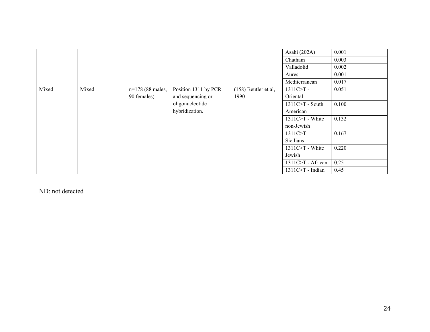|       |       |                  |                      |                      | Asahi (202A)        | 0.001 |
|-------|-------|------------------|----------------------|----------------------|---------------------|-------|
|       |       |                  |                      |                      | Chatham             | 0.003 |
|       |       |                  |                      |                      | Valladolid          | 0.002 |
|       |       |                  |                      |                      | Aures               | 0.001 |
|       |       |                  |                      |                      | Mediterranean       | 0.017 |
| Mixed | Mixed | n=178 (88 males, | Position 1311 by PCR | (158) Beutler et al, | $1311C > T -$       | 0.051 |
|       |       | 90 females)      | and sequencing or    | 1990                 | Oriental            |       |
|       |       |                  | oligonucleotide      |                      | $1311C > T - South$ | 0.100 |
|       |       |                  | hybridization.       |                      | American            |       |
|       |       |                  |                      |                      | $1311C > T$ - White | 0.132 |
|       |       |                  |                      |                      | non-Jewish          |       |
|       |       |                  |                      |                      | $1311C > T -$       | 0.167 |
|       |       |                  |                      |                      | <b>Sicilians</b>    |       |
|       |       |                  |                      |                      | $1311C>T$ - White   | 0.220 |
|       |       |                  |                      |                      | Jewish              |       |
|       |       |                  |                      |                      | 1311C>T - African   | 0.25  |
|       |       |                  |                      |                      | $1311C>T$ - Indian  | 0.45  |

ND: not detected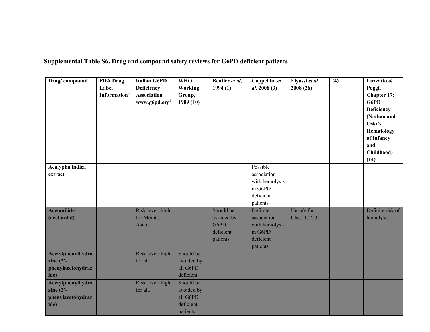**Supplemental Table S6. Drug and compound safety reviews for G6PD deficient patients**

| Drug/compound                                                  | <b>FDA</b> Drug<br>Label<br><b>Information</b> <sup>a</sup> | <b>Italian G6PD</b><br><b>Deficiency</b><br><b>Association</b><br>www.g6pd.org <sup>b</sup> | <b>WHO</b><br>Working<br>Group,<br>1989(10)                   | Beutler et al,<br>1994(1)                                 | Cappellini et<br>al, 2008(3)                                                   | Elyassi et al,<br>2008(26)   | (4) | Luzzatto &<br>Poggi,<br>Chapter 17:<br>G6PD<br><b>Deficiency</b><br>(Nathan and<br>Oski's<br>Hematology<br>of Infancy<br>and<br>Childhood)<br>(14) |
|----------------------------------------------------------------|-------------------------------------------------------------|---------------------------------------------------------------------------------------------|---------------------------------------------------------------|-----------------------------------------------------------|--------------------------------------------------------------------------------|------------------------------|-----|----------------------------------------------------------------------------------------------------------------------------------------------------|
| Acalypha indica<br>extract                                     |                                                             |                                                                                             |                                                               |                                                           | Possible<br>association<br>with hemolysis<br>in G6PD<br>deficient<br>patients. |                              |     |                                                                                                                                                    |
| <b>Acetanilide</b><br>(acetanilid)                             |                                                             | Risk level: high,<br>for Medit.,<br>Asian.                                                  |                                                               | Should be<br>avoided by<br>G6PD<br>deficient<br>patients. | Definite<br>association<br>with hemolysis<br>in G6PD<br>deficient<br>patients. | Unsafe for<br>Class 1, 2, 3. |     | Definite risk of<br>hemolysis                                                                                                                      |
| Acetylphenylhydra<br>zine $(2)$ -<br>phenylacetohydraz<br>ide) |                                                             | Risk level: high,<br>for all.                                                               | Should be<br>avoided by<br>all G6PD<br>deficient              |                                                           |                                                                                |                              |     |                                                                                                                                                    |
| Acetylphenylhydra<br>zine $(2)$ -<br>phenylacetohydraz<br>ide) |                                                             | Risk level: high,<br>for all.                                                               | Should be<br>avoided by<br>all G6PD<br>deficient<br>patients. |                                                           |                                                                                |                              |     |                                                                                                                                                    |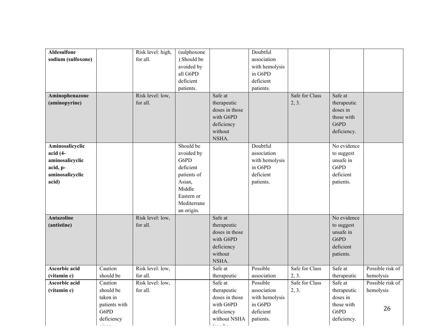| <b>Aldesulfone</b>   |               | Risk level: high, | (sulphoxone |                | Doubtful       |                |             |                  |
|----------------------|---------------|-------------------|-------------|----------------|----------------|----------------|-------------|------------------|
| sodium (sulfoxone)   |               | for all.          | ) Should be |                | association    |                |             |                  |
|                      |               |                   | avoided by  |                | with hemolysis |                |             |                  |
|                      |               |                   | all G6PD    |                | in G6PD        |                |             |                  |
|                      |               |                   | deficient   |                | deficient      |                |             |                  |
|                      |               |                   | patients.   |                | patients.      |                |             |                  |
| Aminophenazone       |               | Risk level: low,  |             | Safe at        |                | Safe for Class | Safe at     |                  |
| (aminopyrine)        |               | for all.          |             | therapeutic    |                | 2, 3.          | therapeutic |                  |
|                      |               |                   |             | doses in those |                |                | doses in    |                  |
|                      |               |                   |             | with G6PD      |                |                | those with  |                  |
|                      |               |                   |             | deficiency     |                |                | G6PD        |                  |
|                      |               |                   |             | without        |                |                | deficiency. |                  |
|                      |               |                   |             | NSHA.          |                |                |             |                  |
| Aminosalicyclic      |               |                   | Should be   |                | Doubtful       |                | No evidence |                  |
| $acid (4-$           |               |                   | avoided by  |                | association    |                | to suggest  |                  |
| aminosalicyclic      |               |                   | G6PD        |                | with hemolysis |                | unsafe in   |                  |
| acid, p-             |               |                   | deficient   |                | in G6PD        |                | G6PD        |                  |
| aminosalicyclic      |               |                   | patients of |                | deficient      |                | deficient   |                  |
| acid)                |               |                   | Asian,      |                | patients.      |                | patients.   |                  |
|                      |               |                   | Middle      |                |                |                |             |                  |
|                      |               |                   | Eastern or  |                |                |                |             |                  |
|                      |               |                   | Mediterrane |                |                |                |             |                  |
|                      |               |                   | an origin.  |                |                |                |             |                  |
| <b>Antazoline</b>    |               | Risk level: low,  |             | Safe at        |                |                | No evidence |                  |
| (antistine)          |               | for all.          |             | therapeutic    |                |                | to suggest  |                  |
|                      |               |                   |             | doses in those |                |                | unsafe in   |                  |
|                      |               |                   |             | with G6PD      |                |                | G6PD        |                  |
|                      |               |                   |             | deficiency     |                |                | deficient   |                  |
|                      |               |                   |             | without        |                |                | patients.   |                  |
|                      |               |                   |             | NSHA.          |                |                |             |                  |
| Ascorbic acid        | Caution       | Risk level: low,  |             | Safe at        | Possible       | Safe for Class | Safe at     | Possible risk of |
| (vitamin c)          | should be     | for all.          |             | therapeutic    | association    | 2, 3.          | therapeutic | hemolysis        |
| <b>Ascorbic acid</b> | Caution       | Risk level: low,  |             | Safe at        | Possible       | Safe for Class | Safe at     | Possible risk of |
| (vitamin c)          | should be     | for all.          |             | therapeutic    | association    | 2, 3.          | therapeutic | hemolysis        |
|                      | taken in      |                   |             | doses in those | with hemolysis |                | doses in    |                  |
|                      | patients with |                   |             | with G6PD      | in G6PD        |                | those with  | 26               |
|                      | G6PD          |                   |             | deficiency     | deficient      |                | G6PD        |                  |
|                      | deficiency    |                   |             | without NSHA   | patients.      |                | deficiency. |                  |
|                      |               |                   |             | $\chi^2 = 1/4$ |                |                |             |                  |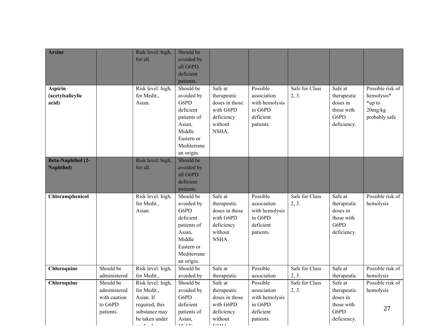| <b>Arsine</b>                                |                                                                   | Risk level: high,<br>for all.                                                                                  | Should be<br>avoided by<br>all G6PD<br>deficient<br>patients.                                                              |                                                                                                 |                                                                                |                         |                                                                         |                                                                      |
|----------------------------------------------|-------------------------------------------------------------------|----------------------------------------------------------------------------------------------------------------|----------------------------------------------------------------------------------------------------------------------------|-------------------------------------------------------------------------------------------------|--------------------------------------------------------------------------------|-------------------------|-------------------------------------------------------------------------|----------------------------------------------------------------------|
| <b>Aspirin</b><br>(acetylsalicylic<br>acid)  |                                                                   | Risk level: high,<br>for Medit.,<br>Asian.                                                                     | Should be<br>avoided by<br>G6PD<br>deficient<br>patients of<br>Asian,<br>Middle<br>Eastern or<br>Mediterrane<br>an origin. | Safe at<br>therapeutic<br>doses in those<br>with G6PD<br>deficiency<br>without<br>NSHA.         | Possible<br>association<br>with hemolysis<br>in G6PD<br>deficient<br>patients. | Safe for Class<br>2, 3. | Safe at<br>therapeutic<br>doses in<br>those with<br>G6PD<br>deficiency. | Possible risk of<br>hemolysis*<br>*up to<br>20mg/kg<br>probably safe |
| <b>Beta-Naphthol</b> (2-<br><b>Naphthol)</b> |                                                                   | Risk level: high,<br>for all.                                                                                  | Should be<br>avoided by<br>all G6PD<br>deficient<br>patients.                                                              |                                                                                                 |                                                                                |                         |                                                                         |                                                                      |
| Chloramphenicol                              |                                                                   | Risk level: high,<br>for Medit.,<br>Asian.                                                                     | Should be<br>avoided by<br>G6PD<br>deficient<br>patients of<br>Asian,<br>Middle<br>Eastern or<br>Mediterrane<br>an origin. | Safe at<br>therapeutic<br>doses in those<br>with G6PD<br>deficiency<br>without<br>NSHA.         | Possible<br>association<br>with hemolysis<br>in G6PD<br>deficient<br>patients. | Safe for Class<br>2, 3. | Safe at<br>therapeutic<br>doses in<br>those with<br>G6PD<br>deficiency. | Possible risk of<br>hemolysis                                        |
| Chloroquine                                  | Should be<br>administered                                         | Risk level: high,<br>for Medit.,                                                                               | Should be<br>avoided by                                                                                                    | Safe at<br>therapeutic                                                                          | Possible<br>association                                                        | Safe for Class<br>2, 3. | Safe at<br>therapeutic                                                  | Possible risk of<br>hemolysis                                        |
| Chloroquine                                  | Should be<br>administered<br>with caution<br>to G6PD<br>patients. | Risk level: high,<br>for Medit.,<br>Asian. If<br>required, this<br>substance may<br>be taken under<br>$11 - 1$ | Should be<br>avoided by<br>G6PD<br>deficient<br>patients of<br>Asian,<br>3.5131                                            | Safe at<br>therapeutic<br>doses in those<br>with G6PD<br>deficiency<br>without<br><b>ATOTTA</b> | Possible<br>association<br>with hemolysis<br>in G6PD<br>deficient<br>patients. | Safe for Class<br>2, 3. | Safe at<br>therapeutic<br>doses in<br>those with<br>G6PD<br>deficiency. | Possible risk of<br>hemolysis<br>27                                  |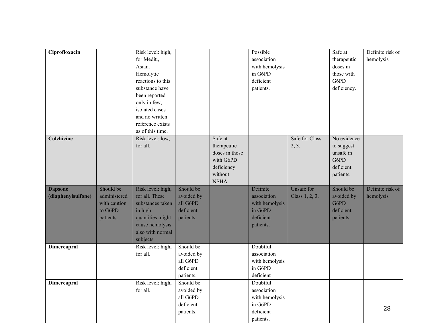| Ciprofloxacin                        |                                                                   | Risk level: high,<br>for Medit.,<br>Asian.<br>Hemolytic<br>reactions to this<br>substance have<br>been reported<br>only in few,<br>isolated cases<br>and no written<br>reference exists<br>as of this time. |                                                               |                                                                                         | Possible<br>association<br>with hemolysis<br>in G6PD<br>deficient<br>patients. |                                     | Safe at<br>therapeutic<br>doses in<br>those with<br>G6PD<br>deficiency.  | Definite risk of<br>hemolysis |
|--------------------------------------|-------------------------------------------------------------------|-------------------------------------------------------------------------------------------------------------------------------------------------------------------------------------------------------------|---------------------------------------------------------------|-----------------------------------------------------------------------------------------|--------------------------------------------------------------------------------|-------------------------------------|--------------------------------------------------------------------------|-------------------------------|
| Colchicine                           |                                                                   | Risk level: low,<br>for all.                                                                                                                                                                                |                                                               | Safe at<br>therapeutic<br>doses in those<br>with G6PD<br>deficiency<br>without<br>NSHA. |                                                                                | Safe for Class<br>2, 3.             | No evidence<br>to suggest<br>unsafe in<br>G6PD<br>deficient<br>patients. |                               |
| <b>Dapsone</b><br>(diaphenylsulfone) | Should be<br>administered<br>with caution<br>to G6PD<br>patients. | Risk level: high,<br>for all. These<br>substances taken<br>in high<br>quantities might<br>cause hemolysis<br>also with normal<br>subjects.                                                                  | Should be<br>avoided by<br>all G6PD<br>deficient<br>patients. |                                                                                         | Definite<br>association<br>with hemolysis<br>in G6PD<br>deficient<br>patients. | <b>Unsafe for</b><br>Class 1, 2, 3. | Should be<br>avoided by<br>G6PD<br>deficient<br>patients.                | Definite risk of<br>hemolysis |
| Dimercaprol                          |                                                                   | Risk level: high,<br>for all.                                                                                                                                                                               | Should be<br>avoided by<br>all G6PD<br>deficient<br>patients. |                                                                                         | Doubtful<br>association<br>with hemolysis<br>in G6PD<br>deficient              |                                     |                                                                          |                               |
| Dimercaprol                          |                                                                   | Risk level: high,<br>for all.                                                                                                                                                                               | Should be<br>avoided by<br>all G6PD<br>deficient<br>patients. |                                                                                         | Doubtful<br>association<br>with hemolysis<br>in G6PD<br>deficient<br>patients. |                                     |                                                                          | 28                            |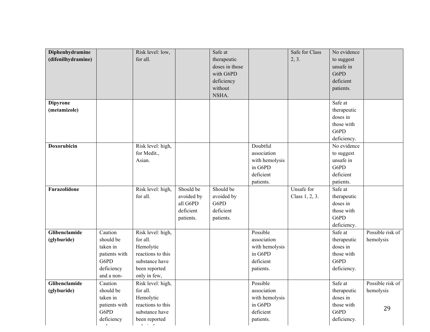| Diphenhydramine    |               | Risk level: low,  |            | Safe at        |                | Safe for Class | No evidence |                  |
|--------------------|---------------|-------------------|------------|----------------|----------------|----------------|-------------|------------------|
| (difenilhydramine) |               | for all.          |            | therapeutic    |                | 2, 3.          | to suggest  |                  |
|                    |               |                   |            | doses in those |                |                | unsafe in   |                  |
|                    |               |                   |            | with G6PD      |                |                | G6PD        |                  |
|                    |               |                   |            | deficiency     |                |                | deficient   |                  |
|                    |               |                   |            | without        |                |                | patients.   |                  |
|                    |               |                   |            | NSHA.          |                |                |             |                  |
| <b>Dipyrone</b>    |               |                   |            |                |                |                | Safe at     |                  |
| (metamizole)       |               |                   |            |                |                |                | therapeutic |                  |
|                    |               |                   |            |                |                |                | doses in    |                  |
|                    |               |                   |            |                |                |                | those with  |                  |
|                    |               |                   |            |                |                |                | G6PD        |                  |
|                    |               |                   |            |                |                |                | deficiency. |                  |
| <b>Doxorubicin</b> |               | Risk level: high, |            |                | Doubtful       |                | No evidence |                  |
|                    |               | for Medit.,       |            |                | association    |                | to suggest  |                  |
|                    |               | Asian.            |            |                | with hemolysis |                | unsafe in   |                  |
|                    |               |                   |            |                | in G6PD        |                | G6PD        |                  |
|                    |               |                   |            |                | deficient      |                | deficient   |                  |
|                    |               |                   |            |                | patients.      |                | patients.   |                  |
| Furazolidone       |               | Risk level: high, | Should be  | Should be      |                | Unsafe for     | Safe at     |                  |
|                    |               | for all.          | avoided by | avoided by     |                | Class 1, 2, 3. | therapeutic |                  |
|                    |               |                   | all G6PD   | G6PD           |                |                | doses in    |                  |
|                    |               |                   | deficient  | deficient      |                |                | those with  |                  |
|                    |               |                   | patients.  | patients.      |                |                | G6PD        |                  |
|                    |               |                   |            |                |                |                | deficiency. |                  |
| Glibenclamide      | Caution       | Risk level: high, |            |                | Possible       |                | Safe at     | Possible risk of |
| (glyburide)        | should be     | for all.          |            |                | association    |                | therapeutic | hemolysis        |
|                    | taken in      | Hemolytic         |            |                | with hemolysis |                | doses in    |                  |
|                    | patients with | reactions to this |            |                | in G6PD        |                | those with  |                  |
|                    | G6PD          | substance have    |            |                | deficient      |                | G6PD        |                  |
|                    | deficiency    | been reported     |            |                | patients.      |                | deficiency. |                  |
|                    | and a non-    | only in few,      |            |                |                |                |             |                  |
| Glibenclamide      | Caution       | Risk level: high, |            |                | Possible       |                | Safe at     | Possible risk of |
| (glyburide)        | should be     | for all.          |            |                | association    |                | therapeutic | hemolysis        |
|                    | taken in      | Hemolytic         |            |                | with hemolysis |                | doses in    |                  |
|                    | patients with | reactions to this |            |                | in G6PD        |                | those with  |                  |
|                    | G6PD          | substance have    |            |                | deficient      |                | G6PD        | 29               |
|                    | deficiency    | been reported     |            |                | patients.      |                | deficiency. |                  |

and a non-

only in few, we have  $\mathcal{O}(\mathbb{R}^n)$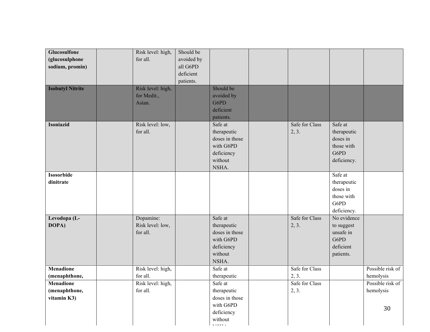| Glucosulfone            | Should be<br>Risk level: high, |                |                |             |                  |
|-------------------------|--------------------------------|----------------|----------------|-------------|------------------|
| (glucosulphone          | for all.<br>avoided by         |                |                |             |                  |
| sodium, promin)         | all G6PD                       |                |                |             |                  |
|                         | deficient                      |                |                |             |                  |
|                         |                                |                |                |             |                  |
|                         | patients.                      |                |                |             |                  |
| <b>Isobutyl Nitrite</b> | Risk level: high,              | Should be      |                |             |                  |
|                         | for Medit.,                    | avoided by     |                |             |                  |
|                         | Asian.                         | G6PD           |                |             |                  |
|                         |                                | deficient      |                |             |                  |
|                         |                                | patients.      |                |             |                  |
| <b>Isoniazid</b>        | Risk level: low,               | Safe at        | Safe for Class | Safe at     |                  |
|                         | for all.                       | therapeutic    | 2, 3.          | therapeutic |                  |
|                         |                                | doses in those |                | doses in    |                  |
|                         |                                | with G6PD      |                | those with  |                  |
|                         |                                | deficiency     |                | G6PD        |                  |
|                         |                                | without        |                | deficiency. |                  |
|                         |                                | NSHA.          |                |             |                  |
| <b>Isosorbide</b>       |                                |                |                | Safe at     |                  |
| dinitrate               |                                |                |                | therapeutic |                  |
|                         |                                |                |                | doses in    |                  |
|                         |                                |                |                | those with  |                  |
|                         |                                |                |                | G6PD        |                  |
|                         |                                |                |                | deficiency. |                  |
| Levodopa (L-            | Dopamine:                      | Safe at        | Safe for Class | No evidence |                  |
| DOPA)                   | Risk level: low,               | therapeutic    | 2, 3.          | to suggest  |                  |
|                         | for all.                       | doses in those |                | unsafe in   |                  |
|                         |                                | with G6PD      |                | G6PD        |                  |
|                         |                                | deficiency     |                | deficient   |                  |
|                         |                                | without        |                | patients.   |                  |
|                         |                                | NSHA.          |                |             |                  |
| <b>Menadione</b>        | Risk level: high,              | Safe at        | Safe for Class |             | Possible risk of |
| (menaphthone,           | for all.                       | therapeutic    | 2, 3.          |             | hemolysis        |
| <b>Menadione</b>        | Risk level: high,              | Safe at        | Safe for Class |             | Possible risk of |
| (menaphthone,           | for all.                       | therapeutic    | 2, 3.          |             | hemolysis        |
| vitamin K3)             |                                | doses in those |                |             |                  |
|                         |                                | with G6PD      |                |             |                  |
|                         |                                | deficiency     |                |             | 30               |
|                         |                                | without        |                |             |                  |

 $\frac{1}{2}$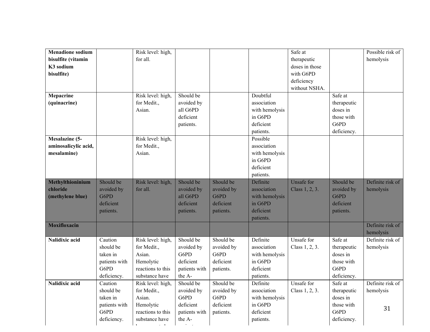| Possible risk of<br><b>Menadione sodium</b><br>Risk level: high,<br>Safe at<br>for all.<br>hemolysis<br>bisulfite (vitamin<br>therapeutic<br>K3 sodium<br>doses in those<br>bisulfite)<br>with G6PD<br>deficiency<br>without NSHA.<br>Should be<br>Doubtful<br>Safe at<br>Mepacrine<br>Risk level: high,<br>(quinacrine)<br>for Medit.,<br>avoided by<br>association<br>therapeutic<br>Asian.<br>all G6PD<br>doses in<br>with hemolysis<br>deficient<br>in G6PD<br>those with<br>G6PD<br>deficient<br>patients.<br>deficiency.<br>patients.<br><b>Mesalazine (5-</b><br>Risk level: high,<br>Possible<br>for Medit.,<br>association<br>aminosalicylic acid, |
|-------------------------------------------------------------------------------------------------------------------------------------------------------------------------------------------------------------------------------------------------------------------------------------------------------------------------------------------------------------------------------------------------------------------------------------------------------------------------------------------------------------------------------------------------------------------------------------------------------------------------------------------------------------|
|                                                                                                                                                                                                                                                                                                                                                                                                                                                                                                                                                                                                                                                             |
|                                                                                                                                                                                                                                                                                                                                                                                                                                                                                                                                                                                                                                                             |
|                                                                                                                                                                                                                                                                                                                                                                                                                                                                                                                                                                                                                                                             |
|                                                                                                                                                                                                                                                                                                                                                                                                                                                                                                                                                                                                                                                             |
|                                                                                                                                                                                                                                                                                                                                                                                                                                                                                                                                                                                                                                                             |
|                                                                                                                                                                                                                                                                                                                                                                                                                                                                                                                                                                                                                                                             |
|                                                                                                                                                                                                                                                                                                                                                                                                                                                                                                                                                                                                                                                             |
|                                                                                                                                                                                                                                                                                                                                                                                                                                                                                                                                                                                                                                                             |
|                                                                                                                                                                                                                                                                                                                                                                                                                                                                                                                                                                                                                                                             |
|                                                                                                                                                                                                                                                                                                                                                                                                                                                                                                                                                                                                                                                             |
|                                                                                                                                                                                                                                                                                                                                                                                                                                                                                                                                                                                                                                                             |
|                                                                                                                                                                                                                                                                                                                                                                                                                                                                                                                                                                                                                                                             |
|                                                                                                                                                                                                                                                                                                                                                                                                                                                                                                                                                                                                                                                             |
|                                                                                                                                                                                                                                                                                                                                                                                                                                                                                                                                                                                                                                                             |
| Asian.<br>with hemolysis<br>mesalamine)                                                                                                                                                                                                                                                                                                                                                                                                                                                                                                                                                                                                                     |
| in G6PD                                                                                                                                                                                                                                                                                                                                                                                                                                                                                                                                                                                                                                                     |
| deficient                                                                                                                                                                                                                                                                                                                                                                                                                                                                                                                                                                                                                                                   |
| patients.                                                                                                                                                                                                                                                                                                                                                                                                                                                                                                                                                                                                                                                   |
| Should be<br>Should be<br>Should be<br><b>Unsafe for</b><br>Should be<br>Methylthioninium<br>Definite<br>Definite risk of<br>Risk level: high,                                                                                                                                                                                                                                                                                                                                                                                                                                                                                                              |
| avoided by<br>avoided by<br>chloride<br>avoided by<br>for all.<br>avoided by<br>association<br>Class 1, 2, 3.<br>hemolysis                                                                                                                                                                                                                                                                                                                                                                                                                                                                                                                                  |
| G6PD<br>G6PD<br>G6PD<br>all G6PD<br>with hemolysis<br>(methylene blue)                                                                                                                                                                                                                                                                                                                                                                                                                                                                                                                                                                                      |
| deficient<br>deficient<br>in G6PD<br>deficient<br>deficient                                                                                                                                                                                                                                                                                                                                                                                                                                                                                                                                                                                                 |
| deficient<br>patients.<br>patients.<br>patients.<br>patients.                                                                                                                                                                                                                                                                                                                                                                                                                                                                                                                                                                                               |
| patients.                                                                                                                                                                                                                                                                                                                                                                                                                                                                                                                                                                                                                                                   |
| <b>Moxifloxacin</b><br>Definite risk of                                                                                                                                                                                                                                                                                                                                                                                                                                                                                                                                                                                                                     |
| hemolysis                                                                                                                                                                                                                                                                                                                                                                                                                                                                                                                                                                                                                                                   |
| Should be<br>Should be<br>Definite<br>Safe at<br>Definite risk of<br><b>Nalidixic acid</b><br>Caution<br>Risk level: high,<br>Unsafe for                                                                                                                                                                                                                                                                                                                                                                                                                                                                                                                    |
| should be<br>for Medit.,<br>avoided by<br>avoided by<br>hemolysis<br>association<br>Class 1, 2, 3.<br>therapeutic                                                                                                                                                                                                                                                                                                                                                                                                                                                                                                                                           |
| doses in<br>taken in<br>Asian.<br>G6PD<br>G6PD<br>with hemolysis                                                                                                                                                                                                                                                                                                                                                                                                                                                                                                                                                                                            |
| deficient<br>in G6PD<br>patients with<br>Hemolytic<br>deficient<br>those with                                                                                                                                                                                                                                                                                                                                                                                                                                                                                                                                                                               |
| G6PD<br>reactions to this<br>deficient<br>G6PD<br>patients with<br>patients.                                                                                                                                                                                                                                                                                                                                                                                                                                                                                                                                                                                |
| the A-<br>deficiency.<br>deficiency.<br>substance have<br>patients.                                                                                                                                                                                                                                                                                                                                                                                                                                                                                                                                                                                         |
| Should be<br><b>Nalidixic acid</b><br>Should be<br>Unsafe for<br>Safe at<br>Definite risk of<br>Risk level: high,<br>Definite<br>Caution                                                                                                                                                                                                                                                                                                                                                                                                                                                                                                                    |
| should be<br>for Medit.,<br>avoided by<br>avoided by<br>association<br>Class 1, 2, 3.<br>therapeutic<br>hemolysis                                                                                                                                                                                                                                                                                                                                                                                                                                                                                                                                           |
| Asian.<br>G6PD<br>G6PD<br>doses in<br>taken in<br>with hemolysis                                                                                                                                                                                                                                                                                                                                                                                                                                                                                                                                                                                            |
| deficient<br>in G6PD<br>Hemolytic<br>deficient<br>those with<br>patients with                                                                                                                                                                                                                                                                                                                                                                                                                                                                                                                                                                               |
| 31<br>G6PD<br>G6PD<br>reactions to this<br>deficient<br>patients with<br>patients.                                                                                                                                                                                                                                                                                                                                                                                                                                                                                                                                                                          |
| deficiency.<br>deficiency.<br>substance have<br>the A-<br>patients.                                                                                                                                                                                                                                                                                                                                                                                                                                                                                                                                                                                         |

been reported

variant.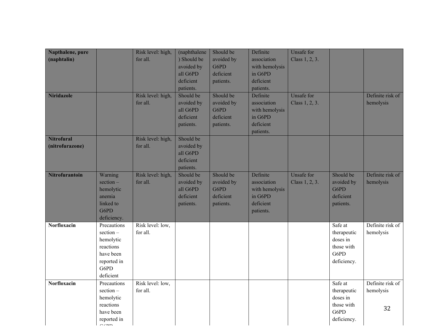| Napthalene, pure<br>(naphtalin)<br><b>Niridazole</b> |                                                                                                    | Risk level: high,<br>for all.<br>Risk level: high,<br>for all. | (naphthalene<br>) Should be<br>avoided by<br>all G6PD<br>deficient<br>patients.<br>Should be<br>avoided by<br>all G6PD<br>deficient<br>patients. | Should be<br>avoided by<br>G6PD<br>deficient<br>patients.<br>Should be<br>avoided by<br>G6PD<br>deficient<br>patients. | Definite<br>association<br>with hemolysis<br>in G6PD<br>deficient<br>patients.<br>Definite<br>association<br>with hemolysis<br>in G6PD<br>deficient<br>patients. | <b>Unsafe for</b><br>Class 1, 2, 3.<br>Unsafe for<br>Class 1, 2, 3. |                                                                         | Definite risk of<br>hemolysis       |
|------------------------------------------------------|----------------------------------------------------------------------------------------------------|----------------------------------------------------------------|--------------------------------------------------------------------------------------------------------------------------------------------------|------------------------------------------------------------------------------------------------------------------------|------------------------------------------------------------------------------------------------------------------------------------------------------------------|---------------------------------------------------------------------|-------------------------------------------------------------------------|-------------------------------------|
| <b>Nitrofural</b><br>(nitrofurazone)                 |                                                                                                    | Risk level: high,<br>for all.                                  | Should be<br>avoided by<br>all G6PD<br>deficient<br>patients.                                                                                    |                                                                                                                        |                                                                                                                                                                  |                                                                     |                                                                         |                                     |
| Nitrofurantoin                                       | Warning<br>$section -$<br>hemolytic<br>anemia<br>linked to<br>G6PD<br>deficiency.                  | Risk level: high,<br>for all.                                  | Should be<br>avoided by<br>all G6PD<br>deficient<br>patients.                                                                                    | Should be<br>avoided by<br>G6PD<br>deficient<br>patients.                                                              | Definite<br>association<br>with hemolysis<br>in G6PD<br>deficient<br>patients.                                                                                   | Unsafe for<br>Class 1, 2, 3.                                        | Should be<br>avoided by<br>G6PD<br>deficient<br>patients.               | Definite risk of<br>hemolysis       |
| <b>Norfloxacin</b>                                   | Precautions<br>section-<br>hemolytic<br>reactions<br>have been<br>reported in<br>G6PD<br>deficient | Risk level: low,<br>for all.                                   |                                                                                                                                                  |                                                                                                                        |                                                                                                                                                                  |                                                                     | Safe at<br>therapeutic<br>doses in<br>those with<br>G6PD<br>deficiency. | Definite risk of<br>hemolysis       |
| Norfloxacin                                          | Precautions<br>$section -$<br>hemolytic<br>reactions<br>have been<br>reported in<br>$\sim$ mm      | Risk level: low,<br>for all.                                   |                                                                                                                                                  |                                                                                                                        |                                                                                                                                                                  |                                                                     | Safe at<br>therapeutic<br>doses in<br>those with<br>G6PD<br>deficiency. | Definite risk of<br>hemolysis<br>32 |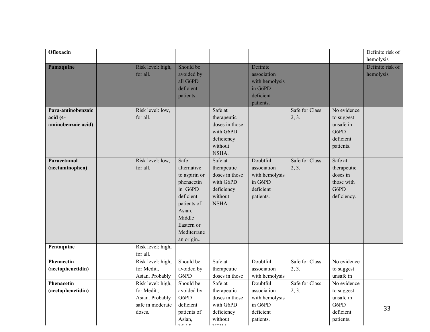| Ofloxacin                                             |                                                                                   |                                                                                                                                                         |                                                                                                    |                                                                                |                         |                                                                          | Definite risk of<br>hemolysis |
|-------------------------------------------------------|-----------------------------------------------------------------------------------|---------------------------------------------------------------------------------------------------------------------------------------------------------|----------------------------------------------------------------------------------------------------|--------------------------------------------------------------------------------|-------------------------|--------------------------------------------------------------------------|-------------------------------|
| Pamaquine                                             | Risk level: high,<br>for all.                                                     | Should be<br>avoided by<br>all G6PD<br>deficient<br>patients.                                                                                           |                                                                                                    | Definite<br>association<br>with hemolysis<br>in G6PD<br>deficient<br>patients. |                         |                                                                          | Definite risk of<br>hemolysis |
| Para-aminobenzoic<br>$acid (4-$<br>aminobenzoic acid) | Risk level: low,<br>for all.                                                      |                                                                                                                                                         | Safe at<br>therapeutic<br>doses in those<br>with G6PD<br>deficiency<br>without<br>NSHA.            |                                                                                | Safe for Class<br>2, 3. | No evidence<br>to suggest<br>unsafe in<br>G6PD<br>deficient<br>patients. |                               |
| Paracetamol<br>(acetaminophen)                        | Risk level: low,<br>for all.                                                      | Safe<br>alternative<br>to aspirin or<br>phenacetin<br>in G6PD<br>deficient<br>patients of<br>Asian,<br>Middle<br>Eastern or<br>Mediterrane<br>an origin | Safe at<br>therapeutic<br>doses in those<br>with G6PD<br>deficiency<br>without<br>NSHA.            | Doubtful<br>association<br>with hemolysis<br>in G6PD<br>deficient<br>patients. | Safe for Class<br>2, 3. | Safe at<br>therapeutic<br>doses in<br>those with<br>G6PD<br>deficiency.  |                               |
| Pentaquine                                            | Risk level: high,<br>for all.                                                     |                                                                                                                                                         |                                                                                                    |                                                                                |                         |                                                                          |                               |
| Phenacetin<br>(acetophenetidin)                       | Risk level: high,<br>for Medit.,<br>Asian. Probably                               | Should be<br>avoided by<br>G6PD                                                                                                                         | Safe at<br>therapeutic<br>doses in those                                                           | Doubtful<br>association<br>with hemolysis                                      | Safe for Class<br>2, 3. | No evidence<br>to suggest<br>unsafe in                                   |                               |
| Phenacetin<br>(acetophenetidin)                       | Risk level: high,<br>for Medit.,<br>Asian. Probably<br>safe in moderate<br>doses. | Should be<br>avoided by<br>G6PD<br>deficient<br>patients of<br>Asian,<br>s er son                                                                       | Safe at<br>therapeutic<br>doses in those<br>with G6PD<br>deficiency<br>without<br>$\lambda$ TOTT A | Doubtful<br>association<br>with hemolysis<br>in G6PD<br>deficient<br>patients. | Safe for Class<br>2, 3. | No evidence<br>to suggest<br>unsafe in<br>G6PD<br>deficient<br>patients. | 33                            |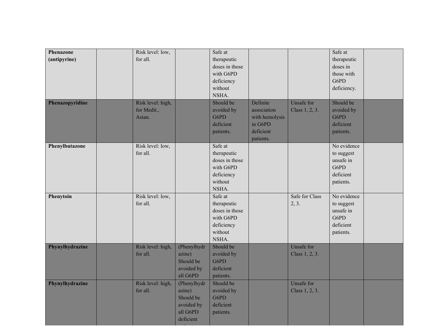| Phenazone<br>(antipyrine)<br>Phenazopyridine | Risk level: low,<br>for all.<br>Risk level: high, |                                                                           | Safe at<br>therapeutic<br>doses in those<br>with G6PD<br>deficiency<br>without<br>NSHA.<br>Should be | Definite                                                           | Unsafe for                   | Safe at<br>therapeutic<br>doses in<br>those with<br>G6PD<br>deficiency.<br>Should be |  |
|----------------------------------------------|---------------------------------------------------|---------------------------------------------------------------------------|------------------------------------------------------------------------------------------------------|--------------------------------------------------------------------|------------------------------|--------------------------------------------------------------------------------------|--|
|                                              | for Medit.,<br>Asian.                             |                                                                           | avoided by<br>G6PD<br>deficient<br>patients.                                                         | association<br>with hemolysis<br>in G6PD<br>deficient<br>patients. | Class 1, 2, 3.               | avoided by<br>G6PD<br>deficient<br>patients.                                         |  |
| Phenylbutazone                               | Risk level: low,<br>for all.                      |                                                                           | Safe at<br>therapeutic<br>doses in those<br>with G6PD<br>deficiency<br>without<br>NSHA.              |                                                                    |                              | No evidence<br>to suggest<br>unsafe in<br>G6PD<br>deficient<br>patients.             |  |
| Phenytoin                                    | Risk level: low,<br>for all.                      |                                                                           | Safe at<br>therapeutic<br>doses in those<br>with G6PD<br>deficiency<br>without<br>NSHA.              |                                                                    | Safe for Class<br>2, 3.      | No evidence<br>to suggest<br>unsafe in<br>G6PD<br>deficient<br>patients.             |  |
| Phynylhydrazine                              | Risk level: high,<br>for all.                     | (Phenylhydr<br>azine)<br>Should be<br>avoided by<br>all G6PD              | Should be<br>avoided by<br>G6PD<br>deficient<br>patients.                                            |                                                                    | Unsafe for<br>Class 1, 2, 3. |                                                                                      |  |
| Phynylhydrazine                              | Risk level: high,<br>for all.                     | (Phenylhydr<br>azine)<br>Should be<br>avoided by<br>all G6PD<br>deficient | Should be<br>avoided by<br>G6PD<br>deficient<br>patients.                                            |                                                                    | Unsafe for<br>Class 1, 2, 3. |                                                                                      |  |

patients.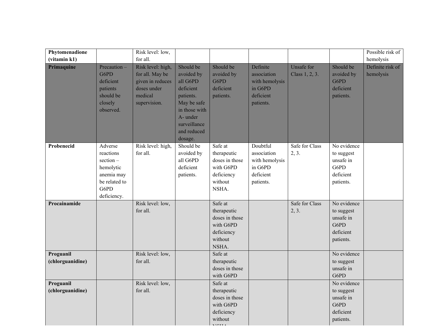| Phytomenadione                |                                                                                                        | Risk level: low,                                                                                   |                                                                                                                                                     |                                                                                         |                                                                                |                                     |                                                                          | Possible risk of              |
|-------------------------------|--------------------------------------------------------------------------------------------------------|----------------------------------------------------------------------------------------------------|-----------------------------------------------------------------------------------------------------------------------------------------------------|-----------------------------------------------------------------------------------------|--------------------------------------------------------------------------------|-------------------------------------|--------------------------------------------------------------------------|-------------------------------|
| (vitamin k1)                  |                                                                                                        | for all.                                                                                           |                                                                                                                                                     |                                                                                         |                                                                                |                                     |                                                                          | hemolysis                     |
| Primaquine                    | Precaution-<br>G6PD<br>deficient<br>patients<br>should be<br>closely<br>observed.                      | Risk level: high,<br>for all. May be<br>given in reduces<br>doses under<br>medical<br>supervision. | Should be<br>avoided by<br>all G6PD<br>deficient<br>patients.<br>May be safe<br>in those with<br>A- under<br>surveillance<br>and reduced<br>dosage. | Should be<br>avoided by<br>G6PD<br>deficient<br>patients.                               | Definite<br>association<br>with hemolysis<br>in G6PD<br>deficient<br>patients. | <b>Unsafe for</b><br>Class 1, 2, 3. | Should be<br>avoided by<br>G6PD<br>deficient<br>patients.                | Definite risk of<br>hemolysis |
| Probenecid                    | Adverse<br>reactions<br>$section -$<br>hemolytic<br>anemia may<br>be related to<br>G6PD<br>deficiency. | Risk level: high,<br>for all.                                                                      | Should be<br>avoided by<br>all G6PD<br>deficient<br>patients.                                                                                       | Safe at<br>therapeutic<br>doses in those<br>with G6PD<br>deficiency<br>without<br>NSHA. | Doubtful<br>association<br>with hemolysis<br>in G6PD<br>deficient<br>patients. | Safe for Class<br>2, 3.             | No evidence<br>to suggest<br>unsafe in<br>G6PD<br>deficient<br>patients. |                               |
| Procainamide                  |                                                                                                        | Risk level: low,<br>for all.                                                                       |                                                                                                                                                     | Safe at<br>therapeutic<br>doses in those<br>with G6PD<br>deficiency<br>without<br>NSHA. |                                                                                | Safe for Class<br>2, 3.             | No evidence<br>to suggest<br>unsafe in<br>G6PD<br>deficient<br>patients. |                               |
| Proguanil<br>(chlorguanidine) |                                                                                                        | Risk level: low,<br>for all.                                                                       |                                                                                                                                                     | Safe at<br>therapeutic<br>doses in those<br>with G6PD                                   |                                                                                |                                     | No evidence<br>to suggest<br>unsafe in<br>G6PD                           |                               |
| Proguanil<br>(chlorguanidine) |                                                                                                        | Risk level: low,<br>for all.                                                                       |                                                                                                                                                     | Safe at<br>therapeutic<br>doses in those<br>with G6PD<br>deficiency<br>without          |                                                                                |                                     | No evidence<br>to suggest<br>unsafe in<br>G6PD<br>deficient<br>patients. |                               |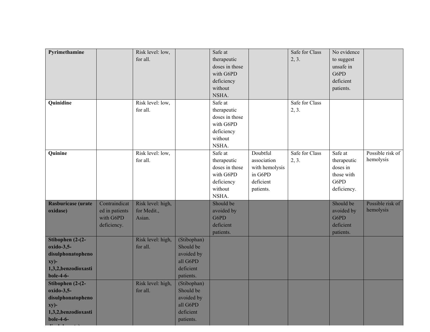| Pyrimethamine                            |                | Risk level: low,  |             | Safe at        |                | Safe for Class | No evidence |                  |
|------------------------------------------|----------------|-------------------|-------------|----------------|----------------|----------------|-------------|------------------|
|                                          |                | for all.          |             | therapeutic    |                | 2, 3.          | to suggest  |                  |
|                                          |                |                   |             | doses in those |                |                | unsafe in   |                  |
|                                          |                |                   |             | with G6PD      |                |                | G6PD        |                  |
|                                          |                |                   |             | deficiency     |                |                | deficient   |                  |
|                                          |                |                   |             | without        |                |                | patients.   |                  |
|                                          |                |                   |             | NSHA.          |                |                |             |                  |
| Quinidine                                |                | Risk level: low,  |             | Safe at        |                | Safe for Class |             |                  |
|                                          |                | for all.          |             | therapeutic    |                | 2, 3.          |             |                  |
|                                          |                |                   |             | doses in those |                |                |             |                  |
|                                          |                |                   |             | with G6PD      |                |                |             |                  |
|                                          |                |                   |             | deficiency     |                |                |             |                  |
|                                          |                |                   |             | without        |                |                |             |                  |
|                                          |                |                   |             | NSHA.          |                |                |             |                  |
| Quinine                                  |                | Risk level: low,  |             | Safe at        | Doubtful       | Safe for Class | Safe at     | Possible risk of |
|                                          |                | for all.          |             | therapeutic    | association    | 2, 3.          | therapeutic | hemolysis        |
|                                          |                |                   |             | doses in those | with hemolysis |                | doses in    |                  |
|                                          |                |                   |             | with G6PD      | in G6PD        |                | those with  |                  |
|                                          |                |                   |             | deficiency     | deficient      |                | G6PD        |                  |
|                                          |                |                   |             | without        | patients.      |                | deficiency. |                  |
|                                          |                |                   |             | NSHA.          |                |                |             |                  |
|                                          |                |                   |             |                |                |                |             |                  |
| Rasburicase (urate                       | Contraindicat  | Risk level: high, |             | Should be      |                |                | Should be   | Possible risk of |
| oxidase)                                 | ed in patients | for Medit.,       |             | avoided by     |                |                | avoided by  | hemolysis        |
|                                          | with G6PD      | Asian.            |             | G6PD           |                |                | G6PD        |                  |
|                                          | deficiency.    |                   |             | deficient      |                |                | deficient   |                  |
|                                          |                |                   |             | patients.      |                |                | patients.   |                  |
| Stibophen $(2-(2-$                       |                | Risk level: high, | (Stibophan) |                |                |                |             |                  |
| $oxido-3,5-$                             |                | for all.          | Should be   |                |                |                |             |                  |
| disulphonatopheno                        |                |                   | avoided by  |                |                |                |             |                  |
| xy)-                                     |                |                   | all G6PD    |                |                |                |             |                  |
| 1,3,2,benzodioxasti                      |                |                   | deficient   |                |                |                |             |                  |
| $bole-4-6-$                              |                |                   | patients.   |                |                |                |             |                  |
| Stibophen $(2-(2-$                       |                | Risk level: high, | (Stibophan) |                |                |                |             |                  |
| oxido-3,5-                               |                | for all.          | Should be   |                |                |                |             |                  |
| disulphonatopheno                        |                |                   | avoided by  |                |                |                |             |                  |
| xy)-                                     |                |                   | all G6PD    |                |                |                |             |                  |
| 1,3,2,benzodioxasti<br>$\b{.}$ bole-4-6- |                |                   | deficient   |                |                |                |             |                  |

**disulphonate)**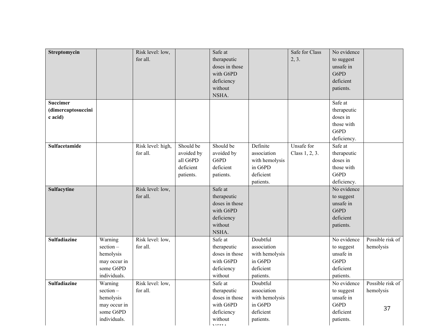| for all.<br>2, 3.<br>therapeutic<br>to suggest<br>doses in those<br>unsafe in<br>G6PD<br>with G6PD<br>deficiency<br>deficient<br>without<br>patients.<br>NSHA.<br>Safe at<br><b>Succimer</b><br>(dimercaptosuccini<br>therapeutic<br>doses in<br>c acid)<br>those with<br>G6PD<br>deficiency.<br>Should be<br>Should be<br>Definite<br>Safe at<br>Sulfacetamide<br>Risk level: high,<br>Unsafe for<br>association<br>for all.<br>avoided by<br>avoided by<br>Class 1, 2, 3.<br>therapeutic<br>G6PD<br>all G6PD<br>doses in<br>with hemolysis<br>deficient<br>deficient<br>in G6PD<br>those with<br>G6PD<br>deficient<br>patients.<br>patients.<br>deficiency.<br>patients.<br>No evidence<br>Safe at<br>Sulfacytine<br>Risk level: low,<br>for all.<br>therapeutic<br>to suggest<br>unsafe in<br>doses in those<br>G6PD<br>with G6PD<br>deficient<br>deficiency<br>without<br>patients.<br>NSHA.<br>Risk level: low,<br>Doubtful<br>No evidence<br><b>Sulfadiazine</b><br>Warning<br>Safe at<br>section-<br>for all.<br>therapeutic<br>association<br>to suggest<br>hemolysis<br>unsafe in<br>hemolysis<br>doses in those<br>with hemolysis<br>G6PD<br>in G6PD<br>may occur in<br>with G6PD<br>some G6PD<br>deficiency<br>deficient<br>deficient<br>individuals.<br>without<br>patients.<br>patients.<br>Risk level: low,<br>Doubtful<br><b>Sulfadiazine</b><br>Warning<br>Safe at<br>No evidence<br>section-<br>association<br>for all.<br>therapeutic<br>to suggest<br>hemolysis<br>unsafe in<br>hemolysis<br>doses in those<br>with hemolysis<br>in G6PD<br>G6PD<br>may occur in<br>with G6PD<br>37<br>some G6PD<br>deficient<br>deficiency<br>deficient<br>individuals.<br>without<br>patients.<br>patients. |              |                  |         |                |             |                  |
|------------------------------------------------------------------------------------------------------------------------------------------------------------------------------------------------------------------------------------------------------------------------------------------------------------------------------------------------------------------------------------------------------------------------------------------------------------------------------------------------------------------------------------------------------------------------------------------------------------------------------------------------------------------------------------------------------------------------------------------------------------------------------------------------------------------------------------------------------------------------------------------------------------------------------------------------------------------------------------------------------------------------------------------------------------------------------------------------------------------------------------------------------------------------------------------------------------------------------------------------------------------------------------------------------------------------------------------------------------------------------------------------------------------------------------------------------------------------------------------------------------------------------------------------------------------------------------------------------------------------------------------------------------------------------------------------------------------|--------------|------------------|---------|----------------|-------------|------------------|
|                                                                                                                                                                                                                                                                                                                                                                                                                                                                                                                                                                                                                                                                                                                                                                                                                                                                                                                                                                                                                                                                                                                                                                                                                                                                                                                                                                                                                                                                                                                                                                                                                                                                                                                  | Streptomycin | Risk level: low, | Safe at | Safe for Class | No evidence |                  |
|                                                                                                                                                                                                                                                                                                                                                                                                                                                                                                                                                                                                                                                                                                                                                                                                                                                                                                                                                                                                                                                                                                                                                                                                                                                                                                                                                                                                                                                                                                                                                                                                                                                                                                                  |              |                  |         |                |             |                  |
|                                                                                                                                                                                                                                                                                                                                                                                                                                                                                                                                                                                                                                                                                                                                                                                                                                                                                                                                                                                                                                                                                                                                                                                                                                                                                                                                                                                                                                                                                                                                                                                                                                                                                                                  |              |                  |         |                |             |                  |
|                                                                                                                                                                                                                                                                                                                                                                                                                                                                                                                                                                                                                                                                                                                                                                                                                                                                                                                                                                                                                                                                                                                                                                                                                                                                                                                                                                                                                                                                                                                                                                                                                                                                                                                  |              |                  |         |                |             |                  |
|                                                                                                                                                                                                                                                                                                                                                                                                                                                                                                                                                                                                                                                                                                                                                                                                                                                                                                                                                                                                                                                                                                                                                                                                                                                                                                                                                                                                                                                                                                                                                                                                                                                                                                                  |              |                  |         |                |             |                  |
|                                                                                                                                                                                                                                                                                                                                                                                                                                                                                                                                                                                                                                                                                                                                                                                                                                                                                                                                                                                                                                                                                                                                                                                                                                                                                                                                                                                                                                                                                                                                                                                                                                                                                                                  |              |                  |         |                |             |                  |
|                                                                                                                                                                                                                                                                                                                                                                                                                                                                                                                                                                                                                                                                                                                                                                                                                                                                                                                                                                                                                                                                                                                                                                                                                                                                                                                                                                                                                                                                                                                                                                                                                                                                                                                  |              |                  |         |                |             |                  |
|                                                                                                                                                                                                                                                                                                                                                                                                                                                                                                                                                                                                                                                                                                                                                                                                                                                                                                                                                                                                                                                                                                                                                                                                                                                                                                                                                                                                                                                                                                                                                                                                                                                                                                                  |              |                  |         |                |             |                  |
|                                                                                                                                                                                                                                                                                                                                                                                                                                                                                                                                                                                                                                                                                                                                                                                                                                                                                                                                                                                                                                                                                                                                                                                                                                                                                                                                                                                                                                                                                                                                                                                                                                                                                                                  |              |                  |         |                |             |                  |
|                                                                                                                                                                                                                                                                                                                                                                                                                                                                                                                                                                                                                                                                                                                                                                                                                                                                                                                                                                                                                                                                                                                                                                                                                                                                                                                                                                                                                                                                                                                                                                                                                                                                                                                  |              |                  |         |                |             |                  |
|                                                                                                                                                                                                                                                                                                                                                                                                                                                                                                                                                                                                                                                                                                                                                                                                                                                                                                                                                                                                                                                                                                                                                                                                                                                                                                                                                                                                                                                                                                                                                                                                                                                                                                                  |              |                  |         |                |             |                  |
|                                                                                                                                                                                                                                                                                                                                                                                                                                                                                                                                                                                                                                                                                                                                                                                                                                                                                                                                                                                                                                                                                                                                                                                                                                                                                                                                                                                                                                                                                                                                                                                                                                                                                                                  |              |                  |         |                |             |                  |
|                                                                                                                                                                                                                                                                                                                                                                                                                                                                                                                                                                                                                                                                                                                                                                                                                                                                                                                                                                                                                                                                                                                                                                                                                                                                                                                                                                                                                                                                                                                                                                                                                                                                                                                  |              |                  |         |                |             |                  |
|                                                                                                                                                                                                                                                                                                                                                                                                                                                                                                                                                                                                                                                                                                                                                                                                                                                                                                                                                                                                                                                                                                                                                                                                                                                                                                                                                                                                                                                                                                                                                                                                                                                                                                                  |              |                  |         |                |             |                  |
|                                                                                                                                                                                                                                                                                                                                                                                                                                                                                                                                                                                                                                                                                                                                                                                                                                                                                                                                                                                                                                                                                                                                                                                                                                                                                                                                                                                                                                                                                                                                                                                                                                                                                                                  |              |                  |         |                |             |                  |
|                                                                                                                                                                                                                                                                                                                                                                                                                                                                                                                                                                                                                                                                                                                                                                                                                                                                                                                                                                                                                                                                                                                                                                                                                                                                                                                                                                                                                                                                                                                                                                                                                                                                                                                  |              |                  |         |                |             |                  |
|                                                                                                                                                                                                                                                                                                                                                                                                                                                                                                                                                                                                                                                                                                                                                                                                                                                                                                                                                                                                                                                                                                                                                                                                                                                                                                                                                                                                                                                                                                                                                                                                                                                                                                                  |              |                  |         |                |             |                  |
|                                                                                                                                                                                                                                                                                                                                                                                                                                                                                                                                                                                                                                                                                                                                                                                                                                                                                                                                                                                                                                                                                                                                                                                                                                                                                                                                                                                                                                                                                                                                                                                                                                                                                                                  |              |                  |         |                |             |                  |
|                                                                                                                                                                                                                                                                                                                                                                                                                                                                                                                                                                                                                                                                                                                                                                                                                                                                                                                                                                                                                                                                                                                                                                                                                                                                                                                                                                                                                                                                                                                                                                                                                                                                                                                  |              |                  |         |                |             |                  |
|                                                                                                                                                                                                                                                                                                                                                                                                                                                                                                                                                                                                                                                                                                                                                                                                                                                                                                                                                                                                                                                                                                                                                                                                                                                                                                                                                                                                                                                                                                                                                                                                                                                                                                                  |              |                  |         |                |             |                  |
|                                                                                                                                                                                                                                                                                                                                                                                                                                                                                                                                                                                                                                                                                                                                                                                                                                                                                                                                                                                                                                                                                                                                                                                                                                                                                                                                                                                                                                                                                                                                                                                                                                                                                                                  |              |                  |         |                |             |                  |
|                                                                                                                                                                                                                                                                                                                                                                                                                                                                                                                                                                                                                                                                                                                                                                                                                                                                                                                                                                                                                                                                                                                                                                                                                                                                                                                                                                                                                                                                                                                                                                                                                                                                                                                  |              |                  |         |                |             |                  |
|                                                                                                                                                                                                                                                                                                                                                                                                                                                                                                                                                                                                                                                                                                                                                                                                                                                                                                                                                                                                                                                                                                                                                                                                                                                                                                                                                                                                                                                                                                                                                                                                                                                                                                                  |              |                  |         |                |             |                  |
|                                                                                                                                                                                                                                                                                                                                                                                                                                                                                                                                                                                                                                                                                                                                                                                                                                                                                                                                                                                                                                                                                                                                                                                                                                                                                                                                                                                                                                                                                                                                                                                                                                                                                                                  |              |                  |         |                |             |                  |
|                                                                                                                                                                                                                                                                                                                                                                                                                                                                                                                                                                                                                                                                                                                                                                                                                                                                                                                                                                                                                                                                                                                                                                                                                                                                                                                                                                                                                                                                                                                                                                                                                                                                                                                  |              |                  |         |                |             |                  |
|                                                                                                                                                                                                                                                                                                                                                                                                                                                                                                                                                                                                                                                                                                                                                                                                                                                                                                                                                                                                                                                                                                                                                                                                                                                                                                                                                                                                                                                                                                                                                                                                                                                                                                                  |              |                  |         |                |             |                  |
|                                                                                                                                                                                                                                                                                                                                                                                                                                                                                                                                                                                                                                                                                                                                                                                                                                                                                                                                                                                                                                                                                                                                                                                                                                                                                                                                                                                                                                                                                                                                                                                                                                                                                                                  |              |                  |         |                |             | Possible risk of |
|                                                                                                                                                                                                                                                                                                                                                                                                                                                                                                                                                                                                                                                                                                                                                                                                                                                                                                                                                                                                                                                                                                                                                                                                                                                                                                                                                                                                                                                                                                                                                                                                                                                                                                                  |              |                  |         |                |             |                  |
|                                                                                                                                                                                                                                                                                                                                                                                                                                                                                                                                                                                                                                                                                                                                                                                                                                                                                                                                                                                                                                                                                                                                                                                                                                                                                                                                                                                                                                                                                                                                                                                                                                                                                                                  |              |                  |         |                |             |                  |
|                                                                                                                                                                                                                                                                                                                                                                                                                                                                                                                                                                                                                                                                                                                                                                                                                                                                                                                                                                                                                                                                                                                                                                                                                                                                                                                                                                                                                                                                                                                                                                                                                                                                                                                  |              |                  |         |                |             |                  |
|                                                                                                                                                                                                                                                                                                                                                                                                                                                                                                                                                                                                                                                                                                                                                                                                                                                                                                                                                                                                                                                                                                                                                                                                                                                                                                                                                                                                                                                                                                                                                                                                                                                                                                                  |              |                  |         |                |             |                  |
|                                                                                                                                                                                                                                                                                                                                                                                                                                                                                                                                                                                                                                                                                                                                                                                                                                                                                                                                                                                                                                                                                                                                                                                                                                                                                                                                                                                                                                                                                                                                                                                                                                                                                                                  |              |                  |         |                |             |                  |
|                                                                                                                                                                                                                                                                                                                                                                                                                                                                                                                                                                                                                                                                                                                                                                                                                                                                                                                                                                                                                                                                                                                                                                                                                                                                                                                                                                                                                                                                                                                                                                                                                                                                                                                  |              |                  |         |                |             | Possible risk of |
|                                                                                                                                                                                                                                                                                                                                                                                                                                                                                                                                                                                                                                                                                                                                                                                                                                                                                                                                                                                                                                                                                                                                                                                                                                                                                                                                                                                                                                                                                                                                                                                                                                                                                                                  |              |                  |         |                |             |                  |
|                                                                                                                                                                                                                                                                                                                                                                                                                                                                                                                                                                                                                                                                                                                                                                                                                                                                                                                                                                                                                                                                                                                                                                                                                                                                                                                                                                                                                                                                                                                                                                                                                                                                                                                  |              |                  |         |                |             |                  |
|                                                                                                                                                                                                                                                                                                                                                                                                                                                                                                                                                                                                                                                                                                                                                                                                                                                                                                                                                                                                                                                                                                                                                                                                                                                                                                                                                                                                                                                                                                                                                                                                                                                                                                                  |              |                  |         |                |             |                  |
|                                                                                                                                                                                                                                                                                                                                                                                                                                                                                                                                                                                                                                                                                                                                                                                                                                                                                                                                                                                                                                                                                                                                                                                                                                                                                                                                                                                                                                                                                                                                                                                                                                                                                                                  |              |                  |         |                |             |                  |
|                                                                                                                                                                                                                                                                                                                                                                                                                                                                                                                                                                                                                                                                                                                                                                                                                                                                                                                                                                                                                                                                                                                                                                                                                                                                                                                                                                                                                                                                                                                                                                                                                                                                                                                  |              |                  |         |                |             |                  |

NSHATA.<br>NG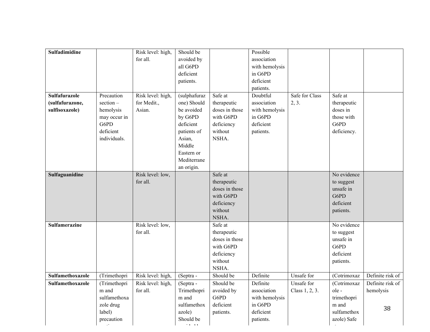| Sulfadimidine        |              | Risk level: high, | Should be                    |                | Possible       |                |             |                  |
|----------------------|--------------|-------------------|------------------------------|----------------|----------------|----------------|-------------|------------------|
|                      |              |                   |                              |                |                |                |             |                  |
|                      |              | for all.          | avoided by                   |                | association    |                |             |                  |
|                      |              |                   | all G6PD                     |                | with hemolysis |                |             |                  |
|                      |              |                   | deficient                    |                | in G6PD        |                |             |                  |
|                      |              |                   | patients.                    |                | deficient      |                |             |                  |
|                      |              |                   |                              |                | patients.      |                |             |                  |
| <b>Sulfafurazole</b> | Precaution   | Risk level: high, | (sulphafuraz                 | Safe at        | Doubtful       | Safe for Class | Safe at     |                  |
| (sulfafurazone,      | $section -$  | for Medit.,       | one) Should                  | therapeutic    | association    | 2, 3.          | therapeutic |                  |
| sulfisoxazole)       | hemolysis    | Asian.            | be avoided                   | doses in those | with hemolysis |                | doses in    |                  |
|                      | may occur in |                   | by G6PD                      | with G6PD      | in G6PD        |                | those with  |                  |
|                      | G6PD         |                   | deficient                    | deficiency     | deficient      |                | G6PD        |                  |
|                      | deficient    |                   | patients of                  | without        | patients.      |                | deficiency. |                  |
|                      | individuals. |                   | Asian,                       | NSHA.          |                |                |             |                  |
|                      |              |                   | Middle                       |                |                |                |             |                  |
|                      |              |                   | Eastern or                   |                |                |                |             |                  |
|                      |              |                   | Mediterrane                  |                |                |                |             |                  |
|                      |              |                   |                              |                |                |                |             |                  |
| Sulfaguanidine       |              |                   | an origin.                   | Safe at        |                |                | No evidence |                  |
|                      |              | Risk level: low,  |                              |                |                |                |             |                  |
|                      |              | for all.          |                              | therapeutic    |                |                | to suggest  |                  |
|                      |              |                   |                              | doses in those |                |                | unsafe in   |                  |
|                      |              |                   |                              | with G6PD      |                |                | G6PD        |                  |
|                      |              |                   |                              | deficiency     |                |                | deficient   |                  |
|                      |              |                   |                              | without        |                |                | patients.   |                  |
|                      |              |                   |                              | NSHA.          |                |                |             |                  |
| <b>Sulfamerazine</b> |              | Risk level: low,  |                              | Safe at        |                |                | No evidence |                  |
|                      |              | for all.          |                              | therapeutic    |                |                | to suggest  |                  |
|                      |              |                   |                              | doses in those |                |                | unsafe in   |                  |
|                      |              |                   |                              | with G6PD      |                |                | G6PD        |                  |
|                      |              |                   |                              | deficiency     |                |                | deficient   |                  |
|                      |              |                   |                              | without        |                |                | patients.   |                  |
|                      |              |                   |                              | NSHA.          |                |                |             |                  |
| Sulfamethoxazole     | (Trimethopri | Risk level: high, | (Septra -                    | Should be      | Definite       | Unsafe for     | (Cotrimoxaz | Definite risk of |
| Sulfamethoxazole     | (Trimethopri | Risk level: high, | (Septra -                    | Should be      | Definite       | Unsafe for     | (Cotrimoxaz | Definite risk of |
|                      | m and        | for all.          | Trimethopri                  | avoided by     | association    | Class 1, 2, 3. | ole-        | hemolysis        |
|                      | sulfamethoxa |                   | m and                        | G6PD           | with hemolysis |                | trimethopri |                  |
|                      | zole drug    |                   | sulfamethox                  | deficient      | in G6PD        |                | m and       |                  |
|                      | label)       |                   | azole)                       | patients.      | deficient      |                | sulfamethox | 38               |
|                      | precaution   |                   | Should be                    |                | patients.      |                | azole) Safe |                  |
|                      |              |                   | $\sim$ and $\sim$ and $\sim$ |                |                |                |             |                  |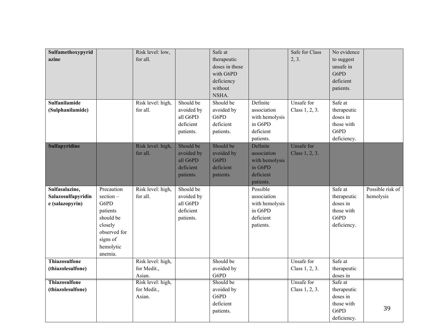| Sulfamethoxypyrid    |              | Risk level: low,  |            | Safe at        |                           | Safe for Class    | No evidence         |                  |
|----------------------|--------------|-------------------|------------|----------------|---------------------------|-------------------|---------------------|------------------|
| azine                |              | for all.          |            | therapeutic    |                           | 2, 3.             | to suggest          |                  |
|                      |              |                   |            | doses in those |                           |                   | unsafe in           |                  |
|                      |              |                   |            | with G6PD      |                           |                   | G6PD                |                  |
|                      |              |                   |            | deficiency     |                           |                   | deficient           |                  |
|                      |              |                   |            | without        |                           |                   | patients.           |                  |
|                      |              |                   |            | NSHA.          |                           |                   |                     |                  |
|                      |              |                   |            | Should be      |                           |                   |                     |                  |
| Sulfanilamide        |              | Risk level: high, | Should be  |                | Definite                  | Unsafe for        | Safe at             |                  |
| (Sulphanilamide)     |              | for all.          | avoided by | avoided by     | association               | Class 1, 2, 3.    | therapeutic         |                  |
|                      |              |                   | all G6PD   | G6PD           | with hemolysis            |                   | doses in            |                  |
|                      |              |                   | deficient  | deficient      | in G6PD                   |                   | those with          |                  |
|                      |              |                   | patients.  | patients.      | deficient                 |                   | G6PD                |                  |
|                      |              |                   |            |                | patients.                 |                   | deficiency.         |                  |
| <b>Sulfapyridine</b> |              | Risk level: high, | Should be  | Should be      | Definite                  | <b>Unsafe for</b> |                     |                  |
|                      |              | for all.          | avoided by | avoided by     | association               | Class 1, 2, 3.    |                     |                  |
|                      |              |                   | all G6PD   | G6PD           | with hemolysis            |                   |                     |                  |
|                      |              |                   | deficient  | deficient      | in G6PD                   |                   |                     |                  |
|                      |              |                   | patients.  | patients.      | deficient                 |                   |                     |                  |
|                      |              |                   |            |                | patients.                 |                   |                     |                  |
|                      |              |                   |            |                |                           |                   |                     |                  |
| Sulfasalazine,       | Precaution   | Risk level: high, | Should be  |                | Possible                  |                   | Safe at             | Possible risk of |
| Salazosulfapyridin   | $section -$  | for all.          | avoided by |                | association               |                   | therapeutic         | hemolysis        |
|                      | G6PD         |                   | all G6PD   |                |                           |                   | doses in            |                  |
| e (salazopyrin)      |              |                   | deficient  |                | with hemolysis<br>in G6PD |                   | those with          |                  |
|                      | patients     |                   |            |                |                           |                   |                     |                  |
|                      | should be    |                   | patients.  |                | deficient                 |                   | G6PD                |                  |
|                      | closely      |                   |            |                | patients.                 |                   | deficiency.         |                  |
|                      | observed for |                   |            |                |                           |                   |                     |                  |
|                      | signs of     |                   |            |                |                           |                   |                     |                  |
|                      | hemolytic    |                   |            |                |                           |                   |                     |                  |
|                      | anemia.      |                   |            |                |                           |                   |                     |                  |
| <b>Thiazosulfone</b> |              | Risk level: high, |            | Should be      |                           | Unsafe for        | Safe at             |                  |
| (thiazolesulfone)    |              | for Medit.,       |            | avoided by     |                           | Class 1, 2, 3.    | therapeutic         |                  |
|                      |              | Asian.            |            | G6PD           |                           |                   | doses in            |                  |
| <b>Thiazosulfone</b> |              | Risk level: high, |            | Should be      |                           | Unsafe for        | Safe at             |                  |
| (thiazolesulfone)    |              | for Medit.,       |            | avoided by     |                           | Class 1, 2, 3.    | therapeutic         |                  |
|                      |              | Asian.            |            | G6PD           |                           |                   | doses in            |                  |
|                      |              |                   |            | deficient      |                           |                   | those with          | 39               |
|                      |              |                   |            | patients.      |                           |                   | G6PD<br>deficiency. |                  |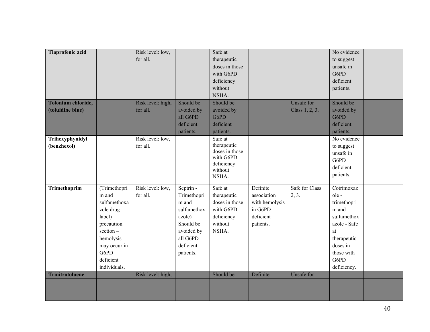| Tiaprofenic acid       |              | Risk level: low,  |             | Safe at                 |                |                   | No evidence  |  |
|------------------------|--------------|-------------------|-------------|-------------------------|----------------|-------------------|--------------|--|
|                        |              | for all.          |             | therapeutic             |                |                   | to suggest   |  |
|                        |              |                   |             | doses in those          |                |                   | unsafe in    |  |
|                        |              |                   |             | with G6PD               |                |                   | G6PD         |  |
|                        |              |                   |             | deficiency              |                |                   | deficient    |  |
|                        |              |                   |             | without                 |                |                   | patients.    |  |
|                        |              |                   |             |                         |                |                   |              |  |
|                        |              |                   |             | NSHA.                   |                |                   |              |  |
| Tolonium chloride,     |              | Risk level: high, | Should be   | Should be               |                | Unsafe for        | Should be    |  |
| (toluidine blue)       |              | for all.          | avoided by  | avoided by              |                | Class 1, 2, 3.    | avoided by   |  |
|                        |              |                   | all G6PD    | G6PD                    |                |                   | G6PD         |  |
|                        |              |                   | deficient   | deficient               |                |                   | deficient    |  |
|                        |              |                   | patients.   | patients.               |                |                   | patients.    |  |
| Trihexyphynidyl        |              | Risk level: low,  |             | Safe at                 |                |                   | No evidence  |  |
| (benzhexol)            |              | for all.          |             | therapeutic             |                |                   | to suggest   |  |
|                        |              |                   |             | doses in those          |                |                   | unsafe in    |  |
|                        |              |                   |             | with G6PD<br>deficiency |                |                   | G6PD         |  |
|                        |              |                   |             | without                 |                |                   | deficient    |  |
|                        |              |                   |             | NSHA.                   |                |                   | patients.    |  |
|                        |              |                   |             |                         |                |                   |              |  |
| Trimethoprim           | (Trimethopri | Risk level: low,  | Septrin -   | Safe at                 | Definite       | Safe for Class    | Cotrimoxaz   |  |
|                        | m and        | for all.          | Trimethopri | therapeutic             | association    | 2, 3.             | ole-         |  |
|                        | sulfamethoxa |                   | m and       | doses in those          | with hemolysis |                   | trimethopri  |  |
|                        | zole drug    |                   | sulfamethox | with G6PD               | in G6PD        |                   | m and        |  |
|                        | label)       |                   | azole)      | deficiency              | deficient      |                   | sulfamethox  |  |
|                        | precaution   |                   | Should be   | without                 | patients.      |                   | azole - Safe |  |
|                        | $section -$  |                   | avoided by  | NSHA.                   |                |                   | at           |  |
|                        | hemolysis    |                   | all G6PD    |                         |                |                   | therapeutic  |  |
|                        | may occur in |                   | deficient   |                         |                |                   | doses in     |  |
|                        | G6PD         |                   | patients.   |                         |                |                   | those with   |  |
|                        | deficient    |                   |             |                         |                |                   | G6PD         |  |
|                        | individuals. |                   |             |                         |                |                   | deficiency.  |  |
|                        |              |                   |             | Should be               |                | <b>Unsafe for</b> |              |  |
| <b>Trinitrotoluene</b> |              | Risk level: high, |             |                         | Definite       |                   |              |  |
|                        |              |                   |             |                         |                |                   |              |  |
|                        |              |                   |             |                         |                |                   |              |  |
|                        |              |                   |             |                         |                |                   |              |  |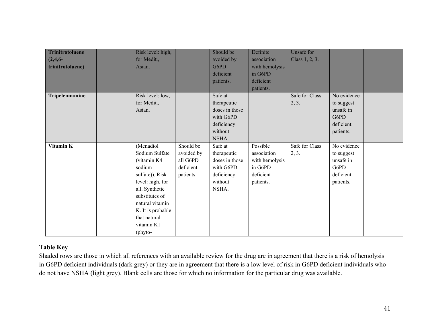| <b>Trinitrotoluene</b> | Risk level: high, |            | Should be      | Definite       | Unsafe for     |             |  |
|------------------------|-------------------|------------|----------------|----------------|----------------|-------------|--|
| $(2, 4, 6-$            | for Medit.,       |            | avoided by     | association    | Class 1, 2, 3. |             |  |
| trinitrotoluene)       | Asian.            |            | G6PD           | with hemolysis |                |             |  |
|                        |                   |            | deficient      | in G6PD        |                |             |  |
|                        |                   |            | patients.      | deficient      |                |             |  |
|                        |                   |            |                | patients.      |                |             |  |
| Tripelennamine         | Risk level: low,  |            | Safe at        |                | Safe for Class | No evidence |  |
|                        | for Medit.,       |            | therapeutic    |                | 2, 3.          | to suggest  |  |
|                        | Asian.            |            | doses in those |                |                | unsafe in   |  |
|                        |                   |            | with G6PD      |                |                | G6PD        |  |
|                        |                   |            | deficiency     |                |                | deficient   |  |
|                        |                   |            | without        |                |                | patients.   |  |
|                        |                   |            | NSHA.          |                |                |             |  |
| Vitamin K              | (Menadiol         | Should be  | Safe at        | Possible       | Safe for Class | No evidence |  |
|                        | Sodium Sulfate    | avoided by | therapeutic    | association    | 2, 3.          | to suggest  |  |
|                        | (vitamin K4       | all G6PD   | doses in those | with hemolysis |                | unsafe in   |  |
|                        | sodium            | deficient  | with G6PD      | in G6PD        |                | G6PD        |  |
|                        | sulfate)). Risk   | patients.  | deficiency     | deficient      |                | deficient   |  |
|                        | level: high, for  |            | without        | patients.      |                | patients.   |  |
|                        | all. Synthetic    |            | NSHA.          |                |                |             |  |
|                        | substitutes of    |            |                |                |                |             |  |
|                        | natural vitamin   |            |                |                |                |             |  |
|                        | K. It is probable |            |                |                |                |             |  |
|                        | that natural      |            |                |                |                |             |  |
|                        | vitamin K1        |            |                |                |                |             |  |
|                        | (phyto-           |            |                |                |                |             |  |

### **Table Key**

Shaded rows are those in which all references with an available review for the drug are in agreement that there is a risk of hemolysis in G6PD deficient individuals (dark grey) or they are in agreement that there is a low level of risk in G6PD deficient individuals who do not have NSHA (light grey). Blank cells are those for which no information for the particular drug was available.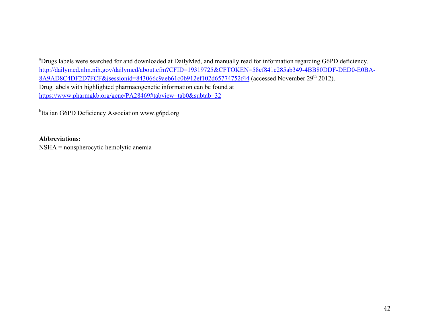<sup>a</sup>Drugs labels were searched for and downloaded at DailyMed, and manually read for information regarding G6PD deficiency. http://dailymed.nlm.nih.gov/dailymed/about.cfm?CFID=19319725&CFTOKEN=58cf841e285ab349-4BB80DDF-DED0-E0BA-8A9AD8C4DF2D7FCF&jsessionid=843066c9aeb61c0b912ef102d65774752f44 (accessed November 29<sup>th</sup> 2012). Drug labels with highlighted pharmacogenetic information can be found at https://www.pharmgkb.org/gene/PA28469#tabview=tab0&subtab=32

<sup>b</sup>Italian G6PD Deficiency Association www.g6pd.org

#### **Abbreviations:**

NSHA = nonspherocytic hemolytic anemia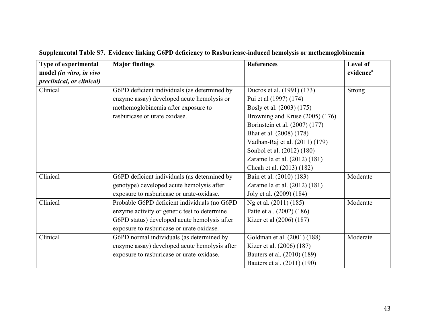| Type of experimental      | <b>Major findings</b>                         | <b>References</b>               | Level of              |
|---------------------------|-----------------------------------------------|---------------------------------|-----------------------|
| model (in vitro, in vivo  |                                               |                                 | evidence <sup>a</sup> |
| preclinical, or clinical) |                                               |                                 |                       |
| Clinical                  | G6PD deficient individuals (as determined by  | Ducros et al. (1991) (173)      | <b>Strong</b>         |
|                           | enzyme assay) developed acute hemolysis or    | Pui et al (1997) (174)          |                       |
|                           | methemoglobinemia after exposure to           | Bosly et al. (2003) (175)       |                       |
|                           | rasburicase or urate oxidase.                 | Browning and Kruse (2005) (176) |                       |
|                           |                                               | Borinstein et al. (2007) (177)  |                       |
|                           |                                               | Bhat et al. (2008) (178)        |                       |
|                           |                                               | Vadhan-Raj et al. (2011) (179)  |                       |
|                           |                                               | Sonbol et al. (2012) (180)      |                       |
|                           |                                               | Zaramella et al. (2012) (181)   |                       |
|                           |                                               | Cheah et al. (2013) (182)       |                       |
| Clinical                  | G6PD deficient individuals (as determined by  | Bain et al. (2010) (183)        | Moderate              |
|                           | genotype) developed acute hemolysis after     | Zaramella et al. (2012) (181)   |                       |
|                           | exposure to rasburicase or urate-oxidase.     | Joly et al. (2009) (184)        |                       |
| Clinical                  | Probable G6PD deficient individuals (no G6PD  | Ng et al. (2011) (185)          | Moderate              |
|                           | enzyme activity or genetic test to determine  | Patte et al. (2002) (186)       |                       |
|                           | G6PD status) developed acute hemolysis after  | Kizer et al (2006) (187)        |                       |
|                           | exposure to rasburicase or urate oxidase.     |                                 |                       |
| Clinical                  | G6PD normal individuals (as determined by     | Goldman et al. (2001) (188)     | Moderate              |
|                           | enzyme assay) developed acute hemolysis after | Kizer et al. (2006) (187)       |                       |
|                           | exposure to rasburicase or urate-oxidase.     | Bauters et al. (2010) (189)     |                       |
|                           |                                               | Bauters et al. (2011) (190)     |                       |

# **Supplemental Table S7. Evidence linking G6PD deficiency to Rasburicase-induced hemolysis or methemoglobinemia**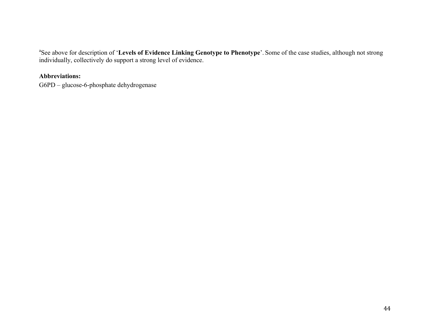<sup>a</sup>See above for description of 'Levels of Evidence Linking Genotype to Phenotype'. Some of the case studies, although not strong individually, collectively do support a strong level of evidence.

### **Abbreviations:**

G6PD – glucose-6-phosphate dehydrogenase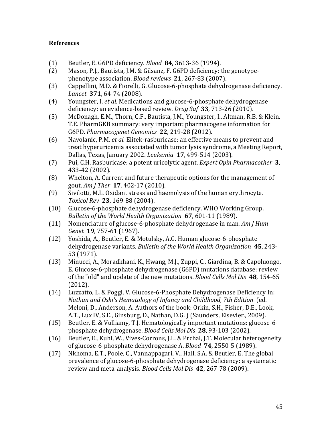### **References**

- (1) Beutler, E. G6PD deficiency. *Blood* **84**, 3613-36 (1994).
- (2) Mason, P.J., Bautista, J.M. & Gilsanz, F. G6PD deficiency: the genotypephenotype association. *Blood reviews* **21**, 267-83 (2007).
- (3) Cappellini, M.D. & Fiorelli, G. Glucose-6-phosphate dehydrogenase deficiency. *Lancet* **371**, 64-74 (2008).
- (4) Youngster, I. *et al.* Medications and glucose-6-phosphate dehydrogenase deficiency: an evidence-based review. *Drug Saf* 33, 713-26 (2010).
- (5) McDonagh, E.M., Thorn, C.F., Bautista, J.M., Youngster, I., Altman, R.B. & Klein, T.E. PharmGKB summary: very important pharmacogene information for G6PD. *Pharmacogenet Genomics* **22**, 219-28 (2012).
- (6) Navolanic, P.M. *et al.* Elitek-rasburicase: an effective means to prevent and treat hyperuricemia associated with tumor lysis syndrome, a Meeting Report, Dallas, Texas, January 2002. *Leukemia* **17**, 499-514 (2003).
- (7) Pui, C.H. Rasburicase: a potent uricolytic agent. *Expert Opin Pharmacother* **3**, 433-42 (2002).
- (8) Whelton, A. Current and future therapeutic options for the management of gout. *Am J Ther* **17**, 402-17 (2010).
- (9) Sivilotti, M.L. Oxidant stress and haemolysis of the human erythrocyte. *Toxicol Rev* **23**, 169-88 (2004).
- (10) Glucose-6-phosphate dehydrogenase deficiency. WHO Working Group. *Bulletin of the World Health Organization* 67, 601-11 (1989).
- (11) Nomenclature of glucose-6-phosphate dehydrogenase in man. *Am J Hum Genet* **19**, 757-61 (1967).
- (12) Yoshida, A., Beutler, E. & Motulsky, A.G. Human glucose-6-phosphate dehydrogenase variants. *Bulletin of the World Health Organization* 45, 243-53 (1971).
- (13) Minucci, A., Moradkhani, K., Hwang, M.J., Zuppi, C., Giardina, B. & Capoluongo, E. Glucose-6-phosphate dehydrogenase (G6PD) mutations database: review of the "old" and update of the new mutations. *Blood Cells Mol Dis* 48, 154-65 (2012).
- (14) Luzzatto, L. & Poggi, V. Glucose-6-Phosphate Dehydrogenase Deficiency In: *Nathan and Oski's Hematology of Infancy and Childhood, 7th Edition* (ed. Meloni, D., Anderson, A. Authors of the book: Orkin, S.H., Fisher, D.E., Look, A.T., Lux IV, S.E., Ginsburg, D., Nathan, D.G. ) (Saunders, Elsevier., 2009).
- (15) Beutler, E. & Vulliamy, T.J. Hematologically important mutations: glucose-6phosphate dehydrogenase. *Blood Cells Mol Dis* 28, 93-103 (2002).
- (16) Beutler, E., Kuhl, W., Vives-Corrons, J.L. & Prchal, J.T. Molecular heterogeneity of glucose-6-phosphate dehydrogenase A. *Blood* 74, 2550-5 (1989).
- (17) Nkhoma, E.T., Poole, C., Vannappagari, V., Hall, S.A. & Beutler, E. The global prevalence of glucose-6-phosphate dehydrogenase deficiency: a systematic review and meta-analysis. *Blood Cells Mol Dis* 42, 267-78 (2009).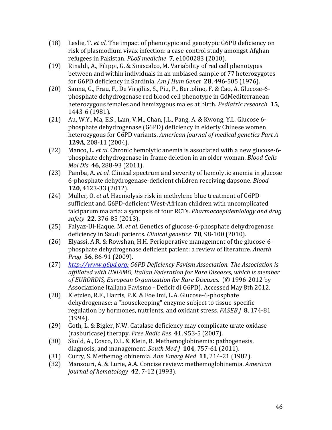- (18) Leslie, T. *et al.* The impact of phenotypic and genotypic G6PD deficiency on risk of plasmodium vivax infection: a case-control study amongst Afghan refugees in Pakistan. *PLoS medicine* 7, e1000283 (2010).
- (19) Rinaldi, A., Filippi, G. & Siniscalco, M. Variability of red cell phenotypes between and within individuals in an unbiased sample of 77 heterozygotes for G6PD deficiency in Sardinia. *Am J Hum Genet* **28**, 496-505 (1976).
- (20) Sanna, G., Frau, F., De Virgiliis, S., Piu, P., Bertolino, F. & Cao, A. Glucose-6phosphate dehydrogenase red blood cell phenotype in GdMediterranean heterozygous females and hemizygous males at birth. *Pediatric research* **15**, 1443-6 (1981).
- $(21)$  Au, W.Y., Ma, E.S., Lam, V.M., Chan, J.L., Pang, A. & Kwong, Y.L. Glucose 6phosphate dehydrogenase (G6PD) deficiency in elderly Chinese women heterozygous for G6PD variants. American journal of medical genetics Part A **129A**, 208-11 (2004).
- (22) Manco, L. *et al.* Chronic hemolytic anemia is associated with a new glucose-6phosphate dehydrogenase in-frame deletion in an older woman. *Blood Cells Mol Dis* **46**, 288-93 (2011).
- (23) Pamba, A. *et al.* Clinical spectrum and severity of hemolytic anemia in glucose 6-phosphate dehydrogenase-deficient children receiving dapsone. *Blood* **120**, 4123-33 (2012).
- (24) Muller, O. et al. Haemolysis risk in methylene blue treatment of G6PDsufficient and G6PD-deficient West-African children with uncomplicated falciparum malaria: a synopsis of four RCTs. *Pharmacoepidemiology and drug safety* **22**, 376-85 (2013).
- (25) Faiyaz-Ul-Haque, M. *et al.* Genetics of glucose-6-phosphate dehydrogenase deficiency in Saudi patients. *Clinical genetics* **78**, 98-100 (2010).
- (26) Elyassi, A.R. & Rowshan, H.H. Perioperative management of the glucose-6phosphate dehydrogenase deficient patient: a review of literature. Anesth *Prog* **56**, 86-91 (2009).
- (27) *http://www.g6pd.org: G6PD Deficiency Favism Association. The Association is* affiliated with UNIAMO, Italian Federation for Rare Diseases, which is member of EURORDIS, European Organization for Rare Diseases. (© 1996-2012 by Associazione Italiana Favismo - Deficit di G6PD). Accessed May 8th 2012.
- (28) Kletzien, R.F., Harris, P.K. & Foellmi, L.A. Glucose-6-phosphate dehydrogenase: a "housekeeping" enzyme subject to tissue-specific regulation by hormones, nutrients, and oxidant stress. *FASEB J* 8, 174-81 (1994).
- $(29)$  Goth, L. & Bigler, N.W. Catalase deficiency may complicate urate oxidase (rasburicase) therapy. *Free Radic Res* **41**, 953-5 (2007).
- (30) Skold, A., Cosco, D.L. & Klein, R. Methemoglobinemia: pathogenesis, diagnosis, and management. *South Med J* **104**, 757-61 (2011).
- (31) Curry, S. Methemoglobinemia. Ann Emerg Med 11, 214-21 (1982).
- (32) Mansouri, A. & Lurie, A.A. Concise review: methemoglobinemia. *American journal of hematology* **42**, 7-12 (1993).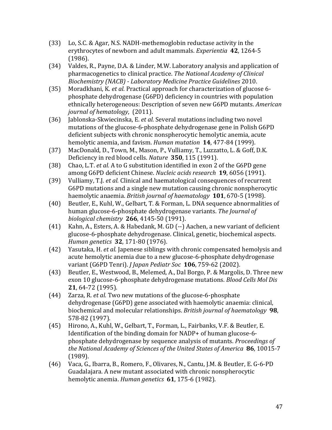- (33) Lo, S.C. & Agar, N.S. NADH-methemoglobin reductase activity in the erythrocytes of newborn and adult mammals. *Experientia* 42, 1264-5 (1986).
- (34) Valdes, R., Payne, D.A. & Linder, M.W. Laboratory analysis and application of pharmacogenetics to clinical practice. The National Academy of Clinical *Biochemistry (NACB) - Laboratory Medicine Practice Guidelines* 2010.
- (35) Moradkhani, K. *et al.* Practical approach for characterization of glucose 6phosphate dehydrogenase (G6PD) deficiency in countries with population ethnically heterogeneous: Description of seven new G6PD mutants. *American journal of hematology*, (2011).
- (36) Jablonska-Skwiecinska, E. et al. Several mutations including two novel mutations of the glucose-6-phosphate dehydrogenase gene in Polish G6PD deficient subjects with chronic nonspherocytic hemolytic anemia, acute hemolytic anemia, and favism. *Human mutation* **14**, 477-84 (1999).
- (37) MacDonald, D., Town, M., Mason, P., Vulliamy, T., Luzzatto, L. & Goff, D.K. Deficiency in red blood cells. *Nature* 350, 115 (1991).
- (38) Chao, L.T. *et al.* A to G substitution identified in exon 2 of the G6PD gene among G6PD deficient Chinese. *Nucleic acids research* **19**, 6056 (1991).
- (39) Vulliamy, T.J. *et al.* Clinical and haematological consequences of recurrent G6PD mutations and a single new mutation causing chronic nonspherocytic haemolytic anaemia. *British journal of haematology* **101**, 670-5 (1998).
- (40) Beutler, E., Kuhl, W., Gelbart, T. & Forman, L. DNA sequence abnormalities of human glucose-6-phosphate dehydrogenase variants. The *Journal of biological chemistry* **266**, 4145-50 (1991).
- (41) Kahn, A., Esters, A. & Habedank, M. GD (--) Aachen, a new variant of deficient glucose-6-phosphate dehydrogenase. Clinical, genetic, biochemical aspects. *Human genetics* **32**, 171-80 (1976).
- (42) Yasutaka, H. *et al.* Japenese siblings with chronic compensated hemolysis and acute hemolytic anemia due to a new glucose-6-phosphate dehydrogenase variant (G6PD Tenri). *J Japan Pediatr Soc* **106**, 759-62 (2002).
- (43) Beutler, E., Westwood, B., Melemed, A., Dal Borgo, P. & Margolis, D. Three new exon 10 glucose-6-phosphate dehydrogenase mutations. *Blood Cells Mol Dis* **21**, 64-72 (1995).
- (44) Zarza, R. *et al.* Two new mutations of the glucose-6-phosphate dehydrogenase (G6PD) gene associated with haemolytic anaemia: clinical, biochemical and molecular relationships. *British journal of haematology* **98**, 578-82 (1997).
- (45) Hirono, A., Kuhl, W., Gelbart, T., Forman, L., Fairbanks, V.F. & Beutler, E. Identification of the binding domain for  $NADP+$  of human glucose-6phosphate dehydrogenase by sequence analysis of mutants. *Proceedings of the National Academy of Sciences of the United States of America* 86, 10015-7 (1989).
- (46) Vaca, G., Ibarra, B., Romero, F., Olivares, N., Cantu, J.M. & Beutler, E. G-6-PD Guadalajara. A new mutant associated with chronic nonspherocytic hemolytic anemia. *Human genetics* **61**, 175-6 (1982).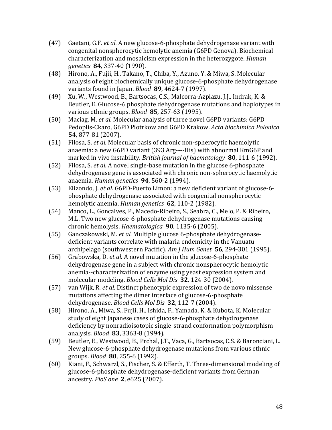- (47) Gaetani, G.F. *et al.* A new glucose-6-phosphate dehydrogenase variant with congenital nonspherocytic hemolytic anemia (G6PD Genova). Biochemical characterization and mosaicism expression in the heterozygote. *Human genetics* **84**, 337-40 (1990).
- (48) Hirono, A., Fujii, H., Takano, T., Chiba, Y., Azuno, Y. & Miwa, S. Molecular analysis of eight biochemically unique glucose-6-phosphate dehydrogenase variants found in Japan. *Blood* **89**, 4624-7 (1997).
- (49) Xu, W., Westwood, B., Bartsocas, C.S., Malcorra-Azpiazu, J.J., Indrak, K. & Beutler, E. Glucose-6 phosphate dehydrogenase mutations and haplotypes in various ethnic groups. *Blood* **85**, 257-63 (1995).
- (50) Maciag, M. *et al.* Molecular analysis of three novel G6PD variants: G6PD Pedoplis-Ckaro, G6PD Piotrkow and G6PD Krakow. Acta biochimica Polonica **54**, 877-81 (2007).
- (51) Filosa, S. *et al.* Molecular basis of chronic non-spherocytic haemolytic anaemia: a new G6PD variant (393 Arg----His) with abnormal KmG6P and marked in vivo instability. *British journal of haematology* **80**, 111-6 (1992).
- (52) Filosa, S. *et al.* A novel single-base mutation in the glucose 6-phosphate dehydrogenase gene is associated with chronic non-spherocytic haemolytic anaemia. *Human genetics* **94**, 560-2 (1994).
- (53) Elizondo, J. et al. G6PD-Puerto Limon: a new deficient variant of glucose-6phosphate dehydrogenase associated with congenital nonspherocytic hemolytic anemia. *Human genetics* **62**, 110-2 (1982).
- (54) Manco, L., Goncalves, P., Macedo-Ribeiro, S., Seabra, C., Melo, P. & Ribeiro, M.L. Two new glucose-6-phosphate dehydrogenase mutations causing chronic hemolysis. *Haematologica* **90**, 1135-6 (2005).
- (55) Ganczakowski, M. et al. Multiple glucose 6-phosphate dehydrogenasedeficient variants correlate with malaria endemicity in the Vanuatu archipelago (southwestern Pacific). Am J Hum Genet 56, 294-301 (1995).
- (56) Grabowska, D. *et al.* A novel mutation in the glucose-6-phosphate dehydrogenase gene in a subject with chronic nonspherocytic hemolytic anemia--characterization of enzyme using yeast expression system and molecular modeling. *Blood Cells Mol Dis* 32, 124-30 (2004).
- (57) van Wijk, R. *et al.* Distinct phenotypic expression of two de novo missense mutations affecting the dimer interface of glucose-6-phosphate dehydrogenase. *Blood Cells Mol Dis* **32**, 112-7 (2004).
- (58) Hirono, A., Miwa, S., Fujii, H., Ishida, F., Yamada, K. & Kubota, K. Molecular study of eight Japanese cases of glucose-6-phosphate dehydrogenase deficiency by nonradioisotopic single-strand conformation polymorphism analysis. *Blood* **83**, 3363-8 (1994).
- (59) Beutler, E., Westwood, B., Prchal, J.T., Vaca, G., Bartsocas, C.S. & Baronciani, L. New glucose-6-phosphate dehydrogenase mutations from various ethnic groups. *Blood* **80**, 255-6 (1992).
- (60) Kiani, F., Schwarzl, S., Fischer, S. & Efferth, T. Three-dimensional modeling of glucose-6-phosphate dehydrogenase-deficient variants from German ancestry. *PloS one* **2**, e625 (2007).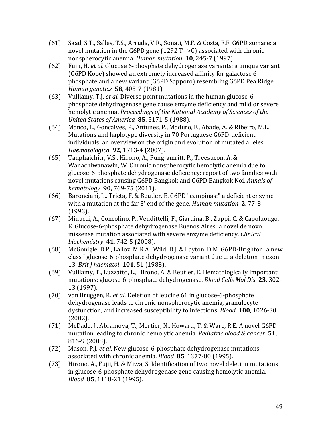- (61) Saad, S.T., Salles, T.S., Arruda, V.R., Sonati, M.F. & Costa, F.F. G6PD sumare: a novel mutation in the G6PD gene  $(1292 T--G)$  associated with chronic nonspherocytic anemia. *Human mutation* **10**, 245-7 (1997).
- (62) Fujii, H. *et al.* Glucose 6-phosphate dehydrogenase variants: a unique variant (G6PD Kobe) showed an extremely increased affinity for galactose 6phosphate and a new variant (G6PD Sapporo) resembling G6PD Pea Ridge. *Human genetics* **58**, 405-7 (1981).
- (63) Vulliamy, T.J. *et al.* Diverse point mutations in the human glucose-6phosphate dehydrogenase gene cause enzyme deficiency and mild or severe hemolytic anemia. *Proceedings of the National Academy of Sciences of the United States of America* **85**, 5171-5 (1988).
- (64) Manco, L., Goncalves, P., Antunes, P., Maduro, F., Abade, A. & Ribeiro, M.L. Mutations and haplotype diversity in 70 Portuguese G6PD-deficient individuals: an overview on the origin and evolution of mutated alleles. *Haematologica* **92**, 1713-4 (2007).
- (65) Tanphaichitr, V.S., Hirono, A., Pung-amritt, P., Treesucon, A. & Wanachiwanawin, W. Chronic nonspherocytic hemolytic anemia due to glucose-6-phosphate dehydrogenase deficiency: report of two families with novel mutations causing G6PD Bangkok and G6PD Bangkok Noi. *Annals of hematology* **90**, 769-75 (2011).
- (66) Baronciani, L., Tricta, F. & Beutler, E. G6PD "campinas:" a deficient enzyme with a mutation at the far 3' end of the gene. *Human mutation* 2, 77-8 (1993).
- (67) Minucci, A., Concolino, P., Vendittelli, F., Giardina, B., Zuppi, C. & Capoluongo, E. Glucose-6-phosphate dehydrogenase Buenos Aires: a novel de novo missense mutation associated with severe enzyme deficiency. *Clinical biochemistry* 41, 742-5 (2008).
- (68) McGonigle, D.P., Lalloz, M.R.A., Wild, B.J. & Layton, D.M. G6PD-Brighton: a new class I glucose-6-phosphate dehydrogenase variant due to a deletion in exon 13. *Brit J haematol* **101**, 51 (1988).
- (69) Vulliamy, T., Luzzatto, L., Hirono, A. & Beutler, E. Hematologically important mutations: glucose-6-phosphate dehydrogenase. *Blood Cells Mol Dis* 23, 302-13 (1997).
- (70) van Bruggen, R. *et al.* Deletion of leucine 61 in glucose-6-phosphate dehydrogenase leads to chronic nonspherocytic anemia, granulocyte dysfunction, and increased susceptibility to infections. *Blood* **100**, 1026-30 (2002).
- (71) McDade, J., Abramova, T., Mortier, N., Howard, T. & Ware, R.E. A novel G6PD mutation leading to chronic hemolytic anemia. *Pediatric blood & cancer* 51, 816-9 (2008).
- (72) Mason, P.J. *et al.* New glucose-6-phosphate dehydrogenase mutations associated with chronic anemia. *Blood* 85, 1377-80 (1995).
- (73) Hirono, A., Fujii, H. & Miwa, S. Identification of two novel deletion mutations in glucose-6-phosphate dehydrogenase gene causing hemolytic anemia. *Blood* **85**, 1118-21 (1995).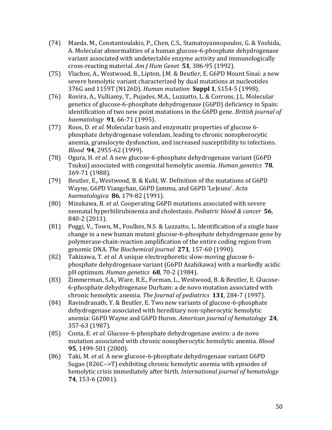- (74) Maeda, M., Constantoulakis, P., Chen, C.S., Stamatoyannopoulos, G. & Yoshida, A. Molecular abnormalities of a human glucose-6-phosphate dehydrogenase variant associated with undetectable enzyme activity and immunologically cross-reacting material. Am *J Hum Genet* **51**, 386-95 (1992).
- (75) Vlachos, A., Westwood, B., Lipton, J.M. & Beutler, E. G6PD Mount Sinai: a new severe hemolytic variant characterized by dual mutations at nucleotides 376G and 1159T (N126D). *Human mutation* **Suppl 1**, S154-5 (1998).
- (76) Rovira, A., Vulliamy, T., Pujades, M.A., Luzzatto, L. & Corrons, J.L. Molecular genetics of glucose-6-phosphate dehydrogenase (G6PD) deficiency in Spain: identification of two new point mutations in the G6PD gene. *British journal of haematology* **91**, 66-71 (1995).
- (77) Roos, D. *et al.* Molecular basis and enzymatic properties of glucose 6phosphate dehydrogenase volendam, leading to chronic nonspherocytic anemia, granulocyte dysfunction, and increased susceptibility to infections. *Blood* **94**, 2955-62 (1999).
- (78) Ogura, H. *et al.* A new glucose-6-phosphate dehydrogenase variant (G6PD) Tsukui) associated with congenital hemolytic anemia. *Human genetics* **78**, 369-71 (1988).
- (79) Beutler, E., Westwood, B. & Kuhl, W. Definition of the mutations of G6PD Wayne, G6PD Viangchan, G6PD Jammu, and G6PD 'LeJeune'. *Acta haematologica* **86**, 179-82 (1991).
- (80) Mizukawa, B. *et al.* Cooperating G6PD mutations associated with severe neonatal hyperbilirubinemia and cholestasis. *Pediatric blood & cancer* **56**, 840-2 (2011).
- (81) Poggi, V., Town, M., Foulkes, N.S. & Luzzatto, L. Identification of a single base change in a new human mutant glucose-6-phosphate dehydrogenase gene by polymerase-chain-reaction amplification of the entire coding region from genomic DNA. The Biochemical journal 271, 157-60 (1990).
- (82) Takizawa, T. *et al.* A unique electrophoretic slow-moving glucose 6phosphate dehydrogenase variant (G6PD Asahikawa) with a markedly acidic pH optimum. *Human genetics* **68**, 70-2 (1984).
- (83) Zimmerman, S.A., Ware, R.E., Forman, L., Westwood, B. & Beutler, E. Glucose-6-phosphate dehydrogenase Durham: a de novo mutation associated with chronic hemolytic anemia. The Journal of pediatrics **131**, 284-7 (1997).
- (84) Ravindranath, Y. & Beutler, E. Two new variants of glucose-6-phosphate dehydrogenase associated with hereditary non-spherocytic hemolytic anemia: G6PD Wayne and G6PD Huron. American journal of hematology 24, 357-63 (1987).
- (85) Costa, E. *et al.* Glucose-6-phosphate dehydrogenase aveiro: a de novo mutation associated with chronic nonspherocytic hemolytic anemia. *Blood* **95**, 1499-501 (2000).
- (86) Taki, M. *et al.* A new glucose-6-phosphate dehydrogenase variant G6PD Sugao  $(826C\rightarrow T)$  exhibiting chronic hemolytic anemia with episodes of hemolytic crisis immediately after birth. *International journal of hematology* **74**, 153-6 (2001).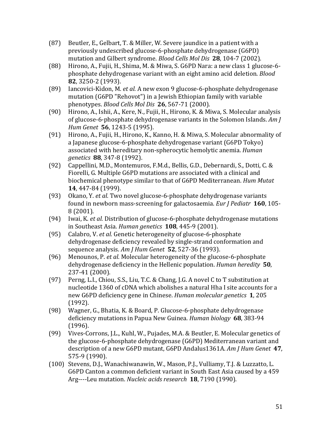- (87) Beutler, E., Gelbart, T. & Miller, W. Severe jaundice in a patient with a previously undescribed glucose-6-phosphate dehydrogenase (G6PD) mutation and Gilbert syndrome. *Blood Cells Mol Dis* 28, 104-7 (2002).
- (88) Hirono, A., Fujii, H., Shima, M. & Miwa, S. G6PD Nara: a new class 1 glucose-6phosphate dehydrogenase variant with an eight amino acid deletion. *Blood* **82**, 3250-2 (1993).
- (89) Iancovici-Kidon, M. et al. A new exon 9 glucose-6-phosphate dehydrogenase mutation (G6PD "Rehovot") in a Jewish Ethiopian family with variable phenotypes. *Blood Cells Mol Dis* **26**, 567-71 (2000).
- (90) Hirono, A., Ishii, A., Kere, N., Fujii, H., Hirono, K. & Miwa, S. Molecular analysis of glucose-6-phosphate dehydrogenase variants in the Solomon Islands. Am *J Hum Genet* **56**, 1243-5 (1995).
- (91) Hirono, A., Fujii, H., Hirono, K., Kanno, H. & Miwa, S. Molecular abnormality of a Japanese glucose-6-phosphate dehydrogenase variant (G6PD Tokyo) associated with hereditary non-spherocytic hemolytic anemia. *Human genetics* **88**, 347-8 (1992).
- (92) Cappellini, M.D., Montemuros, F.M.d., Bellis, G.D., Debernardi, S., Dotti, C. & Fiorelli, G. Multiple G6PD mutations are associated with a clinical and biochemical phenotype similar to that of G6PD Mediterranean. Hum Mutat **14**, 447-84 (1999).
- (93) Okano, Y. *et al.* Two novel glucose-6-phosphate dehydrogenase variants found in newborn mass-screening for galactosaemia. *Eur J Pediatr* **160**, 105-8 (2001).
- (94) Iwai, K. *et al.* Distribution of glucose-6-phosphate dehydrogenase mutations in Southeast Asia. *Human genetics* **108**, 445-9 (2001).
- (95) Calabro, V. *et al.* Genetic heterogeneity of glucose-6-phosphate dehydrogenase deficiency revealed by single-strand conformation and sequence analysis. Am *J Hum Genet* **52**, 527-36 (1993).
- (96) Menounos, P. *et al.* Molecular heterogeneity of the glucose-6-phosphate dehydrogenase deficiency in the Hellenic population. *Human heredity* **50**, 237-41 (2000).
- (97) Perng, L.I., Chiou, S.S., Liu, T.C. & Chang, J.G. A novel C to T substitution at nucleotide 1360 of cDNA which abolishes a natural Hha I site accounts for a new G6PD deficiency gene in Chinese. *Human molecular genetics* 1, 205 (1992).
- (98) Wagner, G., Bhatia, K. & Board, P. Glucose-6-phosphate dehydrogenase deficiency mutations in Papua New Guinea. *Human biology* 68, 383-94 (1996).
- (99) Vives-Corrons, J.L., Kuhl, W., Pujades, M.A. & Beutler, E. Molecular genetics of the glucose-6-phosphate dehydrogenase (G6PD) Mediterranean variant and description of a new G6PD mutant, G6PD Andalus1361A. Am J Hum Genet 47, 575-9 (1990).
- (100) Stevens, D.J., Wanachiwanawin, W., Mason, P.J., Vulliamy, T.J. & Luzzatto, L. G6PD Canton a common deficient variant in South East Asia caused by a 459 Arg----Leu mutation. *Nucleic acids research* **18**, 7190 (1990).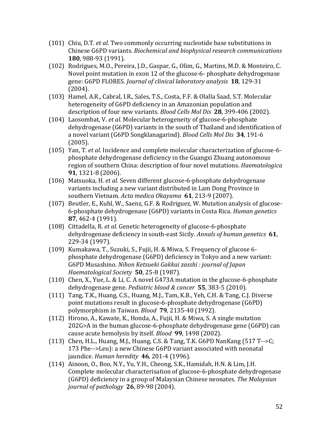- (101) Chiu, D.T. *et al.* Two commonly occurring nucleotide base substitutions in Chinese G6PD variants. *Biochemical and biophysical research communications* **180**, 988-93 (1991).
- (102) Rodrigues, M.O., Pereira, J.D., Gaspar, G., Olim, G., Martins, M.D. & Monteiro, C. Novel point mutation in exon 12 of the glucose-6- phosphate dehydrogenase gene: G6PD FLORES. *Journal of clinical laboratory analysis* **18**, 129-31 (2004).
- (103) Hamel, A.R., Cabral, I.R., Sales, T.S., Costa, F.F. & Olalla Saad, S.T. Molecular heterogeneity of G6PD deficiency in an Amazonian population and description of four new variants. *Blood Cells Mol Dis* 28, 399-406 (2002).
- (104) Laosombat, V. *et al.* Molecular heterogeneity of glucose-6-phosphate dehydrogenase (G6PD) variants in the south of Thailand and identification of a novel variant (G6PD Songklanagarind). *Blood Cells Mol Dis* 34, 191-6 (2005).
- (105) Yan, T. *et al.* Incidence and complete molecular characterization of glucose-6phosphate dehydrogenase deficiency in the Guangxi Zhuang autonomous region of southern China: description of four novel mutations. *Haematologica* **91**, 1321-8 (2006).
- (106) Matsuoka, H. et al. Seven different glucose-6-phosphate dehydrogenase variants including a new variant distributed in Lam Dong Province in southern Vietnam. *Acta medica Okayama* **61**, 213-9 (2007).
- (107) Beutler, E., Kuhl, W., Saenz, G.F. & Rodriguez, W. Mutation analysis of glucose-6-phosphate dehydrogenase (G6PD) variants in Costa Rica. *Human genetics* **87**, 462-4 (1991).
- (108) Cittadella, R. *et al.* Genetic heterogeneity of glucose-6-phosphate dehydrogenase deficiency in south-east Sicily. Annals of human genetics 61, 229-34 (1997).
- (109) Kumakawa, T., Suzuki, S., Fujii, H. & Miwa, S. Frequency of glucose 6phosphate dehydrogenase (G6PD) deficiency in Tokyo and a new variant: G6PD Musashino. *Nihon Ketsueki Gakkai zasshi : journal of Japan Haematological Society* **50**, 25-8 (1987).
- (110) Chen, X., Yue, L. & Li, C. A novel G473A mutation in the glucose-6-phosphate dehydrogenase gene. *Pediatric blood & cancer* **55**, 383-5 (2010).
- $(111)$  Tang, T.K., Huang, C.S., Huang, M.J., Tam, K.B., Yeh, C.H. & Tang, C.J. Diverse point mutations result in glucose-6-phosphate dehydrogenase (G6PD) polymorphism in Taiwan. *Blood* **79**, 2135-40 (1992).
- (112) Hirono, A., Kawate, K., Honda, A., Fujii, H. & Miwa, S. A single mutation  $202G$ >A in the human glucose-6-phosphate dehydrogenase gene  $(G6PD)$  can cause acute hemolysis by itself. *Blood* 99, 1498 (2002).
- (113) Chen, H.L., Huang, M.J., Huang, C.S. & Tang, T.K. G6PD NanKang (517 T-->C; 173 Phe-->Leu): a new Chinese G6PD variant associated with neonatal jaundice. *Human heredity* **46**, 201-4 (1996).
- (114) Ainoon, O., Boo, N.Y., Yu, Y.H., Cheong, S.K., Hamidah, H.N. & Lim, J.H. Complete molecular characterisation of glucose-6-phosphate dehydrogenase (G6PD) deficiency in a group of Malaysian Chinese neonates. *The Malaysian journal of pathology* **26**, 89-98 (2004).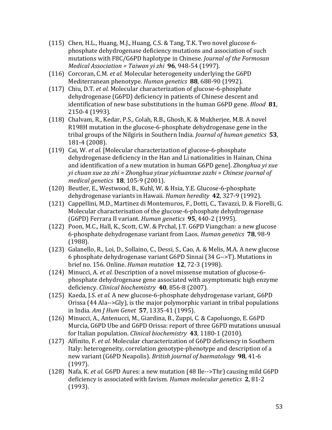- (115) Chen, H.L., Huang, M.J., Huang, C.S. & Tang, T.K. Two novel glucose 6phosphate dehydrogenase deficiency mutations and association of such mutations with F8C/G6PD haplotype in Chinese. *Journal of the Formosan Medical Association* = Taiwan yi zhi 96, 948-54 (1997).
- (116) Corcoran, C.M. *et al.* Molecular heterogeneity underlying the G6PD Mediterranean phenotype. *Human genetics* 88, 688-90 (1992).
- (117) Chiu, D.T. *et al.* Molecular characterization of glucose-6-phosphate dehydrogenase (G6PD) deficiency in patients of Chinese descent and identification of new base substitutions in the human G6PD gene. *Blood* 81, 2150-4 (1993).
- (118) Chalvam, R., Kedar, P.S., Colah, R.B., Ghosh, K. & Mukherjee, M.B. A novel R198H mutation in the glucose-6-phosphate dehydrogenase gene in the tribal groups of the Nilgiris in Southern India. *Journal of human genetics* 53, 181-4 (2008).
- (119) Cai, W. et al. [Molecular characterization of glucose-6-phosphate dehydrogenase deficiency in the Han and Li nationalities in Hainan, China and identification of a new mutation in human G6PD gene]. *Zhonghua yi xue yi* chuan xue za zhi = Zhonghua yixue yichuanxue zazhi = Chinese journal of *medical genetics* **18**, 105-9 (2001).
- (120) Beutler, E., Westwood, B., Kuhl, W. & Hsia, Y.E. Glucose-6-phosphate dehydrogenase variants in Hawaii. *Human heredity* 42, 327-9 (1992).
- (121) Cappellini, M.D., Martinez di Montemuros, F., Dotti, C., Tavazzi, D. & Fiorelli, G. Molecular characterisation of the glucose-6-phosphate dehydrogenase (G6PD) Ferrara II variant. *Human genetics* 95, 440-2 (1995).
- (122) Poon, M.C., Hall, K., Scott, C.W. & Prchal, J.T. G6PD Viangchan: a new glucose 6-phosphate dehydrogenase variant from Laos. *Human genetics* **78**, 98-9 (1988).
- (123) Galanello, R., Loi, D., Sollaino, C., Dessi, S., Cao, A. & Melis, M.A. A new glucose 6 phosphate dehydrogenase variant G6PD Sinnai (34 G-->T). Mutations in brief no. 156. Online. *Human mutation* **12**, 72-3 (1998).
- (124) Minucci, A. *et al.* Description of a novel missense mutation of glucose-6phosphate dehydrogenase gene associated with asymptomatic high enzyme deficiency. *Clinical biochemistry* **40**, 856-8 (2007).
- (125) Kaeda, J.S. *et al.* A new glucose-6-phosphate dehydrogenase variant, G6PD Orissa  $(44$  Ala-->Gly), is the major polymorphic variant in tribal populations in India. *Am J Hum Genet* **57**, 1335-41 (1995).
- (126) Minucci, A., Antenucci, M., Giardina, B., Zuppi, C. & Capoluongo, E. G6PD Murcia, G6PD Ube and G6PD Orissa: report of three G6PD mutations unusual for Italian population. *Clinical biochemistry* 43, 1180-1 (2010).
- (127) Alfinito, F. et al. Molecular characterization of G6PD deficiency in Southern Italy: heterogeneity, correlation genotype-phenotype and description of a new variant (G6PD Neapolis). *British journal of haematology* 98, 41-6 (1997).
- (128) Nafa, K. *et al.* G6PD Aures: a new mutation (48 Ile-->Thr) causing mild G6PD deficiency is associated with favism. *Human molecular genetics* 2, 81-2 (1993).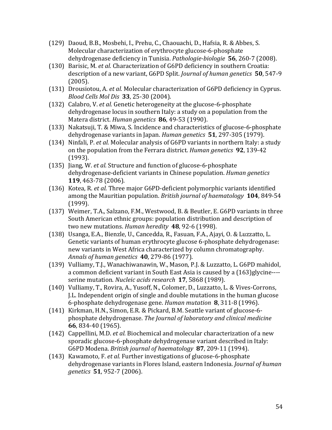- (129) Daoud, B.B., Mosbehi, I., Prehu, C., Chaouachi, D., Hafsia, R. & Abbes, S. Molecular characterization of erythrocyte glucose-6-phosphate dehydrogenase deficiency in Tunisia. *Pathologie-biologie* **56**, 260-7 (2008).
- (130) Barisic, M. *et al.* Characterization of G6PD deficiency in southern Croatia: description of a new variant, G6PD Split. *Journal of human genetics* **50**, 547-9 (2005).
- (131) Drousiotou, A. *et al.* Molecular characterization of G6PD deficiency in Cyprus. *Blood Cells Mol Dis* **33**, 25-30 (2004).
- (132) Calabro, V. et al. Genetic heterogeneity at the glucose-6-phosphate dehydrogenase locus in southern Italy: a study on a population from the Matera district. *Human genetics* **86**, 49-53 (1990).
- (133) Nakatsuji, T. & Miwa, S. Incidence and characteristics of glucose-6-phosphate dehydrogenase variants in Japan. *Human genetics* **51**, 297-305 (1979).
- (134) Ninfali, P. *et al.* Molecular analysis of G6PD variants in northern Italy: a study on the population from the Ferrara district. *Human genetics* 92, 139-42 (1993).
- (135) Jiang, W. et al. Structure and function of glucose-6-phosphate dehydrogenase-deficient variants in Chinese population. *Human genetics* **119**, 463-78 (2006).
- (136) Kotea, R. *et al.* Three major G6PD-deficient polymorphic variants identified among the Mauritian population. *British journal of haematology* **104**, 849-54 (1999).
- (137) Weimer, T.A., Salzano, F.M., Westwood, B. & Beutler, E. G6PD variants in three South American ethnic groups: population distribution and description of two new mutations. *Human heredity* **48**, 92-6 (1998).
- (138) Usanga, E.A., Bienzle, U., Cancedda, R., Fasuan, F.A., Ajayi, O. & Luzzatto, L. Genetic variants of human erythrocyte glucose 6-phosphate dehydrogenase: new variants in West Africa characterized by column chromatography. *Annals of human genetics* **40**, 279-86 (1977).
- (139) Vulliamy, T.J., Wanachiwanawin, W., Mason, P.J. & Luzzatto, L. G6PD mahidol, a common deficient variant in South East Asia is caused by a (163)glycine---serine mutation. *Nucleic acids research* **17**, 5868 (1989).
- (140) Vulliamy, T., Rovira, A., Yusoff, N., Colomer, D., Luzzatto, L. & Vives-Corrons, J.L. Independent origin of single and double mutations in the human glucose 6-phosphate dehydrogenase gene. *Human mutation* 8, 311-8 (1996).
- (141) Kirkman, H.N., Simon, E.R. & Pickard, B.M. Seattle variant of glucose-6phosphate dehydrogenase. The *Journal of laboratory and clinical medicine* **66**, 834-40 (1965).
- (142) Cappellini, M.D. et al. Biochemical and molecular characterization of a new sporadic glucose-6-phosphate dehydrogenase variant described in Italy: G6PD Modena. *British journal of haematology* 87, 209-11 (1994).
- (143) Kawamoto, F. et al. Further investigations of glucose-6-phosphate dehydrogenase variants in Flores Island, eastern Indonesia. *Journal of human genetics* **51**, 952-7 (2006).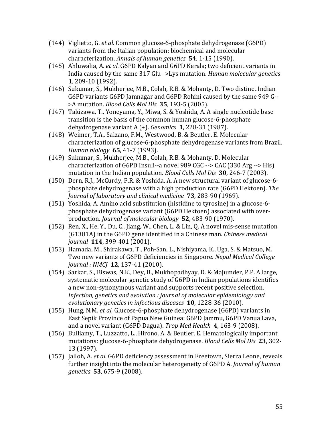- (144) Viglietto, G. *et al.* Common glucose-6-phosphate dehydrogenase (G6PD) variants from the Italian population: biochemical and molecular characterization. Annals of human genetics **54**, 1-15 (1990).
- (145) Ahluwalia, A. *et al.* G6PD Kalyan and G6PD Kerala; two deficient variants in India caused by the same 317 Glu-->Lys mutation. *Human molecular genetics* **1**, 209-10 (1992).
- (146) Sukumar, S., Mukherjee, M.B., Colah, R.B. & Mohanty, D. Two distinct Indian G6PD variants G6PD Jamnagar and G6PD Rohini caused by the same 949 G-->A mutation. *Blood Cells Mol Dis* **35**, 193-5 (2005).
- (147) Takizawa, T., Yoneyama, Y., Miwa, S. & Yoshida, A. A single nucleotide base transition is the basis of the common human glucose-6-phosphate dehydrogenase variant  $A (+)$ . *Genomics* **1**, 228-31 (1987).
- (148) Weimer, T.A., Salzano, F.M., Westwood, B. & Beutler, E. Molecular characterization of glucose-6-phosphate dehydrogenase variants from Brazil. *Human biology* **65**, 41-7 (1993).
- (149) Sukumar, S., Mukherjee, M.B., Colah, R.B. & Mohanty, D. Molecular characterization of G6PD Insuli--a novel  $989$  CGC --> CAC (330 Arg --> His) mutation in the Indian population. *Blood Cells Mol Dis* **30**, 246-7 (2003).
- (150) Dern, R.J., McCurdy, P.R. & Yoshida, A. A new structural variant of glucose-6phosphate dehydrogenase with a high production rate (G6PD Hektoen). The *Journal of laboratory and clinical medicine* **73**, 283-90 (1969).
- (151) Yoshida, A. Amino acid substitution (histidine to tyrosine) in a glucose-6phosphate dehydrogenase variant (G6PD Hektoen) associated with overproduction. *Journal of molecular biology* **52**, 483-90 (1970).
- (152) Ren, X., He, Y., Du, C., Jiang, W., Chen, L. & Lin, Q. A novel mis-sense mutation (G1381A) in the G6PD gene identified in a Chinese man. *Chinese medical journal* **114**, 399-401 (2001).
- (153) Hamada, M., Shirakawa, T., Poh-San, L., Nishiyama, K., Uga, S. & Matsuo, M. Two new variants of G6PD deficiencies in Singapore. *Nepal Medical College journal* : *NMCJ* **12**, 137-41 (2010).
- (154) Sarkar, S., Biswas, N.K., Dey, B., Mukhopadhyay, D. & Majumder, P.P. A large, systematic molecular-genetic study of G6PD in Indian populations identifies a new non-synonymous variant and supports recent positive selection. *Infection, genetics and evolution : journal of molecular epidemiology and* evolutionary genetics in infectious diseases **10**, 1228-36 (2010).
- (155) Hung, N.M. *et al.* Glucose-6-phosphate dehydrogenase (G6PD) variants in East Sepik Province of Papua New Guinea: G6PD Jammu, G6PD Vanua Lava, and a novel variant (G6PD Dagua). *Trop Med Health* 4, 163-9 (2008).
- (156) Bulliamy, T., Luzzatto, L., Hirono, A. & Beutler, E. Hematologically important mutations: glucose-6-phosphate dehydrogenase. *Blood Cells Mol Dis* 23, 302-13 (1997).
- (157) Jalloh, A. *et al.* G6PD deficiency assessment in Freetown, Sierra Leone, reveals further insight into the molecular heterogeneity of G6PD A. *Journal of human genetics* **53**, 675-9 (2008).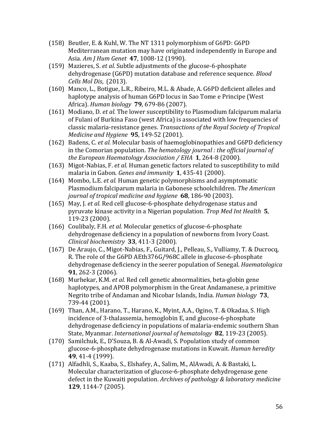- (158) Beutler, E. & Kuhl, W. The NT 1311 polymorphism of G6PD: G6PD Mediterranean mutation may have originated independently in Europe and Asia. *Am J Hum Genet* **47**, 1008-12 (1990).
- (159) Mazieres, S. *et al.* Subtle adjustments of the glucose-6-phosphate dehydrogenase (G6PD) mutation database and reference sequence. *Blood Cells Mol Dis.* (2013).
- (160) Manco, L., Botigue, L.R., Ribeiro, M.L. & Abade, A. G6PD deficient alleles and haplotype analysis of human G6PD locus in Sao Tome e Principe (West Africa). *Human biology* **79**, 679-86 (2007).
- (161) Modiano, D. et al. The lower susceptibility to Plasmodium falciparum malaria of Fulani of Burkina Faso (west Africa) is associated with low frequencies of classic malaria-resistance genes. *Transactions of the Royal Society of Tropical Medicine and Hygiene* **95**, 149-52 (2001).
- (162) Badens, C. *et al.* Molecular basis of haemoglobinopathies and G6PD deficiency in the Comorian population. *The hematology journal : the official journal of the European Haematology Association* / *EHA* 1, 264-8 (2000).
- (163) Migot-Nabias, F. *et al.* Human genetic factors related to susceptibility to mild malaria in Gabon. *Genes and immunity* **1**, 435-41 (2000).
- (164) Mombo, L.E. *et al.* Human genetic polymorphisms and asymptomatic Plasmodium falciparum malaria in Gabonese schoolchildren. The American *journal of tropical medicine and hygiene* **68**, 186-90 (2003).
- (165) May, J. *et al.* Red cell glucose-6-phosphate dehydrogenase status and pyruvate kinase activity in a Nigerian population. *Trop Med Int Health* 5, 119-23 (2000).
- (166) Coulibaly, F.H. *et al.* Molecular genetics of glucose-6-phosphate dehydrogenase deficiency in a population of newborns from Ivory Coast. *Clinical biochemistry* **33**, 411-3 (2000).
- (167) De Araujo, C., Migot-Nabias, F., Guitard, J., Pelleau, S., Vulliamy, T. & Ducrocq, R. The role of the G6PD AEth376G/968C allele in glucose-6-phosphate dehydrogenase deficiency in the seerer population of Senegal. *Haematologica* 91, 262-3 (2006).
- (168) Murhekar, K.M. *et al.* Red cell genetic abnormalities, beta-globin gene haplotypes, and APOB polymorphism in the Great Andamanese, a primitive Negrito tribe of Andaman and Nicobar Islands, India. *Human biology* 73, 739-44 (2001).
- (169) Than, A.M., Harano, T., Harano, K., Myint, A.A., Ogino, T. & Okadaa, S. High incidence of 3-thalassemia, hemoglobin E, and glucose-6-phosphate dehydrogenase deficiency in populations of malaria-endemic southern Shan State, Myanmar. *International journal of hematology* 82, 119-23 (2005).
- (170) Samilchuk, E., D'Souza, B. & Al-Awadi, S. Population study of common glucose-6-phosphate dehydrogenase mutations in Kuwait. *Human heredity* **49**, 41-4 (1999).
- (171) Alfadhli, S., Kaaba, S., Elshafey, A., Salim, M., AlAwadi, A. & Bastaki, L. Molecular characterization of glucose-6-phosphate dehydrogenase gene defect in the Kuwaiti population. Archives of pathology & laboratory medicine **129**, 1144-7 (2005).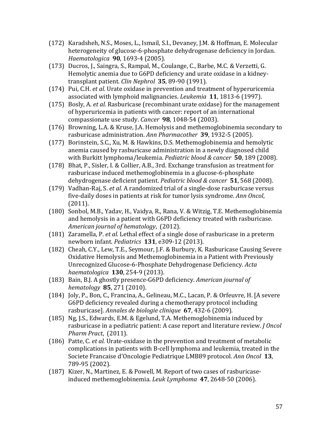- (172) Karadsheh, N.S., Moses, L., Ismail, S.I., Devaney, J.M. & Hoffman, E. Molecular heterogeneity of glucose-6-phosphate dehydrogenase deficiency in Jordan. *Haematologica* **90**, 1693-4 (2005).
- (173) Ducros, J., Saingra, S., Rampal, M., Coulange, C., Barbe, M.C. & Verzetti, G. Hemolytic anemia due to G6PD deficiency and urate oxidase in a kidneytransplant patient. *Clin Nephrol* 35, 89-90 (1991).
- (174) Pui, C.H. *et al.* Urate oxidase in prevention and treatment of hyperuricemia associated with lymphoid malignancies. *Leukemia* **11**, 1813-6 (1997).
- (175) Bosly, A. *et al.* Rasburicase (recombinant urate oxidase) for the management of hyperuricemia in patients with cancer: report of an international compassionate use study. *Cancer* 98, 1048-54 (2003).
- (176) Browning, L.A. & Kruse, J.A. Hemolysis and methemoglobinemia secondary to rasburicase administration. Ann Pharmacother 39, 1932-5 (2005).
- (177) Borinstein, S.C., Xu, M. & Hawkins, D.S. Methemoglobinemia and hemolytic anemia caused by rasburicase administration in a newly diagnosed child with Burkitt lymphoma/leukemia. *Pediatric blood & cancer* **50**, 189 (2008).
- (178) Bhat, P., Sisler, I. & Collier, A.B., 3rd. Exchange transfusion as treatment for rasburicase induced methemoglobinemia in a glucose-6-phosphate dehydrogenase deficient patient. Pediatric blood & cancer **51**, 568 (2008).
- (179) Vadhan-Raj, S. et al. A randomized trial of a single-dose rasburicase versus five-daily doses in patients at risk for tumor lysis syndrome. Ann Oncol, (2011).
- (180) Sonbol, M.B., Yadav, H., Vaidya, R., Rana, V. & Witzig, T.E. Methemoglobinemia and hemolysis in a patient with G6PD deficiency treated with rasburicase. *American journal of hematology*, (2012).
- (181) Zaramella, P. *et al.* Lethal effect of a single dose of rasburicase in a preterm newborn infant. Pediatrics 131, e309-12 (2013).
- (182) Cheah, C.Y., Lew, T.E., Seymour, J.F. & Burbury, K. Rasburicase Causing Severe Oxidative Hemolysis and Methemoglobinemia in a Patient with Previously Unrecognized Glucose-6-Phosphate Dehydrogenase Deficiency. *Acta haematologica* **130**, 254-9 (2013).
- (183) Bain, B.J. A ghostly presence-G6PD deficiency. *American journal of hematology* **85**, 271 (2010).
- (184) Joly, P., Bon, C., Francina, A., Gelineau, M.C., Lacan, P. & Orfeuvre, H. [A severe G6PD deficiency revealed during a chemotherapy protocol including rasburicase]. Annales de biologie clinique 67, 432-6 (2009).
- (185) Ng, J.S., Edwards, E.M. & Egelund, T.A. Methemoglobinemia induced by rasburicase in a pediatric patient: A case report and literature review. *J Oncol Pharm Pract,* (2011).
- (186) Patte, C. *et al.* Urate-oxidase in the prevention and treatment of metabolic complications in patients with B-cell lymphoma and leukemia, treated in the Societe Francaise d'Oncologie Pediatrique LMB89 protocol. *Ann Oncol* 13, 789-95 (2002).
- (187) Kizer, N., Martinez, E. & Powell, M. Report of two cases of rasburicaseinduced methemoglobinemia. *Leuk Lymphoma* 47, 2648-50 (2006).